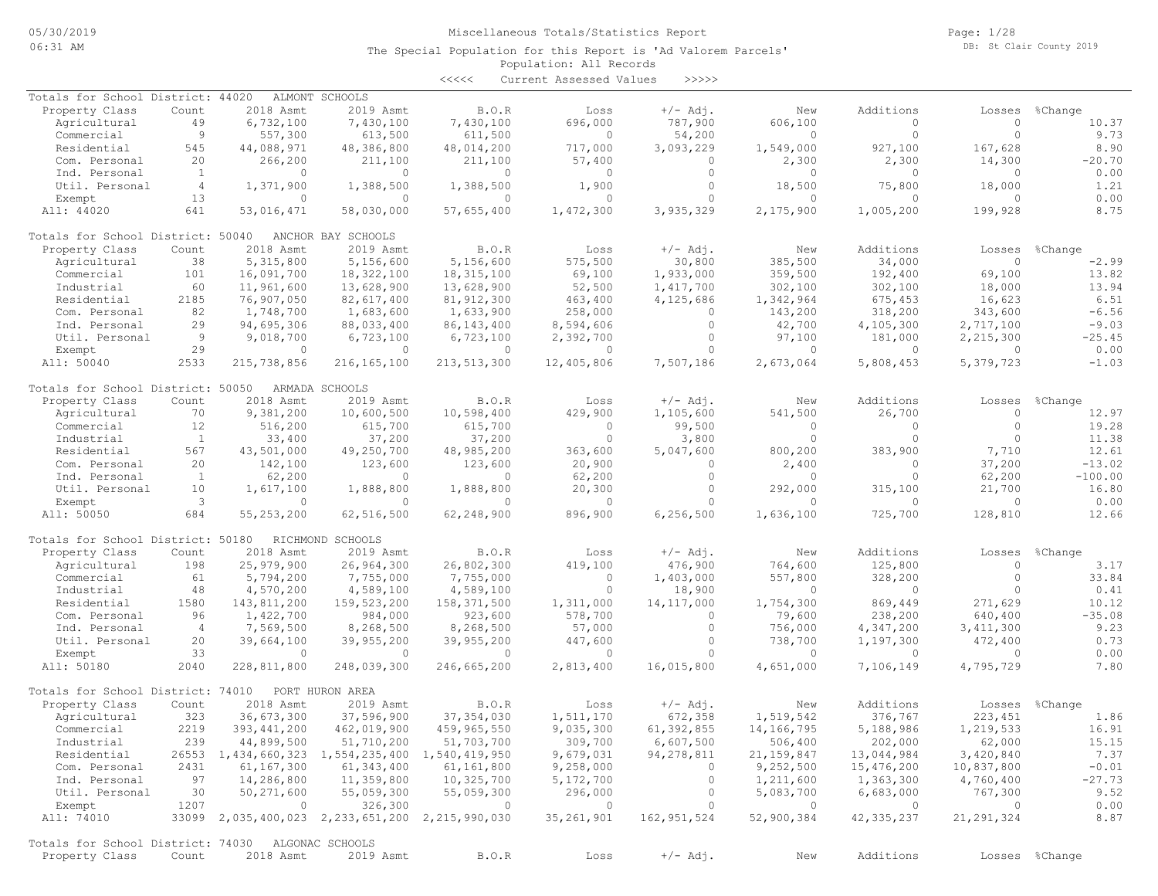Page: 1/28 DB: St Clair County 2019

### Population: All Records The Special Population for this Report is 'Ad Valorem Parcels'

<<<<< Current Assessed Values >>>>>

| Totals for School District: 44020                 |                |                | ALMONT SCHOOLS                                  |                |                |               |                          |                |                |                |
|---------------------------------------------------|----------------|----------------|-------------------------------------------------|----------------|----------------|---------------|--------------------------|----------------|----------------|----------------|
| Property Class                                    | Count          | 2018 Asmt      | 2019 Asmt                                       | B.O.R          | Loss           | $+/-$ Adj.    | New                      | Additions      | Losses         | %Change        |
| Agricultural                                      | 49             | 6,732,100      | 7,430,100                                       | 7,430,100      | 696,000        | 787,900       | 606,100                  | $\Omega$       | $\circ$        | 10.37          |
| Commercial                                        | 9              | 557,300        | 613,500                                         | 611,500        | $\circ$        | 54,200        | $\circ$                  | $\circ$        | $\circ$        | 9.73           |
| Residential                                       | 545            | 44,088,971     | 48,386,800                                      | 48,014,200     | 717,000        | 3,093,229     | 1,549,000                | 927,100        | 167,628        | 8.90           |
| Com. Personal                                     | 20             | 266,200        | 211,100                                         | 211,100        | 57,400         | $\circ$       | 2,300                    | 2,300          | 14,300         | $-20.70$       |
| Ind. Personal                                     | -1             | $\circ$        | $\circ$                                         | 0              | 0              | $\circ$       | $\Omega$                 | $\circ$        | $\circ$        | 0.00           |
| Util. Personal                                    | $\overline{4}$ | 1,371,900      | 1,388,500                                       | 1,388,500      | 1,900          | $\circ$       | 18,500                   | 75,800         | 18,000         | 1.21           |
| Exempt                                            | 13             | $\circ$        | $\circ$                                         | $\circ$        | $\circ$        | $\circ$       | $\Omega$                 | $\Omega$       | $\Omega$       | 0.00           |
| All: 44020                                        | 641            | 53,016,471     | 58,030,000                                      | 57,655,400     | 1,472,300      | 3,935,329     | 2,175,900                | 1,005,200      | 199,928        | 8.75           |
|                                                   |                |                |                                                 |                |                |               |                          |                |                |                |
| Totals for School District: 50040                 |                |                |                                                 |                |                |               |                          |                |                |                |
|                                                   |                |                | ANCHOR BAY SCHOOLS                              |                |                |               |                          |                |                |                |
| Property Class                                    | Count          | 2018 Asmt      | 2019 Asmt                                       | <b>B.O.R</b>   | Loss           | $+/-$ Adi.    | New                      | Additions      | Losses         | %Change        |
| Agricultural                                      | 38             | 5,315,800      | 5,156,600                                       | 5,156,600      | 575,500        | 30,800        | 385,500                  | 34,000         | $\circ$        | $-2.99$        |
| Commercial                                        | 101            | 16,091,700     | 18,322,100                                      | 18, 315, 100   | 69,100         | 1,933,000     | 359,500                  | 192,400        | 69,100         | 13.82          |
| Industrial                                        | 60             | 11,961,600     | 13,628,900                                      | 13,628,900     | 52,500         | 1,417,700     | 302,100                  | 302,100        | 18,000         | 13.94          |
| Residential                                       | 2185           | 76,907,050     | 82,617,400                                      | 81, 912, 300   | 463,400        | 4,125,686     | 1,342,964                | 675,453        | 16,623         | 6.51           |
| Com. Personal                                     | 82             | 1,748,700      | 1,683,600                                       | 1,633,900      | 258,000        | $\Omega$      | 143,200                  | 318,200        | 343,600        | $-6.56$        |
| Ind. Personal                                     | 29             | 94,695,306     | 88,033,400                                      | 86, 143, 400   | 8,594,606      | $\circ$       | 42,700                   | 4,105,300      | 2,717,100      | $-9.03$        |
| Util. Personal                                    | 9              | 9,018,700      | 6,723,100                                       | 6,723,100      | 2,392,700      | $\circ$       | 97,100                   | 181,000        | 2,215,300      | $-25.45$       |
| Exempt                                            | 29             | $\circ$        | $\circ$                                         | $\mathbf{0}$   | $\mathbf{0}$   | $\circ$       | $\circ$                  | $\circ$        | $\circ$        | 0.00           |
|                                                   |                |                |                                                 |                |                |               |                          |                |                |                |
| All: 50040                                        | 2533           | 215,738,856    | 216, 165, 100                                   | 213, 513, 300  | 12,405,806     | 7,507,186     | 2,673,064                | 5,808,453      | 5,379,723      | $-1.03$        |
|                                                   |                |                |                                                 |                |                |               |                          |                |                |                |
| Totals for School District: 50050                 |                |                | ARMADA SCHOOLS                                  |                |                |               |                          |                |                |                |
| Property Class                                    | Count          | 2018 Asmt      | 2019 Asmt                                       | <b>B.O.R</b>   | Loss           | $+/-$ Adj.    | New                      | Additions      | Losses         | %Change        |
| Agricultural                                      | 70             | 9,381,200      | 10,600,500                                      | 10,598,400     | 429,900        | 1,105,600     | 541,500                  | 26,700         | $\circ$        | 12.97          |
| Commercial                                        | 12             | 516,200        | 615,700                                         | 615,700        | $\mathbf{0}$   | 99,500        | $\Omega$                 | $\Omega$       | $\circ$        | 19.28          |
| Industrial                                        | $\mathbf{1}$   | 33,400         | 37,200                                          | 37,200         | $\circ$        | 3,800         | $\Omega$                 | $\circ$        | $\Omega$       | 11.38          |
| Residential                                       | 567            | 43,501,000     | 49,250,700                                      | 48,985,200     | 363,600        | 5,047,600     | 800,200                  | 383,900        | 7,710          | 12.61          |
| Com. Personal                                     | 20             | 142,100        | 123,600                                         | 123,600        | 20,900         | $\Omega$      | 2,400                    | $\Omega$       | 37,200         | $-13.02$       |
| Ind. Personal                                     | $\mathbf{1}$   | 62,200         | $\circ$                                         | $\circ$        | 62,200         | $\circ$       | $\mathbf{0}$             | $\circ$        | 62,200         | $-100.00$      |
| Util. Personal                                    | 10             | 1,617,100      | 1,888,800                                       | 1,888,800      | 20,300         | $\circ$       | 292,000                  | 315,100        | 21,700         | 16.80          |
| Exempt                                            | 3              | $\circ$        | $\circ$                                         | $\circ$        | $\mathbf{0}$   | $\Omega$      | $\Omega$                 | $\circ$        | $\Omega$       | 0.00           |
|                                                   | 684            |                |                                                 |                |                |               |                          |                |                |                |
| All: 50050                                        |                | 55, 253, 200   | 62,516,500                                      | 62,248,900     | 896,900        | 6,256,500     | 1,636,100                | 725,700        | 128,810        | 12.66          |
|                                                   |                |                |                                                 |                |                |               |                          |                |                |                |
| Totals for School District: 50180                 |                |                | RICHMOND SCHOOLS                                |                |                |               |                          |                |                |                |
| Property Class                                    | Count          | 2018 Asmt      | 2019 Asmt                                       | <b>B.O.R</b>   | Loss           | $+/-$ Adj.    | New                      | Additions      | Losses         | %Change        |
| Agricultural                                      | 198            | 25,979,900     | 26,964,300                                      | 26,802,300     | 419,100        | 476,900       | 764,600                  | 125,800        | $\circ$        | 3.17           |
| Commercial                                        | 61             | 5,794,200      | 7,755,000                                       | 7,755,000      | $\mathbf{0}$   | 1,403,000     | 557,800                  | 328,200        | $\circ$        | 33.84          |
| Industrial                                        | 48             | 4,570,200      | 4,589,100                                       | 4,589,100      | $\mathbf{0}$   | 18,900        | $\Omega$                 | $\circ$        | $\Omega$       | 0.41           |
| Residential                                       | 1580           | 143,811,200    | 159,523,200                                     | 158, 371, 500  | 1,311,000      | 14, 117, 000  | 1,754,300                | 869,449        | 271,629        | 10.12          |
| Com. Personal                                     | 96             | 1,422,700      | 984,000                                         | 923,600        | 578,700        | $\circ$       | 79,600                   | 238,200        | 640,400        | $-35.08$       |
| Ind. Personal                                     | $\overline{4}$ | 7,569,500      | 8,268,500                                       | 8,268,500      | 57,000         | $\circ$       | 756,000                  | 4,347,200      | 3, 411, 300    | 9.23           |
| Util. Personal                                    | 20             | 39,664,100     | 39,955,200                                      | 39,955,200     | 447,600        | $\Omega$      | 738,700                  | 1,197,300      | 472,400        | 0.73           |
| Exempt                                            | 33             | $\circ$        | $\circ$                                         | $\circ$        | $\circ$        | $\circ$       | $\circ$                  | $\circ$        | $\circ$        | 0.00           |
| All: 50180                                        |                |                | 248,039,300                                     |                |                |               |                          |                |                |                |
|                                                   | 2040           | 228,811,800    |                                                 | 246,665,200    | 2,813,400      | 16,015,800    | 4,651,000                | 7,106,149      | 4,795,729      | 7.80           |
|                                                   |                |                |                                                 |                |                |               |                          |                |                |                |
| Totals for School District: 74010                 |                |                | PORT HURON AREA                                 |                |                |               |                          |                |                |                |
| Property Class                                    | Count          | 2018 Asmt      | 2019 Asmt                                       | B.O.R          | Loss           | $+/-$ Adj.    | New                      | Additions      | Losses         | %Change        |
| Agricultural                                      | 323            | 36,673,300     | 37,596,900                                      | 37, 354, 030   | 1,511,170      | 672,358       | 1,519,542                | 376,767        | 223, 451       | 1.86           |
| Commercial                                        | 2219           | 393, 441, 200  | 462,019,900                                     | 459,965,550    | 9,035,300      | 61, 392, 855  | 14,166,795               | 5,188,986      | 1,219,533      | 16.91          |
| Industrial                                        | 239            | 44,899,500     | 51,710,200                                      | 51,703,700     | 309,700        | 6,607,500     | 506,400                  | 202,000        | 62,000         | 15.15          |
| Residential                                       |                |                | 26553 1,434,660,323 1,554,235,400 1,540,419,950 |                | 9,679,031      | 94, 278, 811  | 21,159,847               | 13,044,984     | 3,420,840      | 7.37           |
| Com. Personal                                     | 2431           | 61,167,300     | 61,343,400                                      | 61,161,800     | 9,258,000      | $\circ$       | 9,252,500                | 15,476,200     | 10,837,800     | $-0.01$        |
| Ind. Personal                                     | 97             | 14,286,800     | 11,359,800                                      | 10,325,700     | 5,172,700      | $\circ$       | 1,211,600                | 1,363,300      | 4,760,400      | $-27.73$       |
| Util. Personal                                    |                | 50,271,600     |                                                 | 55,059,300     |                | $\circ$       | 5,083,700                |                | 767,300        | 9.52           |
|                                                   | 30             |                | 55,059,300                                      |                | 296,000        |               |                          | 6,683,000      |                |                |
| Exempt                                            | 1207           | $\overline{0}$ | 326,300                                         | $\overline{0}$ | $\overline{0}$ | $\circ$       | $\overline{\phantom{0}}$ | $\overline{0}$ | $\overline{0}$ | 0.00           |
| All: 74010                                        |                |                | 33099 2,035,400,023 2,233,651,200 2,215,990,030 |                | 35, 261, 901   | 162, 951, 524 | 52,900,384               | 42, 335, 237   | 21, 291, 324   | 8.87           |
|                                                   |                |                |                                                 |                |                |               |                          |                |                |                |
| Totals for School District: 74030 ALGONAC SCHOOLS |                |                |                                                 |                |                |               |                          |                |                |                |
| Property Class                                    | Count          | 2018 Asmt      | 2019 Asmt                                       | B.O.R          | Loss           | $+/-$ Adj.    | New                      | Additions      |                | Losses %Change |
|                                                   |                |                |                                                 |                |                |               |                          |                |                |                |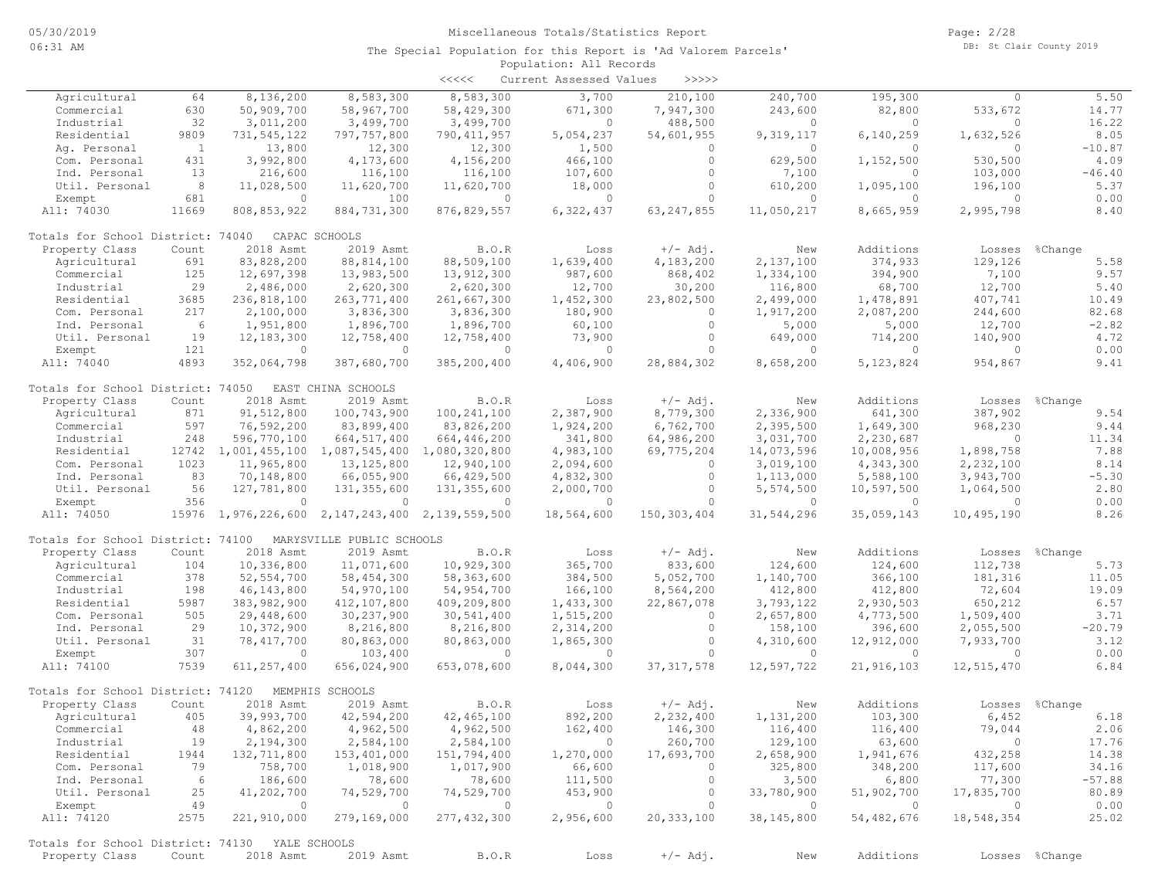|                                                      |                |                          |                                                 | $\prec\prec\prec\prec\prec$ | Current Assessed Values | >>>>>         |              |            |            |                |
|------------------------------------------------------|----------------|--------------------------|-------------------------------------------------|-----------------------------|-------------------------|---------------|--------------|------------|------------|----------------|
| Agricultural                                         | 64             | 8,136,200                | 8,583,300                                       | 8,583,300                   | 3,700                   | 210,100       | 240,700      | 195,300    | 0          | 5.50           |
| Commercial                                           | 630            | 50,909,700               | 58,967,700                                      | 58,429,300                  | 671,300                 | 7,947,300     | 243,600      | 82,800     | 533,672    | 14.77          |
| Industrial                                           | 32             | 3,011,200                | 3,499,700                                       | 3,499,700                   | $\circ$                 | 488,500       | $\Omega$     | $\circ$    | $\circ$    | 16.22          |
| Residential                                          | 9809           | 731,545,122              | 797,757,800                                     | 790, 411, 957               | 5,054,237               | 54,601,955    | 9,319,117    | 6,140,259  | 1,632,526  | 8.05           |
| Ag. Personal                                         | $\overline{1}$ | 13,800                   | 12,300                                          | 12,300                      | 1,500                   | 0             | $\Omega$     | $\Omega$   | $\circ$    | $-10.87$       |
| Com. Personal                                        | 431            | 3,992,800                | 4,173,600                                       | 4,156,200                   | 466,100                 | $\circ$       | 629,500      | 1,152,500  | 530,500    | 4.09           |
| Ind. Personal                                        | 13             | 216,600                  | 116,100                                         | 116,100                     | 107,600                 | $\circ$       | 7,100        | $\circ$    | 103,000    | $-46.40$       |
| Util. Personal                                       | 8 <sup>8</sup> | 11,028,500               | 11,620,700                                      | 11,620,700                  | 18,000                  | $\circ$       | 610,200      | 1,095,100  | 196,100    | 5.37           |
| Exempt                                               | 681            | $\circ$                  | 100                                             | $\Omega$                    | $\circ$                 | $\Omega$      | $\Omega$     | $\circ$    | $\circ$    | 0.00           |
| All: 74030                                           | 11669          | 808, 853, 922            | 884,731,300                                     | 876, 829, 557               | 6,322,437               | 63, 247, 855  | 11,050,217   | 8,665,959  | 2,995,798  | 8.40           |
| Totals for School District: 74040                    |                |                          | CAPAC SCHOOLS                                   |                             |                         |               |              |            |            |                |
| Property Class                                       | Count          | 2018 Asmt                | 2019 Asmt                                       | B.O.R                       | Loss                    | $+/-$ Adj.    | New          | Additions  | Losses     | %Change        |
| Agricultural                                         | 691            | 83,828,200               | 88, 814, 100                                    | 88,509,100                  | 1,639,400               | 4,183,200     | 2,137,100    | 374,933    | 129,126    | 5.58           |
| Commercial                                           | 125            | 12,697,398               | 13,983,500                                      | 13,912,300                  | 987,600                 | 868,402       | 1,334,100    | 394,900    | 7,100      | 9.57           |
| Industrial                                           | 29             | 2,486,000                | 2,620,300                                       | 2,620,300                   | 12,700                  | 30,200        | 116,800      | 68,700     | 12,700     | 5.40           |
| Residential                                          | 3685           | 236,818,100              | 263,771,400                                     | 261,667,300                 | 1,452,300               | 23,802,500    | 2,499,000    | 1,478,891  | 407,741    | 10.49          |
| Com. Personal                                        | 217            | 2,100,000                | 3,836,300                                       | 3,836,300                   | 180,900                 | $\circ$       | 1,917,200    | 2,087,200  | 244,600    | 82.68          |
| Ind. Personal                                        | 6              | 1,951,800                | 1,896,700                                       | 1,896,700                   | 60,100                  | $\circ$       | 5,000        | 5,000      | 12,700     | $-2.82$        |
| Util. Personal                                       | 19             | 12,183,300               | 12,758,400                                      | 12,758,400                  | 73,900                  | $\circ$       | 649,000      | 714,200    | 140,900    | 4.72           |
| Exempt                                               | 121            | $\Omega$                 | $\Omega$                                        | $\Omega$                    | $\Omega$                | $\cap$        | $\Omega$     | $\Omega$   | $\circ$    | 0.00           |
| All: 74040                                           | 4893           | 352,064,798              | 387,680,700                                     | 385,200,400                 | 4,406,900               | 28,884,302    | 8,658,200    | 5,123,824  | 954,867    | 9.41           |
| Totals for School District: 74050 EAST CHINA SCHOOLS |                |                          |                                                 |                             |                         |               |              |            |            |                |
| Property Class                                       | Count          | 2018 Asmt                | 2019 Asmt                                       | B.O.R                       | Loss                    | $+/-$ Adj.    | New          | Additions  | Losses     | %Change        |
| Agricultural                                         | 871            | 91,512,800               | 100,743,900                                     | 100, 241, 100               | 2,387,900               | 8,779,300     | 2,336,900    | 641,300    | 387,902    | 9.54           |
| Commercial                                           | 597            | 76,592,200               | 83,899,400                                      | 83,826,200                  | 1,924,200               | 6,762,700     | 2,395,500    | 1,649,300  | 968,230    | 9.44           |
| Industrial                                           | 248            | 596,770,100              | 664, 517, 400                                   | 664, 446, 200               | 341,800                 | 64,986,200    | 3,031,700    | 2,230,687  | $\circ$    | 11.34          |
| Residential                                          |                |                          | 12742 1,001,455,100 1,087,545,400 1,080,320,800 |                             | 4,983,100               | 69,775,204    | 14,073,596   | 10,008,956 | 1,898,758  | 7.88           |
| Com. Personal                                        | 1023           | 11,965,800               | 13, 125, 800                                    | 12,940,100                  | 2,094,600               | $\circ$       | 3,019,100    | 4,343,300  | 2,232,100  | 8.14           |
| Ind. Personal                                        | 83             | 70,148,800               | 66,055,900                                      | 66,429,500                  | 4,832,300               | $\circ$       | 1,113,000    | 5,588,100  | 3,943,700  | $-5.30$        |
| Util. Personal                                       | 56             | 127,781,800              | 131,355,600                                     | 131, 355, 600               | 2,000,700               | $\circ$       | 5,574,500    | 10,597,500 | 1,064,500  | 2.80           |
| Exempt                                               | 356            | $\circ$                  | $\overline{0}$                                  | $\overline{0}$              | $\circ$                 | $\Omega$      | $\Omega$     | $\circ$    | $\circ$    | 0.00           |
| All: 74050                                           |                |                          | 15976 1,976,226,600 2,147,243,400               | 2,139,559,500               | 18,564,600              | 150, 303, 404 | 31,544,296   | 35,059,143 | 10,495,190 | 8.26           |
| Totals for School District: 74100                    |                |                          | MARYSVILLE PUBLIC SCHOOLS                       |                             |                         |               |              |            |            |                |
| Property Class                                       | Count          | 2018 Asmt                | 2019 Asmt                                       | B.O.R                       | Loss                    | $+/-$ Adj.    | New          | Additions  | Losses     | %Change        |
| Agricultural                                         | 104            | 10,336,800               | 11,071,600                                      | 10,929,300                  | 365,700                 | 833,600       | 124,600      | 124,600    | 112,738    | 5.73           |
| Commercial                                           | 378            | 52, 554, 700             | 58,454,300                                      | 58,363,600                  | 384,500                 | 5,052,700     | 1,140,700    | 366,100    | 181,316    | 11.05          |
| Industrial                                           | 198            | 46, 143, 800             | 54,970,100                                      | 54,954,700                  | 166,100                 | 8,564,200     | 412,800      | 412,800    | 72,604     | 19.09          |
| Residential                                          | 5987           | 383,982,900              | 412,107,800                                     | 409,209,800                 | 1,433,300               | 22,867,078    | 3,793,122    | 2,930,503  | 650,212    | 6.57           |
| Com. Personal                                        | 505            | 29,448,600               | 30,237,900                                      | 30,541,400                  | 1,515,200               | $\circ$       | 2,657,800    | 4,773,500  | 1,509,400  | 3.71           |
| Ind. Personal                                        | 29             | 10,372,900               | 8,216,800                                       | 8,216,800                   | 2,314,200               | $\circ$       | 158,100      | 396,600    | 2,055,500  | $-20.79$       |
| Util. Personal                                       | 31             | 78,417,700               | 80,863,000                                      | 80,863,000                  | 1,865,300               | $\circ$       | 4,310,600    | 12,912,000 | 7,933,700  | 3.12           |
| Exempt                                               | 307            | $\circ$                  | 103,400                                         | $\Omega$                    | $\circ$                 | $\Omega$      | $\circ$      | $\circ$    | $\circ$    | 0.00           |
| All: 74100                                           | 7539           | 611, 257, 400            | 656,024,900                                     | 653,078,600                 | 8,044,300               | 37, 317, 578  | 12,597,722   | 21,916,103 | 12,515,470 | 6.84           |
| Totals for School District: 74120                    |                |                          | MEMPHIS SCHOOLS                                 |                             |                         |               |              |            |            |                |
| Property Class                                       | Count          | 2018 Asmt                | 2019 Asmt                                       | <b>B.O.R</b>                | Loss                    | $+/-$ Adj.    | New          | Additions  | Losses     | %Change        |
| Agricultural                                         | 405            | 39,993,700               | 42,594,200                                      | 42,465,100                  | 892,200                 | 2,232,400     | 1,131,200    | 103,300    | 6,452      | 6.18           |
| Commercial                                           | 48             | 4,862,200                | 4,962,500                                       | 4,962,500                   | 162,400                 | 146,300       | 116,400      | 116,400    | 79,044     | 2.06           |
| Industrial                                           | 19             | 2,194,300                | 2,584,100                                       | 2,584,100                   | $\sim$ 0                | 260,700       | 129,100      | 63,600     | $\circ$    | 17.76          |
| Residential                                          | 1944           | 132,711,800              | 153,401,000                                     | 151,794,400                 | 1,270,000               | 17,693,700    | 2,658,900    | 1,941,676  | 432,258    | 14.38          |
| Com. Personal                                        | 79             | 758,700                  | 1,018,900                                       | 1,017,900                   | 66,600                  | $\circ$       | 325,800      | 348,200    | 117,600    | 34.16          |
| Ind. Personal                                        | 6              | 186,600                  | 78,600                                          | 78,600                      | 111,500                 | $\circ$       | 3,500        | 6,800      | 77,300     | $-57.88$       |
| Util. Personal                                       | 25             | 41,202,700               | 74,529,700                                      | 74,529,700                  | 453,900                 | $\circ$       | 33,780,900   | 51,902,700 | 17,835,700 | 80.89          |
| Exempt                                               | 49             | $\overline{\phantom{0}}$ | $\overline{0}$                                  | $\overline{0}$              | $\overline{0}$          | $\circ$       | $\circ$      | $\sim$ 0   | $\circ$    | 0.00           |
| All: 74120                                           | 2575           | 221,910,000              | 279,169,000                                     | 277,432,300                 | 2,956,600               | 20, 333, 100  | 38, 145, 800 | 54,482,676 | 18,548,354 | 25.02          |
| Totals for School District: 74130 YALE SCHOOLS       |                |                          |                                                 |                             |                         |               |              |            |            |                |
| Property Class                                       | Count          | 2018 Asmt                | 2019 Asmt                                       | B.O.R                       | Loss                    | $+/-$ Adj.    | New          | Additions  |            | Losses %Change |
|                                                      |                |                          |                                                 |                             |                         |               |              |            |            |                |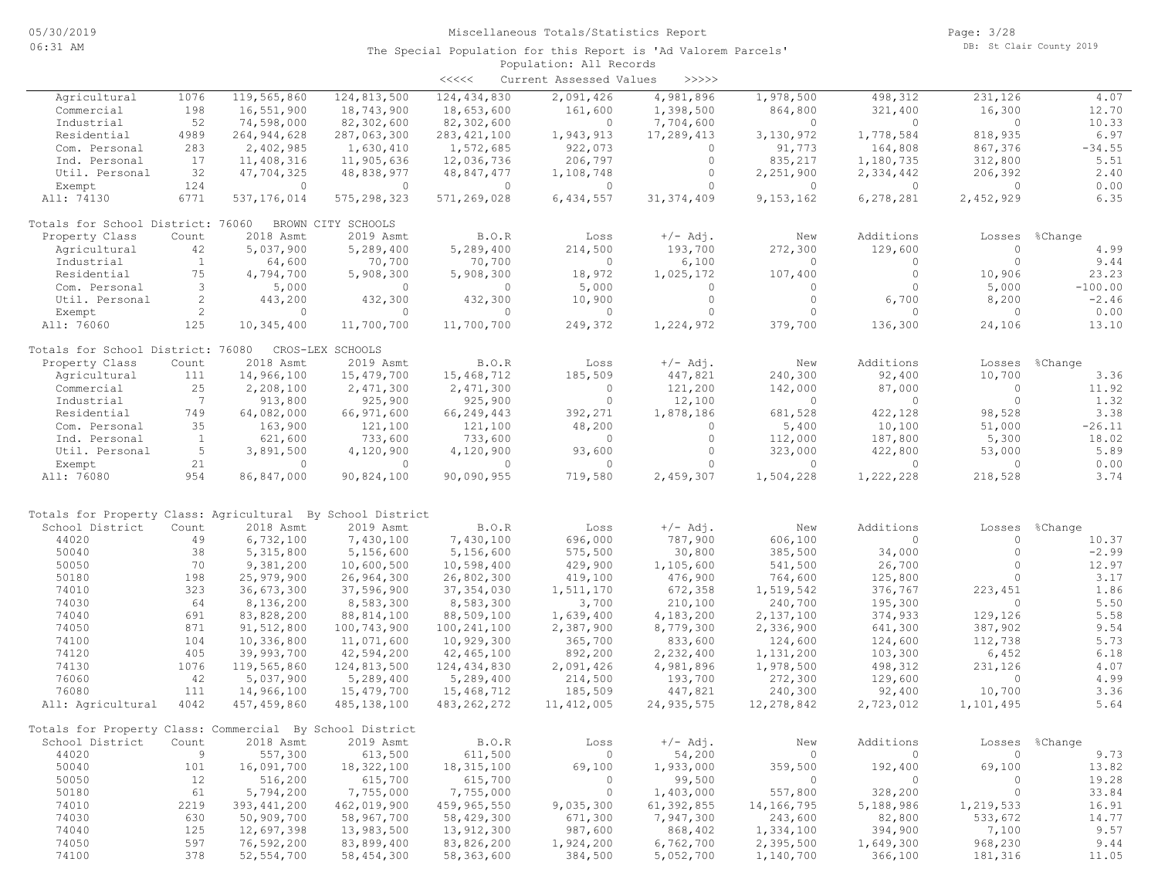|                                                            |                |               |                    | $\prec\prec\prec\prec\prec$ | Current Assessed Values | $>>>>>$      |                |           |           |           |
|------------------------------------------------------------|----------------|---------------|--------------------|-----------------------------|-------------------------|--------------|----------------|-----------|-----------|-----------|
| Agricultural                                               | 1076           | 119,565,860   | 124,813,500        | 124, 434, 830               | 2,091,426               | 4,981,896    | 1,978,500      | 498,312   | 231,126   | 4.07      |
| Commercial                                                 | 198            | 16,551,900    | 18,743,900         | 18,653,600                  | 161,600                 | 1,398,500    | 864,800        | 321,400   | 16,300    | 12.70     |
| Industrial                                                 | 52             | 74,598,000    | 82,302,600         | 82,302,600                  | $\overline{0}$          | 7,704,600    | $\Omega$       | $\Omega$  | $\circ$   | 10.33     |
| Residential                                                | 4989           | 264, 944, 628 | 287,063,300        | 283, 421, 100               | 1,943,913               | 17,289,413   | 3,130,972      | 1,778,584 | 818,935   | 6.97      |
| Com. Personal                                              | 283            | 2,402,985     | 1,630,410          | 1,572,685                   | 922,073                 | $\circ$      | 91,773         | 164,808   | 867,376   | $-34.55$  |
| Ind. Personal                                              | 17             | 11,408,316    | 11,905,636         | 12,036,736                  | 206,797                 | $\circ$      | 835,217        | 1,180,735 | 312,800   | 5.51      |
| Util. Personal                                             | 32             | 47,704,325    | 48,838,977         | 48,847,477                  | 1,108,748               | $\circ$      | 2,251,900      | 2,334,442 | 206,392   | 2.40      |
| Exempt                                                     | 124            | $\circ$       | $\overline{0}$     | $\circ$                     | $\circ$                 | $\circ$      | $\overline{0}$ | $\circ$   | $\circ$   | 0.00      |
| All: 74130                                                 | 6771           | 537, 176, 014 | 575, 298, 323      | 571,269,028                 | 6,434,557               | 31, 374, 409 | 9,153,162      | 6,278,281 | 2,452,929 | 6.35      |
| Totals for School District: 76060                          |                |               | BROWN CITY SCHOOLS |                             |                         |              |                |           |           |           |
| Property Class                                             | Count          | 2018 Asmt     | 2019 Asmt          | B.O.R                       | Loss                    | $+/-$ Adj.   | New            | Additions | Losses    | %Change   |
| Agricultural                                               | 42             | 5,037,900     | 5,289,400          | 5,289,400                   | 214,500                 | 193,700      | 272,300        | 129,600   | $\circ$   | 4.99      |
| Industrial                                                 | <sup>1</sup>   | 64,600        | 70,700             | 70,700                      | $\Omega$                | 6,100        | $\Omega$       | $\Omega$  | $\circ$   | 9.44      |
| Residential                                                | 75             | 4,794,700     | 5,908,300          | 5,908,300                   | 18,972                  | 1,025,172    | 107,400        | $\circ$   | 10,906    | 23.23     |
| Com. Personal                                              | 3              | 5,000         | $\circ$            | $\circ$                     | 5,000                   | $\circ$      | $\circ$        | $\circ$   | 5,000     | $-100.00$ |
| Util. Personal                                             | 2              | 443,200       | 432,300            | 432,300                     | 10,900                  | $\circ$      | $\circ$        | 6,700     | 8,200     | $-2.46$   |
| Exempt                                                     | $\overline{2}$ | $\circ$       | $\circ$            | $\Omega$                    | $\circ$                 | $\Omega$     | $\Omega$       | $\Omega$  | $\Omega$  | 0.00      |
| All: 76060                                                 | 125            | 10,345,400    | 11,700,700         | 11,700,700                  | 249,372                 | 1,224,972    | 379,700        | 136,300   | 24,106    | 13.10     |
| Totals for School District: 76080                          |                |               | CROS-LEX SCHOOLS   |                             |                         |              |                |           |           |           |
| Property Class                                             | Count          | 2018 Asmt     | 2019 Asmt          | B.O.R                       | Loss                    | $+/-$ Adj.   | New            | Additions | Losses    | %Change   |
| Agricultural                                               | 111            | 14,966,100    | 15,479,700         | 15,468,712                  | 185,509                 | 447,821      | 240,300        | 92,400    | 10,700    | 3.36      |
| Commercial                                                 | 25             | 2,208,100     | 2,471,300          | 2,471,300                   | $\circ$                 | 121,200      | 142,000        | 87,000    | $\circ$   | 11.92     |
| Industrial                                                 | $\overline{7}$ | 913,800       | 925,900            | 925,900                     | $\circ$                 | 12,100       | $\overline{0}$ | $\circ$   | $\circ$   | 1.32      |
| Residential                                                | 749            | 64,082,000    | 66,971,600         | 66,249,443                  | 392,271                 | 1,878,186    | 681,528        | 422,128   | 98,528    | 3.38      |
| Com. Personal                                              | 35             | 163,900       | 121,100            | 121,100                     | 48,200                  | $\circ$      | 5,400          | 10,100    | 51,000    | $-26.11$  |
| Ind. Personal                                              | $\mathbf{1}$   | 621,600       | 733,600            | 733,600                     | $\circ$                 | $\circ$      | 112,000        | 187,800   | 5,300     | 18.02     |
| Util. Personal                                             | 5              | 3,891,500     | 4,120,900          | 4,120,900                   | 93,600                  | $\circ$      | 323,000        | 422,800   | 53,000    | 5.89      |
| Exempt                                                     | 21             | $\Omega$      | $\overline{0}$     | $\Omega$                    | $\Omega$                | $\Omega$     | $\Omega$       | $\Omega$  | $\circ$   | 0.00      |
| All: 76080                                                 | 954            | 86,847,000    | 90,824,100         | 90,090,955                  | 719,580                 | 2,459,307    | 1,504,228      | 1,222,228 | 218,528   | 3.74      |
| Totals for Property Class: Agricultural By School District |                |               |                    |                             |                         |              |                |           |           |           |
| School District                                            | Count          | 2018 Asmt     | 2019 Asmt          | B.O.R                       | Loss                    | $+/-$ Adj.   | New            | Additions | Losses    | %Change   |
| 44020                                                      | 49             | 6,732,100     | 7,430,100          | 7,430,100                   | 696,000                 | 787,900      | 606,100        | $\circ$   | $\circ$   | 10.37     |
| 50040                                                      | 38             | 5,315,800     | 5,156,600          | 5,156,600                   | 575,500                 | 30,800       | 385,500        | 34,000    | $\circ$   | $-2.99$   |
| 50050                                                      | 70             | 9,381,200     | 10,600,500         | 10,598,400                  | 429,900                 | 1,105,600    | 541,500        | 26,700    | $\circ$   | 12.97     |
| 50180                                                      | 198            | 25,979,900    | 26,964,300         | 26,802,300                  | 419,100                 | 476,900      | 764,600        | 125,800   | $\Omega$  | 3.17      |
| 74010                                                      | 323            | 36,673,300    | 37,596,900         | 37, 354, 030                | 1,511,170               | 672,358      | 1,519,542      | 376,767   | 223, 451  | 1.86      |
| 74030                                                      | 64             | 8,136,200     | 8,583,300          | 8,583,300                   | 3,700                   | 210,100      | 240,700        | 195,300   | $\circ$   | 5.50      |
| 74040                                                      | 691            | 83,828,200    | 88,814,100         | 88,509,100                  | 1,639,400               | 4,183,200    | 2,137,100      | 374,933   | 129,126   | 5.58      |
| 74050                                                      | 871            | 91,512,800    | 100,743,900        | 100, 241, 100               | 2,387,900               | 8,779,300    | 2,336,900      | 641,300   | 387,902   | 9.54      |
| 74100                                                      | 104            | 10,336,800    | 11,071,600         | 10,929,300                  | 365,700                 | 833,600      | 124,600        | 124,600   | 112,738   | 5.73      |
| 74120                                                      | 405            | 39,993,700    | 42,594,200         | 42,465,100                  | 892,200                 | 2,232,400    | 1,131,200      | 103,300   | 6,452     | 6.18      |
| 74130                                                      | 1076           | 119,565,860   | 124,813,500        | 124, 434, 830               | 2,091,426               | 4,981,896    | 1,978,500      | 498,312   | 231,126   | 4.07      |
| 76060                                                      | 42             | 5,037,900     | 5,289,400          | 5,289,400                   | 214,500                 | 193,700      | 272,300        | 129,600   | $\Omega$  | 4.99      |
| 76080                                                      | 111            | 14,966,100    | 15,479,700         | 15,468,712                  | 185,509                 | 447,821      | 240,300        | 92,400    | 10,700    | 3.36      |
| All: Agricultural                                          | 4042           | 457,459,860   | 485,138,100        | 483, 262, 272               | 11, 412, 005            | 24, 935, 575 | 12,278,842     | 2,723,012 | 1,101,495 | 5.64      |
| Totals for Property Class: Commercial By School District   |                |               |                    |                             |                         |              |                |           |           |           |
| School District                                            | Count          | 2018 Asmt     | 2019 Asmt          | B.O.R                       | Loss                    | $+/-$ Adj.   | New            | Additions | Losses    | %Change   |
| 44020                                                      | 9              | 557,300       | 613,500            | 611,500                     | $\circ$                 | 54,200       | $\circ$        | $\circ$   | $\circ$   | 9.73      |
| 50040                                                      | 101            | 16,091,700    | 18,322,100         | 18, 315, 100                | 69,100                  | 1,933,000    | 359,500        | 192,400   | 69,100    | 13.82     |
| 50050                                                      | 12             | 516,200       | 615,700            | 615,700                     | $\circ$                 | 99,500       | $\circ$        | 0         | 0         | 19.28     |
| 50180                                                      | 61             | 5,794,200     | 7,755,000          | 7,755,000                   | $\circ$                 | 1,403,000    | 557,800        | 328,200   | $\circ$   | 33.84     |
| 74010                                                      | 2219           | 393, 441, 200 | 462,019,900        | 459,965,550                 | 9,035,300               | 61,392,855   | 14,166,795     | 5,188,986 | 1,219,533 | 16.91     |
| 74030                                                      | 630            | 50,909,700    | 58,967,700         | 58,429,300                  | 671,300                 | 7,947,300    | 243,600        | 82,800    | 533,672   | 14.77     |
| 74040                                                      | 125            | 12,697,398    | 13,983,500         | 13,912,300                  | 987,600                 | 868,402      | 1,334,100      | 394,900   | 7,100     | 9.57      |
| 74050                                                      | 597            | 76,592,200    | 83,899,400         | 83,826,200                  | 1,924,200               | 6,762,700    | 2,395,500      | 1,649,300 | 968,230   | 9.44      |
| 74100                                                      | 378            | 52, 554, 700  | 58, 454, 300       | 58,363,600                  | 384,500                 | 5,052,700    | 1,140,700      | 366,100   | 181,316   | 11.05     |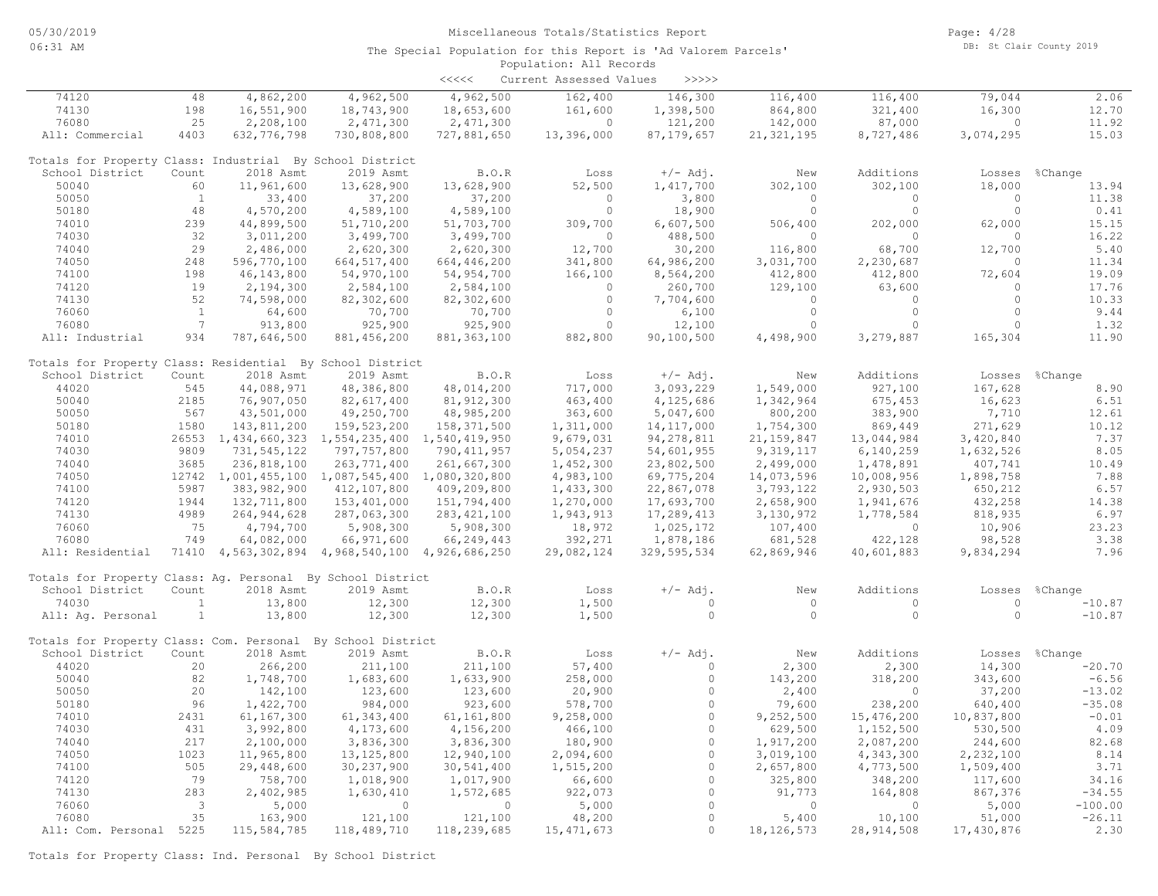|                                                             |                          |                                                 |                | <<<<          | Current Assessed Values | >>>>>               |                |              |            |                |
|-------------------------------------------------------------|--------------------------|-------------------------------------------------|----------------|---------------|-------------------------|---------------------|----------------|--------------|------------|----------------|
| 74120                                                       | 48                       | 4,862,200                                       | 4,962,500      | 4,962,500     | 162,400                 | 146,300             | 116,400        | 116,400      | 79,044     | 2.06           |
| 74130                                                       | 198                      | 16,551,900                                      | 18,743,900     | 18,653,600    | 161,600                 | 1,398,500           | 864,800        | 321,400      | 16,300     | 12.70          |
| 76080                                                       | 25                       | 2,208,100                                       | 2,471,300      | 2,471,300     | $\Omega$                | 121,200             | 142,000        | 87,000       | $\Omega$   | 11.92          |
| All: Commercial                                             | 4403                     | 632, 776, 798                                   | 730,808,800    | 727,881,650   | 13,396,000              | 87, 179, 657        | 21, 321, 195   | 8,727,486    | 3,074,295  | 15.03          |
| Totals for Property Class: Industrial By School District    |                          |                                                 |                |               |                         |                     |                |              |            |                |
| School District                                             | Count                    | 2018 Asmt                                       | 2019 Asmt      | B.O.R         | Loss                    | $+/-$ Adj.          | New            | Additions    | Losses     | %Change        |
| 50040                                                       | 60                       | 11,961,600                                      | 13,628,900     | 13,628,900    | 52,500                  | 1,417,700           | 302,100        | 302,100      | 18,000     | 13.94          |
| 50050                                                       | $\mathbf{1}$             | 33,400                                          | 37,200         | 37,200        | $\Omega$                | 3,800               | $\Omega$       | $\circ$      | $\Omega$   | 11.38          |
| 50180                                                       | 48                       | 4,570,200                                       | 4,589,100      | 4,589,100     | $\circ$                 | 18,900              | $\circ$        | $\circ$      | $\circ$    | 0.41           |
| 74010                                                       | 239                      | 44,899,500                                      | 51,710,200     | 51,703,700    | 309,700                 | 6,607,500           | 506,400        | 202,000      | 62,000     | 15.15          |
| 74030                                                       | 32                       | 3,011,200                                       | 3,499,700      | 3,499,700     | $\circ$                 | 488,500             | $\circ$        | $\circ$      | $\circ$    | 16.22          |
| 74040                                                       | 29                       | 2,486,000                                       | 2,620,300      | 2,620,300     | 12,700                  | 30,200              | 116,800        | 68,700       | 12,700     | 5.40           |
| 74050                                                       | 248                      | 596,770,100                                     | 664, 517, 400  | 664,446,200   | 341,800                 | 64,986,200          | 3,031,700      | 2,230,687    | $\circ$    | 11.34          |
| 74100                                                       | 198                      | 46, 143, 800                                    | 54,970,100     | 54,954,700    | 166,100                 | 8,564,200           | 412,800        | 412,800      | 72,604     | 19.09          |
| 74120                                                       | 19                       | 2,194,300                                       | 2,584,100      | 2,584,100     | $\circ$                 | 260,700             | 129,100        | 63,600       | $\circ$    | 17.76          |
| 74130                                                       | 52                       | 74,598,000                                      | 82,302,600     | 82,302,600    | $\circ$                 | 7,704,600           | $\circ$        | $\circ$      | $\circ$    | 10.33          |
| 76060                                                       | <sup>1</sup>             | 64,600                                          | 70,700         | 70,700        | $\circ$                 | 6,100               | $\circ$        | $\circ$      | $\circ$    | 9.44           |
| 76080                                                       | $7\overline{ }$          | 913,800                                         | 925,900        | 925,900       | $\Omega$                | 12,100              | $\Omega$       | $\Omega$     | $\Omega$   | 1.32           |
| All: Industrial                                             | 934                      | 787,646,500                                     | 881, 456, 200  | 881, 363, 100 | 882,800                 | 90,100,500          | 4,498,900      | 3,279,887    | 165,304    | 11.90          |
| Totals for Property Class: Residential By School District   |                          |                                                 |                |               |                         |                     |                |              |            |                |
| School District                                             | Count                    | 2018 Asmt                                       | 2019 Asmt      | B.O.R         | Loss                    | $+/-$ Adj.          | New            | Additions    |            | Losses %Change |
| 44020                                                       | 545                      | 44,088,971                                      | 48,386,800     | 48,014,200    | 717,000                 | 3,093,229           | 1,549,000      | 927,100      | 167,628    | 8.90           |
| 50040                                                       | 2185                     | 76,907,050                                      | 82,617,400     | 81, 912, 300  | 463,400                 | 4,125,686           | 1,342,964      | 675,453      | 16,623     | 6.51           |
| 50050                                                       | 567                      | 43,501,000                                      | 49,250,700     | 48,985,200    | 363,600                 | 5,047,600           | 800,200        | 383,900      | 7,710      | 12.61          |
| 50180                                                       | 1580                     | 143,811,200                                     | 159,523,200    | 158,371,500   | 1,311,000               | 14, 117, 000        | 1,754,300      | 869,449      | 271,629    | 10.12          |
| 74010                                                       |                          | 26553 1,434,660,323 1,554,235,400 1,540,419,950 |                |               | 9,679,031               | 94, 278, 811        | 21, 159, 847   | 13,044,984   | 3,420,840  | 7.37           |
| 74030                                                       | 9809                     | 731, 545, 122                                   | 797,757,800    | 790, 411, 957 | 5,054,237               | 54,601,955          | 9,319,117      | 6, 140, 259  | 1,632,526  | 8.05           |
| 74040                                                       | 3685                     | 236,818,100                                     | 263, 771, 400  | 261,667,300   | 1,452,300               | 23,802,500          | 2,499,000      | 1,478,891    | 407,741    | 10.49          |
| 74050                                                       |                          | 12742 1,001,455,100 1,087,545,400 1,080,320,800 |                |               | 4,983,100               | 69,775,204          | 14,073,596     | 10,008,956   | 1,898,758  | 7.88           |
| 74100                                                       | 5987                     | 383,982,900                                     | 412,107,800    | 409,209,800   | 1,433,300               | 22,867,078          | 3,793,122      | 2,930,503    | 650,212    | 6.57           |
| 74120                                                       | 1944                     | 132,711,800                                     | 153,401,000    | 151,794,400   | 1,270,000               | 17,693,700          | 2,658,900      | 1,941,676    | 432,258    | 14.38          |
| 74130                                                       | 4989                     | 264, 944, 628                                   | 287,063,300    | 283, 421, 100 | 1,943,913               | 17,289,413          | 3,130,972      | 1,778,584    | 818,935    | 6.97           |
| 76060                                                       | 75                       | 4,794,700                                       | 5,908,300      | 5,908,300     | 18,972                  | 1,025,172           | 107,400        | $\circ$      | 10,906     | 23.23          |
| 76080                                                       | 749                      | 64,082,000                                      | 66,971,600     | 66,249,443    | 392,271                 | 1,878,186           | 681,528        | 422,128      | 98,528     | 3.38           |
| All: Residential                                            |                          | 71410 4,563,302,894 4,968,540,100 4,926,686,250 |                |               | 29,082,124              | 329,595,534         | 62,869,946     | 40,601,883   | 9,834,294  | 7.96           |
| Totals for Property Class: Aq. Personal By School District  |                          |                                                 |                |               |                         |                     |                |              |            |                |
| School District                                             | Count                    | 2018 Asmt                                       | 2019 Asmt      | B.O.R         | Loss                    | $+/-$ Adj.          | New            | Additions    | Losses     | %Change        |
| 74030                                                       | $\mathbf{1}$             | 13,800                                          | 12,300         | 12,300        | 1,500                   | $\circ$             | $\circ$        | $\circ$      | $\circ$    | $-10.87$       |
| All: Aq. Personal                                           | $\mathbf{1}$             | 13,800                                          | 12,300         | 12,300        | 1,500                   | $\Omega$            | $\Omega$       | $\circ$      | $\Omega$   | $-10.87$       |
| Totals for Property Class: Com. Personal By School District |                          |                                                 |                |               |                         |                     |                |              |            |                |
| School District                                             | Count                    | 2018 Asmt                                       | 2019 Asmt      | B.O.R         | Loss                    | $+/-$ Adj.          | New            | Additions    | Losses     | %Change        |
| 44020                                                       | 20                       | 266,200                                         | 211,100        | 211,100       | 57,400                  | $\Omega$            | 2,300          | 2,300        | 14,300     | $-20.70$       |
| 50040                                                       | 82                       | 1,748,700                                       | 1,683,600      | 1,633,900     | 258,000                 | $\circ$             | 143,200        | 318,200      | 343,600    | $-6.56$        |
| 50050                                                       | 20                       | 142,100                                         | 123,600        | 123,600       | 20,900                  | $\circ$             | 2,400          | $\circ$      | 37,200     | $-13.02$       |
| 50180                                                       | 96                       | 1,422,700                                       | 984,000        | 923,600       | 578,700                 | $\circ$             | 79,600         | 238,200      | 640,400    | $-35.08$       |
| 74010                                                       | 2431                     | 61,167,300                                      | 61, 343, 400   | 61,161,800    | 9,258,000               | $\circ$             | 9,252,500      | 15,476,200   | 10,837,800 | $-0.01$        |
| 74030                                                       | 431                      | 3,992,800                                       | 4,173,600      | 4,156,200     | 466,100                 | $\circ$             | 629,500        | 1,152,500    | 530,500    | 4.09           |
| 74040                                                       | 217                      | 2,100,000                                       | 3,836,300      | 3,836,300     | 180,900                 | $\Omega$            | 1,917,200      | 2,087,200    | 244,600    | 82.68          |
| 74050                                                       | 1023                     | 11,965,800                                      | 13, 125, 800   | 12,940,100    | 2,094,600               | $\Omega$            | 3,019,100      | 4,343,300    | 2,232,100  | 8.14           |
| 74100                                                       | 505                      | 29,448,600                                      | 30, 237, 900   | 30,541,400    | 1,515,200               | $\circ$             | 2,657,800      | 4,773,500    | 1,509,400  | 3.71           |
| 74120                                                       | 79                       | 758,700                                         | 1,018,900      | 1,017,900     | 66,600                  | $\circ$             | 325,800        | 348,200      | 117,600    | 34.16          |
| 74130                                                       | 283                      | 2,402,985                                       | 1,630,410      | 1,572,685     | 922,073                 | $\circ$             | 91,773         | 164,808      | 867,376    | $-34.55$       |
| 76060                                                       | $\overline{\phantom{a}}$ | 5,000                                           | $\overline{0}$ | $\circ$       | 5,000                   | $\circ$             | $\overline{0}$ | $\circ$      | 5,000      | $-100.00$      |
| 76080                                                       | 35                       | 163,900                                         | 121,100        | 121,100       | 48,200                  | $\circ$<br>$\Omega$ | 5,400          | 10,100       | 51,000     | $-26.11$       |
| All: Com. Personal 5225                                     |                          | 115,584,785                                     | 118,489,710    | 118,239,685   | 15, 471, 673            |                     | 18, 126, 573   | 28, 914, 508 | 17,430,876 | 2.30           |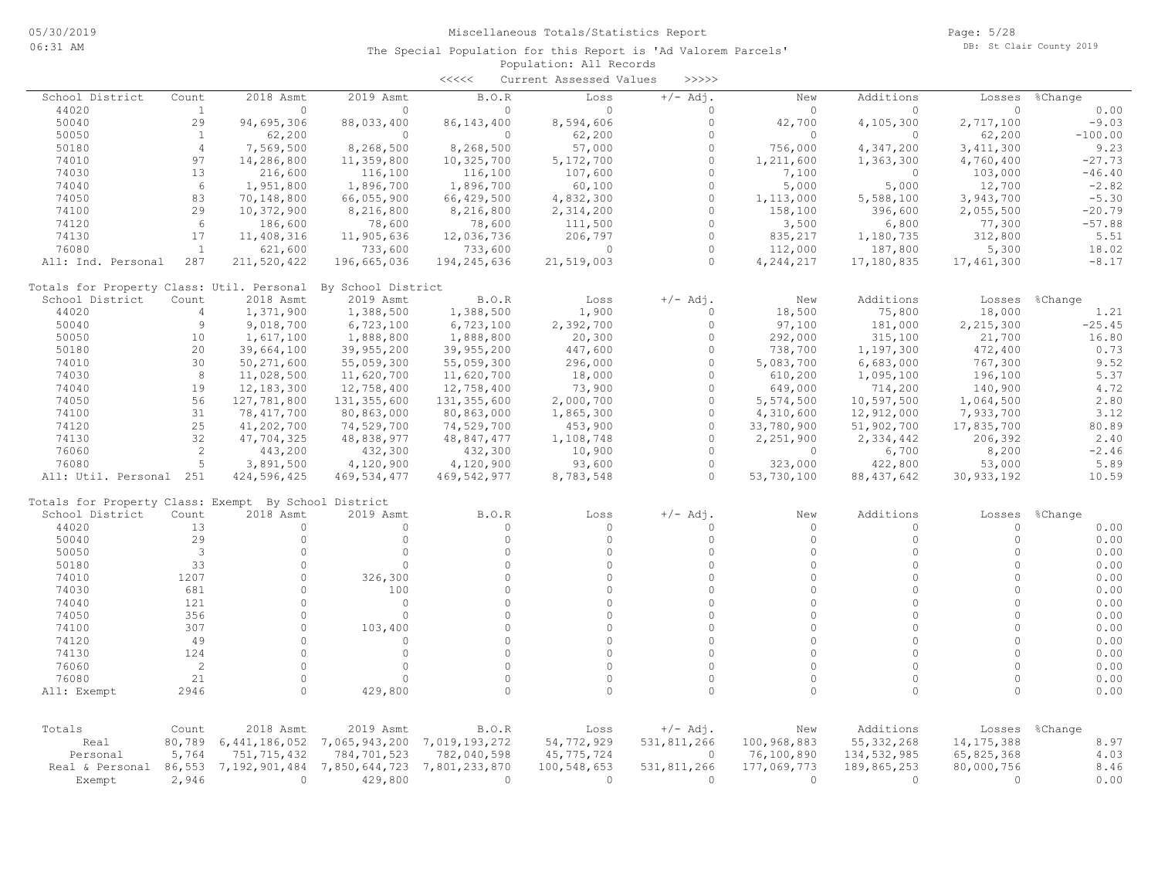|                                                      |                |                      |                    | $\begin{array}{c} \begin{array}{c} < \  \  < \  \  < \end{array} \end{array}$ | Current Assessed Values | >>>>>       |             |                  |              |           |
|------------------------------------------------------|----------------|----------------------|--------------------|-------------------------------------------------------------------------------|-------------------------|-------------|-------------|------------------|--------------|-----------|
| School District                                      | Count          | 2018 Asmt            | 2019 Asmt          | B.O.R                                                                         | Loss                    | $+/-$ Adj.  | New         | Additions        | Losses       | %Change   |
| 44020                                                | $\mathbf{1}$   | $\circ$              | $\Omega$           | 0                                                                             | $\Omega$                | $\Omega$    | 0           | $\circ$          | $\Omega$     | 0.00      |
| 50040                                                | 29             | 94,695,306           | 88,033,400         | 86, 143, 400                                                                  | 8,594,606               | $\circ$     | 42,700      | 4,105,300        | 2,717,100    | $-9.03$   |
| 50050                                                | <sup>1</sup>   | 62,200               | $\circ$            | $\circ$                                                                       | 62,200                  | $\Omega$    | $\Omega$    | $\circ$          | 62,200       | $-100.00$ |
| 50180                                                | $\overline{4}$ | 7,569,500            | 8,268,500          | 8,268,500                                                                     | 57,000                  | $\Omega$    | 756,000     | 4,347,200        | 3, 411, 300  | 9.23      |
| 74010                                                | 97             | 14,286,800           | 11,359,800         | 10,325,700                                                                    | 5,172,700               | $\Omega$    | 1,211,600   | 1,363,300        | 4,760,400    | $-27.73$  |
| 74030                                                | 13             | 216,600              | 116,100            | 116,100                                                                       | 107,600                 | $\Omega$    | 7,100       | $\circ$          | 103,000      | $-46.40$  |
| 74040                                                | 6              | 1,951,800            | 1,896,700          | 1,896,700                                                                     | 60,100                  | $\Omega$    | 5,000       | 5,000            | 12,700       | $-2.82$   |
| 74050                                                | 83             | 70,148,800           | 66,055,900         | 66,429,500                                                                    | 4,832,300               | $\circ$     | 1,113,000   | 5,588,100        | 3,943,700    | $-5.30$   |
| 74100                                                | 29             | 10,372,900           | 8,216,800          | 8,216,800                                                                     | 2,314,200               | $\Omega$    | 158,100     | 396,600          | 2,055,500    | $-20.79$  |
| 74120                                                | 6              | 186,600              | 78,600             | 78,600                                                                        | 111,500                 | $\Omega$    | 3,500       | 6,800            | 77,300       | $-57.88$  |
| 74130                                                | 17             | 11,408,316           | 11,905,636         | 12,036,736                                                                    | 206,797                 | $\circ$     | 835,217     | 1,180,735        | 312,800      | 5.51      |
| 76080                                                | $\mathbf{1}$   | 621,600              | 733,600            | 733,600                                                                       | $\Omega$                | $\circ$     | 112,000     | 187,800          | 5,300        | 18.02     |
| All: Ind. Personal                                   | 287            | 211,520,422          | 196,665,036        | 194,245,636                                                                   | 21,519,003              | $\Omega$    | 4,244,217   | 17,180,835       | 17,461,300   | $-8.17$   |
| Totals for Property Class: Util. Personal            |                |                      | By School District |                                                                               |                         |             |             |                  |              |           |
| School District                                      | Count          | 2018 Asmt            | 2019 Asmt          | B.O.R                                                                         | Loss                    | $+/-$ Adj.  | New         | Additions        | Losses       | %Change   |
| 44020                                                | 4              | 1,371,900            | 1,388,500          | 1,388,500                                                                     | 1,900                   | $\circ$     | 18,500      | 75,800           | 18,000       | 1.21      |
| 50040                                                | $\overline{9}$ | 9,018,700            | 6,723,100          | 6,723,100                                                                     | 2,392,700               | $\Omega$    | 97,100      | 181,000          | 2,215,300    | $-25.45$  |
| 50050                                                | 10             | 1,617,100            | 1,888,800          | 1,888,800                                                                     | 20,300                  | $\Omega$    | 292,000     | 315,100          | 21,700       | 16.80     |
| 50180                                                | 20             | 39,664,100           | 39,955,200         | 39,955,200                                                                    | 447,600                 | $\circ$     | 738,700     | 1,197,300        | 472,400      | 0.73      |
| 74010                                                | 30             | 50, 271, 600         | 55,059,300         | 55,059,300                                                                    | 296,000                 | $\Omega$    | 5,083,700   | 6,683,000        | 767,300      | 9.52      |
| 74030                                                | 8              | 11,028,500           | 11,620,700         | 11,620,700                                                                    | 18,000                  | $\Omega$    | 610,200     | 1,095,100        | 196,100      | 5.37      |
| 74040                                                | 19             | 12,183,300           | 12,758,400         | 12,758,400                                                                    | 73,900                  | $\circ$     | 649,000     | 714,200          | 140,900      | 4.72      |
| 74050                                                | 56             | 127,781,800          | 131,355,600        | 131, 355, 600                                                                 | 2,000,700               | $\Omega$    | 5,574,500   | 10,597,500       | 1,064,500    | 2.80      |
| 74100                                                | 31             | 78, 417, 700         | 80,863,000         | 80,863,000                                                                    | 1,865,300               | $\Omega$    | 4,310,600   | 12,912,000       | 7,933,700    | 3.12      |
| 74120                                                | 25             | 41,202,700           | 74,529,700         | 74,529,700                                                                    | 453,900                 | $\Omega$    | 33,780,900  | 51,902,700       | 17,835,700   | 80.89     |
| 74130                                                | 32             | 47,704,325           | 48,838,977         | 48,847,477                                                                    | 1,108,748               | $\circ$     | 2,251,900   | 2,334,442        | 206,392      | 2.40      |
| 76060                                                | $\overline{c}$ |                      | 432,300            |                                                                               |                         | $\Omega$    | $\circ$     |                  |              | $-2.46$   |
| 76080                                                | 5              | 443,200<br>3,891,500 |                    | 432,300<br>4,120,900                                                          | 10,900<br>93,600        | $\circ$     | 323,000     | 6,700<br>422,800 | 8,200        | 5.89      |
| All: Util. Personal 251                              |                | 424,596,425          | 4,120,900          | 469, 542, 977                                                                 | 8,783,548               | $\Omega$    | 53,730,100  |                  | 53,000       | 10.59     |
|                                                      |                |                      | 469, 534, 477      |                                                                               |                         |             |             | 88, 437, 642     | 30, 933, 192 |           |
| Totals for Property Class: Exempt By School District |                |                      |                    |                                                                               |                         |             |             |                  |              |           |
| School District                                      | Count          | 2018 Asmt            | 2019 Asmt          | B.O.R                                                                         | Loss                    | $+/-$ Adj.  | New         | Additions        | Losses       | %Change   |
| 44020                                                | 13             | $\circ$              | $\circ$            | 0                                                                             | $\Omega$                | $\Omega$    | $\circ$     | $\circ$          | $\circ$      | 0.00      |
| 50040                                                | 29             | $\circ$              | $\circ$            | $\circ$                                                                       | $\Omega$                | $\Omega$    | $\Omega$    | $\circ$          | $\circ$      | 0.00      |
| 50050                                                | 3              | $\Omega$             | $\Omega$           | $\Omega$                                                                      | $\Omega$                | $\Omega$    | $\Omega$    | $\Omega$         | $\Omega$     | 0.00      |
| 50180                                                | 33             | $\circ$              | $\Omega$           | $\Omega$                                                                      | $\Omega$                | $\Omega$    | $\Omega$    | $\Omega$         | $\Omega$     | 0.00      |
| 74010                                                | 1207           | $\Omega$             | 326,300            | $\Omega$                                                                      | $\Omega$                | $\Omega$    | $\Omega$    | $\Omega$         | $\Omega$     | 0.00      |
| 74030                                                | 681            | $\circ$              | 100                | $\Omega$                                                                      | $\Omega$                | $\Omega$    | $\Omega$    | $\circ$          | $\Omega$     | 0.00      |
| 74040                                                | 121            | $\Omega$             | $\circ$            | $\circ$                                                                       | $\Omega$                | $\Omega$    | $\circ$     | $\Omega$         | $\circ$      | 0.00      |
| 74050                                                | 356            | $\Omega$             | $\circ$            | $\circ$                                                                       | $\Omega$                | $\Omega$    | $\Omega$    | $\Omega$         | $\Omega$     | 0.00      |
| 74100                                                | 307            | $\circ$              | 103,400            | $\circ$                                                                       | $\Omega$                | $\Omega$    | $\Omega$    | $\circ$          | $\Omega$     | 0.00      |
| 74120                                                | 49             | $\circ$              | $\circ$            | $\Omega$                                                                      | $\Omega$                | $\Omega$    | $\Omega$    | $\Omega$         | $\Omega$     | 0.00      |
| 74130                                                | 124            | $\Omega$             | $\circ$            | $\Omega$                                                                      | $\Omega$                | $\Omega$    | $\Omega$    | $\Omega$         | $\Omega$     | 0.00      |
| 76060                                                | 2              | $\Omega$             | $\Omega$           | $\Omega$                                                                      | $\Omega$                | $\Omega$    | $\Omega$    | $\Omega$         | $\Omega$     | 0.00      |
| 76080                                                | 21             | $\circ$              | $\Omega$           | $\circ$                                                                       | $\Omega$                | $\Omega$    | $\circ$     | $\mathbf{0}$     | $\circ$      | 0.00      |
| All: Exempt                                          | 2946           | $\circ$              | 429,800            | $\Omega$                                                                      | $\Omega$                | $\Omega$    | $\Omega$    | $\Omega$         | $\Omega$     | 0.00      |
|                                                      |                |                      |                    |                                                                               |                         |             |             |                  |              |           |
| Totals                                               | Count          | 2018 Asmt            | 2019 Asmt          | B.O.R                                                                         | Loss                    | $+/-$ Adj.  | New         | Additions        | Losses       | %Change   |
| Real                                                 | 80,789         | 6,441,186,052        | 7,065,943,200      | 7,019,193,272                                                                 | 54,772,929              | 531,811,266 | 100,968,883 | 55, 332, 268     | 14, 175, 388 | 8.97      |
| Personal                                             | 5,764          | 751, 715, 432        | 784,701,523        | 782,040,598                                                                   | 45, 775, 724            | $\circ$     | 76,100,890  | 134, 532, 985    | 65,825,368   | 4.03      |
| Real & Personal                                      | 86,553         | 7,192,901,484        | 7,850,644,723      | 7,801,233,870                                                                 | 100,548,653             | 531,811,266 | 177,069,773 | 189,865,253      | 80,000,756   | 8.46      |
| Exempt                                               | 2,946          | $\circ$              | 429,800            | $\circ$                                                                       | $\circ$                 | $\circ$     | $\circ$     | $\circ$          | $\circ$      | 0.00      |
|                                                      |                |                      |                    |                                                                               |                         |             |             |                  |              |           |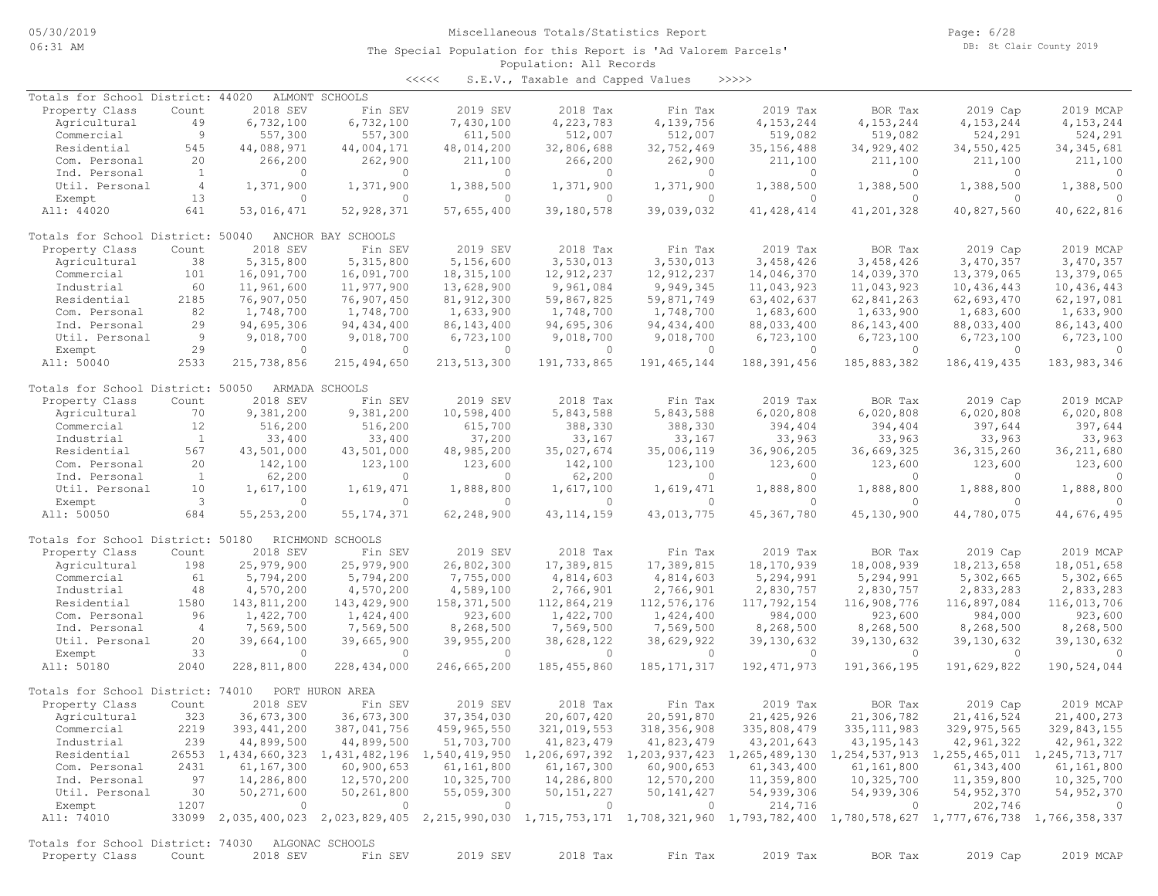Page: 6/28 DB: St Clair County 2019

### Population: All Records The Special Population for this Report is 'Ad Valorem Parcels'

<<<<< S.E.V., Taxable and Capped Values >>>>>

| Totals for School District: 44020                 |                |                | ALMONT SCHOOLS     |                |                |               |                                                                                                                                     |               |                |                          |
|---------------------------------------------------|----------------|----------------|--------------------|----------------|----------------|---------------|-------------------------------------------------------------------------------------------------------------------------------------|---------------|----------------|--------------------------|
| Property Class                                    | Count          | 2018 SEV       | Fin SEV            | 2019 SEV       | 2018 Tax       | Fin Tax       | 2019 Tax                                                                                                                            | BOR Tax       | 2019 Cap       | 2019 MCAP                |
| Agricultural                                      | 49             | 6,732,100      | 6,732,100          | 7,430,100      | 4,223,783      | 4,139,756     | 4, 153, 244                                                                                                                         | 4, 153, 244   | 4,153,244      | 4, 153, 244              |
| Commercial                                        | 9              | 557,300        | 557,300            | 611,500        | 512,007        | 512,007       | 519,082                                                                                                                             | 519,082       | 524,291        | 524,291                  |
| Residential                                       | 545            | 44,088,971     | 44,004,171         | 48,014,200     | 32,806,688     | 32,752,469    | 35, 156, 488                                                                                                                        | 34,929,402    | 34,550,425     | 34, 345, 681             |
| Com. Personal                                     | 20             | 266,200        | 262,900            | 211,100        | 266,200        | 262,900       | 211,100                                                                                                                             | 211,100       | 211,100        | 211,100                  |
| Ind. Personal                                     | $\mathbf{1}$   | $\Omega$       | $\Omega$           | $\circ$        | 0              | $\circ$       | $\Omega$                                                                                                                            | $\circ$       | $\Omega$       | $\Omega$                 |
| Util. Personal                                    | $\overline{4}$ | 1,371,900      | 1,371,900          | 1,388,500      | 1,371,900      | 1,371,900     | 1,388,500                                                                                                                           | 1,388,500     | 1,388,500      | 1,388,500                |
| Exempt                                            | 13             | $\circ$        | $\circ$            | 0              | $\circ$        | $\circ$       | $\circ$                                                                                                                             | $\circ$       | $\circ$        | $\Omega$                 |
| All: 44020                                        | 641            | 53,016,471     | 52,928,371         | 57,655,400     | 39,180,578     | 39,039,032    | 41, 428, 414                                                                                                                        | 41,201,328    | 40,827,560     | 40,622,816               |
|                                                   |                |                |                    |                |                |               |                                                                                                                                     |               |                |                          |
|                                                   |                |                |                    |                |                |               |                                                                                                                                     |               |                |                          |
| Totals for School District: 50040                 |                |                | ANCHOR BAY SCHOOLS |                |                |               |                                                                                                                                     |               |                |                          |
| Property Class                                    | Count          | 2018 SEV       | Fin SEV            | 2019 SEV       | 2018 Tax       | Fin Tax       | 2019 Tax                                                                                                                            | BOR Tax       | 2019 Cap       | 2019 MCAP                |
| Agricultural                                      | 38             | 5,315,800      | 5,315,800          | 5,156,600      | 3,530,013      | 3,530,013     | 3,458,426                                                                                                                           | 3,458,426     | 3,470,357      | 3,470,357                |
| Commercial                                        | 101            | 16,091,700     | 16,091,700         | 18,315,100     | 12,912,237     | 12, 912, 237  | 14,046,370                                                                                                                          | 14,039,370    | 13,379,065     | 13,379,065               |
| Industrial                                        | 60             | 11,961,600     | 11,977,900         | 13,628,900     | 9,961,084      | 9,949,345     | 11,043,923                                                                                                                          | 11,043,923    | 10,436,443     | 10,436,443               |
| Residential                                       | 2185           | 76,907,050     | 76,907,450         | 81, 912, 300   | 59,867,825     | 59,871,749    | 63, 402, 637                                                                                                                        | 62,841,263    | 62,693,470     | 62,197,081               |
| Com. Personal                                     | 82             | 1,748,700      | 1,748,700          | 1,633,900      | 1,748,700      | 1,748,700     | 1,683,600                                                                                                                           | 1,633,900     | 1,683,600      | 1,633,900                |
| Ind. Personal                                     | 29             | 94,695,306     | 94, 434, 400       | 86, 143, 400   | 94,695,306     | 94, 434, 400  | 88,033,400                                                                                                                          | 86, 143, 400  | 88,033,400     | 86, 143, 400             |
| Util. Personal                                    | 9              | 9,018,700      | 9,018,700          | 6,723,100      | 9,018,700      | 9,018,700     | 6,723,100                                                                                                                           | 6,723,100     | 6,723,100      | 6,723,100                |
| Exempt                                            | 29             | $\circ$        | $\Omega$           | $\circ$        | $\circ$        | $\circ$       | $\circ$                                                                                                                             | $\circ$       | $\overline{0}$ |                          |
|                                                   |                |                |                    |                |                |               |                                                                                                                                     |               |                |                          |
| All: 50040                                        | 2533           | 215,738,856    | 215, 494, 650      | 213,513,300    | 191,733,865    | 191, 465, 144 | 188, 391, 456                                                                                                                       | 185,883,382   | 186, 419, 435  | 183, 983, 346            |
|                                                   |                |                |                    |                |                |               |                                                                                                                                     |               |                |                          |
| Totals for School District: 50050                 |                |                | ARMADA SCHOOLS     |                |                |               |                                                                                                                                     |               |                |                          |
| Property Class                                    | Count          | 2018 SEV       | Fin SEV            | 2019 SEV       | 2018 Tax       | Fin Tax       | 2019 Tax                                                                                                                            | BOR Tax       | 2019 Cap       | 2019 MCAP                |
| Agricultural                                      | 70             | 9,381,200      | 9,381,200          | 10,598,400     | 5,843,588      | 5,843,588     | 6,020,808                                                                                                                           | 6,020,808     | 6,020,808      | 6,020,808                |
| Commercial                                        | 12             | 516,200        | 516,200            | 615,700        | 388,330        | 388,330       | 394,404                                                                                                                             | 394,404       | 397,644        | 397,644                  |
| Industrial                                        | <sup>1</sup>   | 33,400         | 33,400             | 37,200         | 33,167         | 33,167        | 33,963                                                                                                                              | 33,963        | 33,963         | 33,963                   |
| Residential                                       | 567            | 43,501,000     | 43,501,000         | 48,985,200     | 35,027,674     | 35,006,119    | 36,906,205                                                                                                                          | 36,669,325    | 36, 315, 260   | 36, 211, 680             |
| Com. Personal                                     | 20             | 142,100        | 123,100            | 123,600        | 142,100        | 123,100       | 123,600                                                                                                                             | 123,600       | 123,600        | 123,600                  |
| Ind. Personal                                     | $\mathbf{1}$   | 62,200         | $\Omega$           | $\circ$        | 62,200         | $\circ$       | $\Omega$                                                                                                                            | $\circ$       | $\Omega$       | $\circ$                  |
| Util. Personal                                    | 10             | 1,617,100      | 1,619,471          | 1,888,800      | 1,617,100      | 1,619,471     | 1,888,800                                                                                                                           | 1,888,800     | 1,888,800      | 1,888,800                |
|                                                   | 3              | $\Omega$       | $\Omega$           | $\Omega$       | $\Omega$       | $\circ$       | $\Omega$                                                                                                                            | $\Omega$      | $\Omega$       | $\Omega$                 |
| Exempt                                            |                |                |                    |                |                |               |                                                                                                                                     |               |                |                          |
| All: 50050                                        | 684            | 55, 253, 200   | 55, 174, 371       | 62,248,900     | 43, 114, 159   | 43,013,775    | 45,367,780                                                                                                                          | 45,130,900    | 44,780,075     | 44,676,495               |
|                                                   |                |                |                    |                |                |               |                                                                                                                                     |               |                |                          |
| Totals for School District: 50180                 |                |                | RICHMOND SCHOOLS   |                |                |               |                                                                                                                                     |               |                |                          |
| Property Class                                    | Count          | 2018 SEV       | Fin SEV            | 2019 SEV       | 2018 Tax       | Fin Tax       | 2019 Tax                                                                                                                            | BOR Tax       | 2019 Cap       | 2019 MCAP                |
| Agricultural                                      | 198            | 25,979,900     | 25,979,900         | 26,802,300     | 17,389,815     | 17,389,815    | 18,170,939                                                                                                                          | 18,008,939    | 18, 213, 658   | 18,051,658               |
| Commercial                                        | 61             | 5,794,200      | 5,794,200          | 7,755,000      | 4,814,603      | 4,814,603     | 5,294,991                                                                                                                           | 5,294,991     | 5,302,665      | 5,302,665                |
| Industrial                                        | 48             | 4,570,200      | 4,570,200          | 4,589,100      | 2,766,901      | 2,766,901     | 2,830,757                                                                                                                           | 2,830,757     | 2,833,283      | 2,833,283                |
| Residential                                       | 1580           | 143,811,200    | 143, 429, 900      | 158,371,500    | 112,864,219    | 112,576,176   | 117,792,154                                                                                                                         | 116,908,776   | 116,897,084    | 116,013,706              |
| Com. Personal                                     | 96             | 1,422,700      | 1,424,400          | 923,600        | 1,422,700      | 1,424,400     | 984,000                                                                                                                             | 923,600       | 984,000        | 923,600                  |
| Ind. Personal                                     | $\overline{4}$ | 7,569,500      | 7,569,500          | 8,268,500      | 7,569,500      | 7,569,500     | 8,268,500                                                                                                                           | 8,268,500     | 8,268,500      | 8,268,500                |
| Util. Personal                                    | 20             | 39,664,100     | 39,665,900         | 39,955,200     | 38,628,122     | 38,629,922    | 39,130,632                                                                                                                          | 39, 130, 632  | 39, 130, 632   | 39, 130, 632             |
|                                                   | 33             | $\circ$        | $\circ$            | $\circ$        | $\circ$        | $\circ$       | $\circ$                                                                                                                             | $\circ$       | $\Omega$       | $\Omega$                 |
| Exempt<br>All: 50180                              |                |                |                    |                |                |               |                                                                                                                                     |               |                |                          |
|                                                   | 2040           | 228,811,800    | 228,434,000        | 246,665,200    | 185, 455, 860  | 185, 171, 317 | 192, 471, 973                                                                                                                       | 191,366,195   | 191,629,822    | 190,524,044              |
|                                                   |                |                |                    |                |                |               |                                                                                                                                     |               |                |                          |
| Totals for School District: 74010                 |                |                | PORT HURON AREA    |                |                |               |                                                                                                                                     |               |                |                          |
| Property Class                                    | Count          | 2018 SEV       | Fin SEV            | 2019 SEV       | 2018 Tax       | Fin Tax       | 2019 Tax                                                                                                                            | BOR Tax       | 2019 Cap       | 2019 MCAP                |
| Agricultural                                      | 323            | 36,673,300     | 36,673,300         | 37, 354, 030   | 20,607,420     | 20,591,870    | 21, 425, 926                                                                                                                        | 21,306,782    | 21, 416, 524   | 21,400,273               |
| Commercial                                        | 2219           | 393, 441, 200  | 387,041,756        | 459,965,550    | 321,019,553    | 318,356,908   | 335,808,479                                                                                                                         | 335, 111, 983 | 329, 975, 565  | 329,843,155              |
| Industrial                                        | 239            | 44,899,500     | 44,899,500         | 51,703,700     | 41,823,479     | 41,823,479    | 43, 201, 643                                                                                                                        | 43, 195, 143  | 42,961,322     | 42,961,322               |
| Residential                                       |                |                |                    |                |                |               | 26553 1,434,660,323 1,431,482,196 1,540,419,950 1,206,697,392 1,203,937,423 1,265,489,130 1,254,537,913 1,255,465,011 1,245,713,717 |               |                |                          |
| Com. Personal                                     | 2431           | 61, 167, 300   | 60,900,653         | 61,161,800     | 61,167,300     | 60,900,653    | 61, 343, 400                                                                                                                        | 61,161,800    | 61,343,400     | 61,161,800               |
| Ind. Personal                                     | 97             | 14,286,800     | 12,570,200         | 10,325,700     | 14,286,800     | 12,570,200    | 11,359,800                                                                                                                          | 10,325,700    | 11,359,800     | 10,325,700               |
|                                                   |                |                |                    |                |                |               |                                                                                                                                     |               |                |                          |
| Util. Personal                                    | 30             | 50,271,600     | 50,261,800         | 55,059,300     | 50,151,227     | 50, 141, 427  | 54,939,306                                                                                                                          | 54,939,306    | 54,952,370     | 54, 952, 370             |
| Exempt                                            | 1207           | $\overline{0}$ | $\overline{0}$     | $\overline{0}$ | $\overline{0}$ | $\circ$       | 214,716                                                                                                                             | $\circ$       | 202,746        | $\overline{\phantom{0}}$ |
| All: 74010                                        |                |                |                    |                |                |               | 33099 2,035,400,023 2,023,829,405 2,215,990,030 1,715,753,171 1,708,321,960 1,793,782,400 1,780,578,627 1,777,676,738 1,766,358,337 |               |                |                          |
|                                                   |                |                |                    |                |                |               |                                                                                                                                     |               |                |                          |
| Totals for School District: 74030 ALGONAC SCHOOLS |                |                |                    |                |                |               |                                                                                                                                     |               |                |                          |
| Property Class                                    | Count          | 2018 SEV       | Fin SEV            | 2019 SEV       | 2018 Tax       | Fin Tax       | 2019 Tax                                                                                                                            | BOR Tax       | 2019 Cap       | 2019 MCAP                |
|                                                   |                |                |                    |                |                |               |                                                                                                                                     |               |                |                          |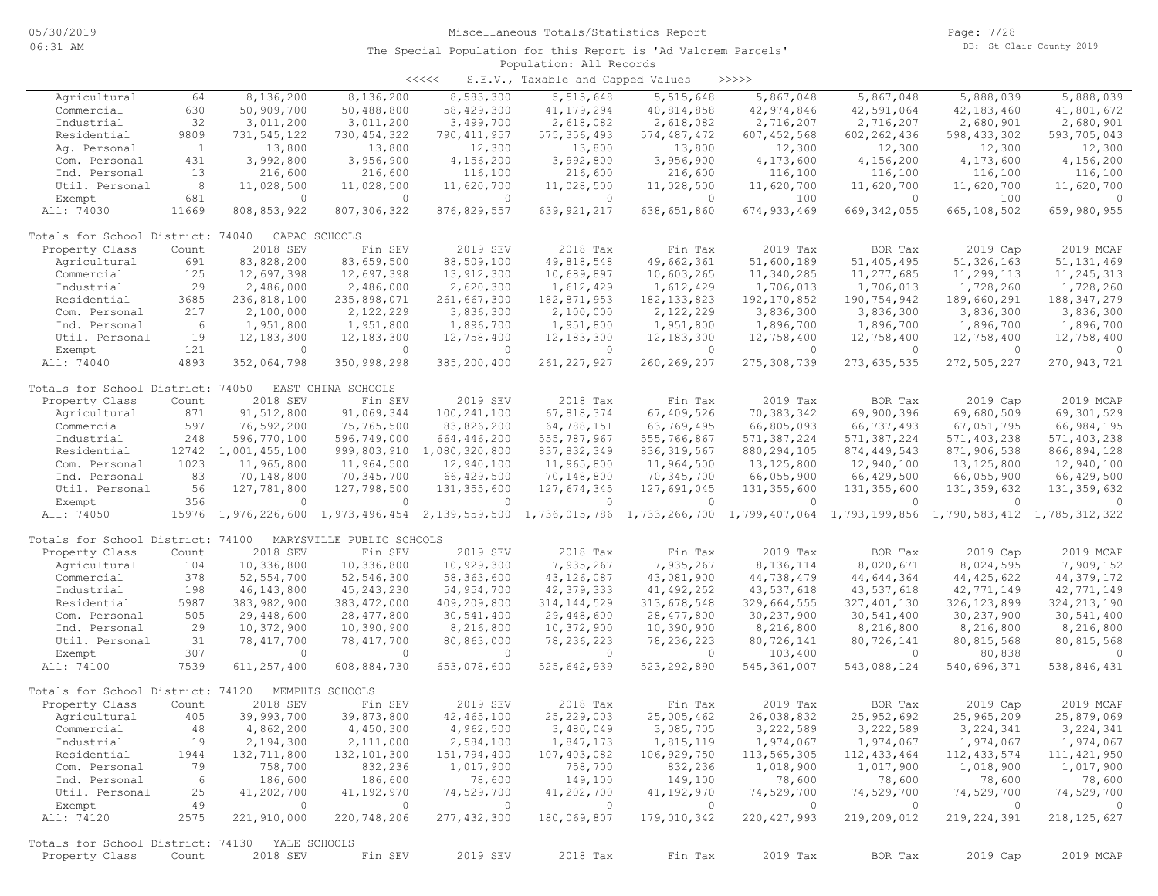| くくくくく | S.E.V., Taxable and Capped Values |  |  |  | >>>>> |
|-------|-----------------------------------|--|--|--|-------|
|-------|-----------------------------------|--|--|--|-------|

| Agricultural                                   | 64           | 8,136,200      | 8,136,200                                 | 8,583,300      | 5,515,648     | 5,515,648                                                             | 5,867,048     | 5,867,048     | 5,888,039     | 5,888,039     |
|------------------------------------------------|--------------|----------------|-------------------------------------------|----------------|---------------|-----------------------------------------------------------------------|---------------|---------------|---------------|---------------|
| Commercial                                     | 630          | 50,909,700     | 50,488,800                                | 58,429,300     | 41, 179, 294  | 40,814,858                                                            | 42,974,846    | 42,591,064    | 42,183,460    | 41,801,672    |
| Industrial                                     | 32           | 3,011,200      | 3,011,200                                 | 3,499,700      | 2,618,082     | 2,618,082                                                             | 2,716,207     | 2,716,207     | 2,680,901     | 2,680,901     |
| Residential                                    | 9809         | 731,545,122    | 730, 454, 322                             | 790, 411, 957  | 575, 356, 493 | 574, 487, 472                                                         | 607, 452, 568 | 602, 262, 436 | 598, 433, 302 | 593,705,043   |
| Aq. Personal                                   | $\mathbf{1}$ | 13,800         | 13,800                                    | 12,300         | 13,800        | 13,800                                                                | 12,300        | 12,300        | 12,300        | 12,300        |
| Com. Personal                                  | 431          | 3,992,800      | 3,956,900                                 | 4,156,200      | 3,992,800     | 3,956,900                                                             | 4,173,600     | 4,156,200     | 4,173,600     | 4,156,200     |
| Ind. Personal                                  | 13           | 216,600        | 216,600                                   | 116,100        | 216,600       | 216,600                                                               | 116,100       | 116,100       | 116,100       | 116,100       |
| Util. Personal                                 | 8            | 11,028,500     | 11,028,500                                | 11,620,700     | 11,028,500    | 11,028,500                                                            | 11,620,700    | 11,620,700    | 11,620,700    | 11,620,700    |
| Exempt                                         | 681          | $\circ$        | $\Omega$                                  | $\circ$        | $\circ$       | $\circ$                                                               | 100           | $\circ$       | 100           | $\Omega$      |
| All: 74030                                     | 11669        | 808,853,922    | 807, 306, 322                             | 876, 829, 557  | 639, 921, 217 | 638,651,860                                                           | 674, 933, 469 | 669, 342, 055 | 665,108,502   | 659,980,955   |
|                                                |              |                |                                           |                |               |                                                                       |               |               |               |               |
| Totals for School District: 74040              |              |                | CAPAC SCHOOLS                             |                |               |                                                                       |               |               |               |               |
| Property Class                                 | Count        | 2018 SEV       | Fin SEV                                   | 2019 SEV       | 2018 Tax      | Fin Tax                                                               | 2019 Tax      | BOR Tax       | 2019 Cap      | 2019 MCAP     |
| Agricultural                                   | 691          | 83,828,200     | 83,659,500                                | 88,509,100     | 49,818,548    | 49,662,361                                                            | 51,600,189    | 51,405,495    | 51, 326, 163  | 51, 131, 469  |
| Commercial                                     | 125          | 12,697,398     | 12,697,398                                | 13,912,300     | 10,689,897    | 10,603,265                                                            | 11,340,285    | 11,277,685    | 11,299,113    | 11, 245, 313  |
| Industrial                                     | 29           | 2,486,000      | 2,486,000                                 | 2,620,300      | 1,612,429     | 1,612,429                                                             | 1,706,013     | 1,706,013     | 1,728,260     | 1,728,260     |
| Residential                                    | 3685         | 236,818,100    | 235,898,071                               | 261,667,300    | 182,871,953   | 182, 133, 823                                                         | 192, 170, 852 | 190,754,942   | 189,660,291   | 188, 347, 279 |
| Com. Personal                                  | 217          | 2,100,000      | 2,122,229                                 | 3,836,300      | 2,100,000     | 2,122,229                                                             | 3,836,300     | 3,836,300     | 3,836,300     | 3,836,300     |
| Ind. Personal                                  | 6            | 1,951,800      | 1,951,800                                 | 1,896,700      | 1,951,800     | 1,951,800                                                             | 1,896,700     | 1,896,700     | 1,896,700     | 1,896,700     |
| Util. Personal                                 | 19           | 12, 183, 300   | 12, 183, 300                              | 12,758,400     | 12,183,300    | 12,183,300                                                            | 12,758,400    | 12,758,400    | 12,758,400    | 12,758,400    |
| Exempt                                         | 121          | $\Omega$       | $\overline{0}$                            | $\Omega$       | $\Omega$      | $\Omega$                                                              | $\Omega$      | $\Omega$      | $\Omega$      | $\Omega$      |
| All: 74040                                     | 4893         | 352,064,798    | 350,998,298                               | 385,200,400    | 261, 227, 927 | 260, 269, 207                                                         | 275,308,739   | 273,635,535   | 272,505,227   | 270, 943, 721 |
|                                                |              |                |                                           |                |               |                                                                       |               |               |               |               |
| Totals for School District: 74050              |              |                | EAST CHINA SCHOOLS                        |                |               |                                                                       |               |               |               |               |
| Property Class                                 | Count        | 2018 SEV       | Fin SEV                                   | 2019 SEV       | 2018 Tax      | Fin Tax                                                               | 2019 Tax      | BOR Tax       | 2019 Cap      | 2019 MCAP     |
| Agricultural                                   | 871          | 91,512,800     | 91,069,344                                | 100, 241, 100  | 67,818,374    | 67,409,526                                                            | 70,383,342    | 69,900,396    | 69,680,509    | 69,301,529    |
| Commercial                                     | 597          | 76,592,200     | 75,765,500                                | 83,826,200     | 64,788,151    | 63,769,495                                                            | 66,805,093    | 66,737,493    | 67,051,795    | 66,984,195    |
| Industrial                                     | 248          | 596,770,100    | 596,749,000                               | 664,446,200    | 555,787,967   | 555,766,867                                                           | 571,387,224   | 571,387,224   | 571,403,238   | 571,403,238   |
| Residential                                    | 12742        | 1,001,455,100  | 999,803,910                               | 1,080,320,800  | 837,832,349   | 836, 319, 567                                                         | 880, 294, 105 | 874, 449, 543 | 871,906,538   | 866,894,128   |
| Com. Personal                                  | 1023         | 11,965,800     | 11,964,500                                | 12,940,100     | 11,965,800    | 11,964,500                                                            | 13, 125, 800  | 12,940,100    | 13, 125, 800  | 12,940,100    |
| Ind. Personal                                  | 83           | 70,148,800     | 70,345,700                                | 66,429,500     | 70,148,800    | 70,345,700                                                            | 66,055,900    | 66,429,500    | 66,055,900    | 66,429,500    |
| Util. Personal                                 | 56           | 127,781,800    | 127,798,500                               | 131,355,600    | 127,674,345   | 127,691,045                                                           | 131,355,600   | 131, 355, 600 | 131, 359, 632 | 131, 359, 632 |
| Exempt                                         | 356          | $\Omega$       | $\Omega$                                  | $\circ$        | $\circ$       | $\circ$                                                               | $\circ$       | $\circ$       | $\Omega$      | $\Omega$      |
| All: 74050                                     | 15976        |                | 1,976,226,600 1,973,496,454 2,139,559,500 |                | 1,736,015,786 | 1,733,266,700 1,799,407,064 1,793,199,856 1,790,583,412 1,785,312,322 |               |               |               |               |
|                                                |              |                |                                           |                |               |                                                                       |               |               |               |               |
| Totals for School District: 74100              |              |                | MARYSVILLE PUBLIC SCHOOLS                 |                |               |                                                                       |               |               |               |               |
| Property Class                                 | Count        | 2018 SEV       | Fin SEV                                   | 2019 SEV       | 2018 Tax      | Fin Tax                                                               | 2019 Tax      | BOR Tax       | 2019 Cap      | 2019 MCAP     |
| Agricultural                                   | 104          | 10,336,800     | 10,336,800                                | 10,929,300     | 7,935,267     | 7,935,267                                                             | 8,136,114     | 8,020,671     | 8,024,595     | 7,909,152     |
| Commercial                                     | 378          | 52, 554, 700   | 52,546,300                                | 58,363,600     | 43, 126, 087  | 43,081,900                                                            | 44,738,479    | 44,644,364    | 44, 425, 622  | 44, 379, 172  |
| Industrial                                     | 198          | 46, 143, 800   | 45, 243, 230                              | 54,954,700     | 42, 379, 333  | 41, 492, 252                                                          | 43,537,618    | 43,537,618    | 42,771,149    | 42,771,149    |
| Residential                                    | 5987         | 383,982,900    | 383, 472, 000                             | 409,209,800    | 314, 144, 529 | 313,678,548                                                           | 329,664,555   | 327, 401, 130 | 326, 123, 899 | 324, 213, 190 |
| Com. Personal                                  | 505          | 29,448,600     | 28, 477, 800                              | 30,541,400     | 29,448,600    | 28,477,800                                                            | 30,237,900    | 30,541,400    | 30,237,900    | 30,541,400    |
| Ind. Personal                                  | 29           | 10,372,900     | 10,390,900                                | 8,216,800      | 10,372,900    | 10,390,900                                                            | 8,216,800     | 8,216,800     | 8,216,800     | 8,216,800     |
| Util. Personal                                 | 31           | 78, 417, 700   | 78, 417, 700                              | 80,863,000     | 78, 236, 223  | 78, 236, 223                                                          | 80,726,141    | 80,726,141    | 80,815,568    | 80,815,568    |
| Exempt                                         | 307          | $\Omega$       | $\Omega$                                  | $\Omega$       | $\circ$       | 0                                                                     | 103,400       | $\circ$       | 80,838        | $\Omega$      |
| All: 74100                                     | 7539         | 611,257,400    | 608,884,730                               | 653,078,600    | 525,642,939   | 523, 292, 890                                                         | 545, 361, 007 | 543,088,124   | 540,696,371   | 538,846,431   |
|                                                |              |                |                                           |                |               |                                                                       |               |               |               |               |
| Totals for School District: 74120              |              |                | MEMPHIS SCHOOLS                           |                |               |                                                                       |               |               |               |               |
| Property Class                                 | Count        | 2018 SEV       | Fin SEV                                   | 2019 SEV       | 2018 Tax      | Fin Tax                                                               | 2019 Tax      | BOR Tax       | 2019 Cap      | 2019 MCAP     |
| Agricultural                                   | 405          | 39,993,700     | 39,873,800                                | 42, 465, 100   | 25,229,003    | 25,005,462                                                            | 26,038,832    | 25,952,692    | 25,965,209    | 25,879,069    |
| Commercial                                     | 48           | 4,862,200      | 4,450,300                                 | 4,962,500      | 3,480,049     | 3,085,705                                                             | 3,222,589     | 3,222,589     | 3, 224, 341   | 3, 224, 341   |
| Industrial                                     | 19           | 2,194,300      | 2,111,000                                 | 2,584,100      | 1,847,173     | 1,815,119                                                             | 1,974,067     | 1,974,067     | 1,974,067     | 1,974,067     |
| Residential                                    | 1944         | 132,711,800    | 132, 101, 300                             | 151,794,400    | 107,403,082   | 106,929,750                                                           | 113,565,305   | 112, 433, 464 | 112, 433, 574 | 111, 421, 950 |
| Com. Personal                                  | 79           | 758,700        | 832,236                                   | 1,017,900      | 758,700       | 832,236                                                               | 1,018,900     | 1,017,900     | 1,018,900     | 1,017,900     |
| Ind. Personal                                  | 6            | 186,600        | 186,600                                   | 78,600         | 149,100       | 149,100                                                               | 78,600        | 78,600        | 78,600        | 78,600        |
| Util. Personal                                 | 25           | 41,202,700     | 41,192,970                                | 74,529,700     | 41,202,700    | 41,192,970                                                            | 74,529,700    | 74,529,700    | 74,529,700    | 74,529,700    |
| Exempt                                         | 49           | $\overline{0}$ | $\overline{0}$                            | $\overline{0}$ | $\circ$       | $\overline{0}$                                                        | $\circ$       | $\circ$       | $\circ$       | $\circ$       |
| All: 74120                                     | 2575         | 221,910,000    | 220,748,206                               | 277, 432, 300  | 180,069,807   | 179,010,342                                                           | 220, 427, 993 | 219,209,012   | 219, 224, 391 | 218, 125, 627 |
| Totals for School District: 74130 YALE SCHOOLS |              |                |                                           |                |               |                                                                       |               |               |               |               |
| Property Class                                 | Count        | 2018 SEV       | Fin SEV                                   | 2019 SEV       | 2018 Tax      | Fin Tax                                                               | 2019 Tax      | BOR Tax       | 2019 Cap      | 2019 MCAP     |
|                                                |              |                |                                           |                |               |                                                                       |               |               |               |               |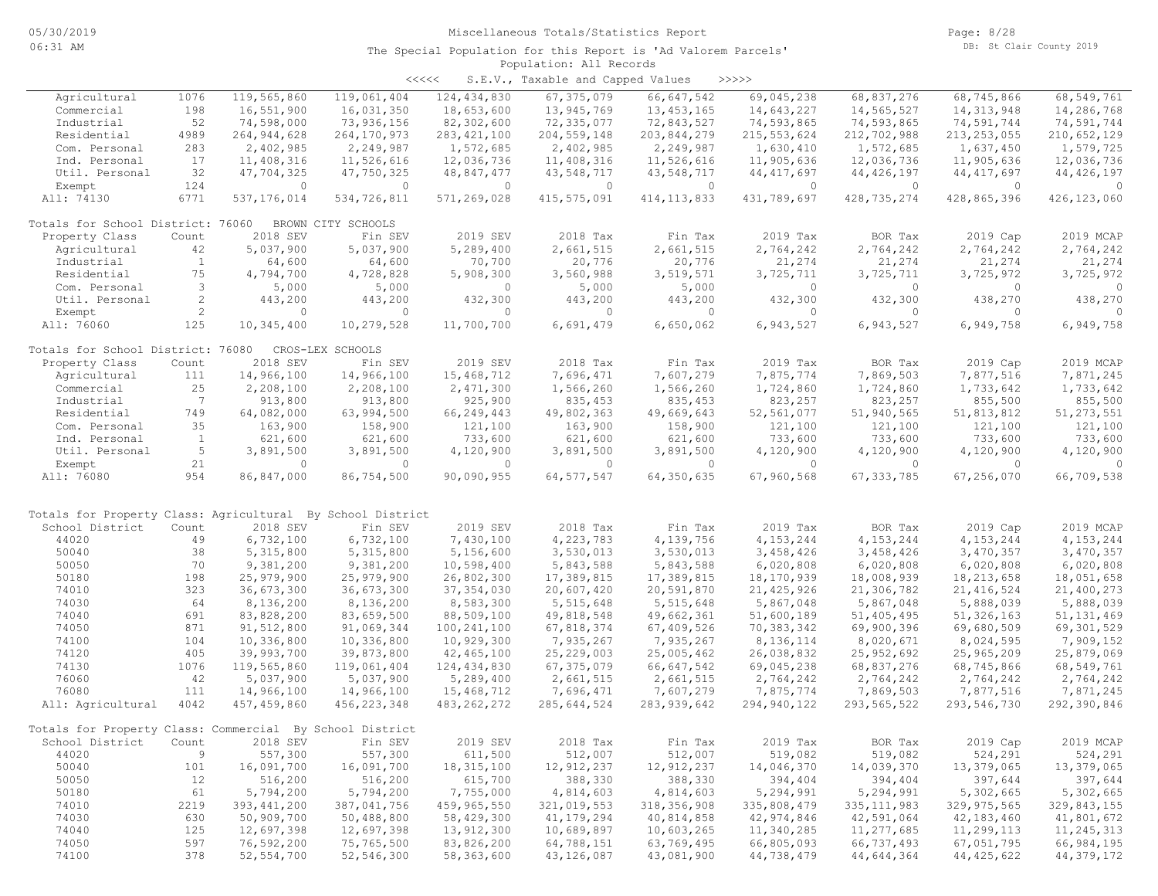| くくくくく | S.E.V., Taxable and Capped Values |  |  |  | >>>>> |
|-------|-----------------------------------|--|--|--|-------|
|-------|-----------------------------------|--|--|--|-------|

| Agricultural                                               | 1076           | 119,565,860   | 119,061,404        | 124, 434, 830 | 67, 375, 079  | 66, 647, 542  | 69,045,238    | 68,837,276     | 68,745,866     | 68,549,761     |
|------------------------------------------------------------|----------------|---------------|--------------------|---------------|---------------|---------------|---------------|----------------|----------------|----------------|
| Commercial                                                 | 198            | 16,551,900    | 16,031,350         | 18,653,600    | 13,945,769    | 13, 453, 165  | 14,643,227    | 14,565,527     | 14, 313, 948   | 14,286,768     |
| Industrial                                                 | 52             | 74,598,000    | 73,936,156         | 82,302,600    | 72,335,077    | 72,843,527    | 74,593,865    | 74,593,865     | 74,591,744     | 74,591,744     |
| Residential                                                | 4989           | 264, 944, 628 | 264, 170, 973      | 283, 421, 100 | 204, 559, 148 | 203,844,279   | 215, 553, 624 | 212,702,988    | 213, 253, 055  | 210,652,129    |
| Com. Personal                                              | 283            | 2,402,985     | 2,249,987          | 1,572,685     | 2,402,985     | 2,249,987     | 1,630,410     | 1,572,685      | 1,637,450      | 1,579,725      |
| Ind. Personal                                              | 17             | 11,408,316    | 11,526,616         | 12,036,736    | 11,408,316    | 11,526,616    | 11,905,636    | 12,036,736     | 11,905,636     | 12,036,736     |
| Util. Personal                                             | 32             | 47,704,325    | 47,750,325         | 48,847,477    | 43,548,717    | 43,548,717    | 44, 417, 697  | 44, 426, 197   | 44, 417, 697   | 44, 426, 197   |
| Exempt                                                     | 124            | $\circ$       | $\circ$            | $\circ$       | $\circ$       | $\circ$       | $\circ$       | $\overline{0}$ | $\overline{0}$ | $\overline{0}$ |
| All: 74130                                                 | 6771           | 537, 176, 014 | 534,726,811        | 571,269,028   | 415,575,091   | 414, 113, 833 | 431,789,697   | 428,735,274    | 428,865,396    | 426, 123, 060  |
|                                                            |                |               |                    |               |               |               |               |                |                |                |
| Totals for School District: 76060                          |                |               | BROWN CITY SCHOOLS |               |               |               |               |                |                |                |
| Property Class                                             | Count          | 2018 SEV      | Fin SEV            | 2019 SEV      | 2018 Tax      | Fin Tax       | 2019 Tax      | BOR Tax        | 2019 Cap       | 2019 MCAP      |
| Agricultural                                               | 42             | 5,037,900     | 5,037,900          | 5,289,400     | 2,661,515     | 2,661,515     | 2,764,242     | 2,764,242      | 2,764,242      | 2,764,242      |
| Industrial                                                 | $\overline{1}$ | 64,600        | 64,600             | 70,700        | 20,776        | 20,776        | 21,274        | 21,274         | 21,274         | 21,274         |
| Residential                                                | 75             | 4,794,700     | 4,728,828          | 5,908,300     | 3,560,988     | 3,519,571     | 3,725,711     | 3,725,711      | 3,725,972      | 3,725,972      |
| Com. Personal                                              | 3              | 5,000         | 5,000              | $\circ$       | 5,000         | 5,000         | $\circ$       | $\circ$        | $\circ$        | $\overline{0}$ |
| Util. Personal                                             | 2              | 443,200       | 443,200            | 432,300       | 443,200       | 443,200       | 432,300       | 432,300        | 438,270        | 438,270        |
| Exempt                                                     | 2              | $\circ$       | $\circ$            | $\circ$       | $\circ$       | $\circ$       | $\circ$       | $\circ$        | $\mathbf{0}$   | $\Omega$       |
| All: 76060                                                 | 125            | 10,345,400    | 10,279,528         | 11,700,700    | 6,691,479     | 6,650,062     | 6,943,527     | 6,943,527      | 6,949,758      | 6,949,758      |
|                                                            |                |               |                    |               |               |               |               |                |                |                |
| Totals for School District: 76080                          |                |               | CROS-LEX SCHOOLS   |               |               |               |               |                |                |                |
| Property Class                                             | Count          | 2018 SEV      | Fin SEV            | 2019 SEV      | 2018 Tax      | Fin Tax       | 2019 Tax      | BOR Tax        | 2019 Cap       | 2019 MCAP      |
| Agricultural                                               | 111            | 14,966,100    | 14,966,100         | 15,468,712    | 7,696,471     | 7,607,279     | 7,875,774     | 7,869,503      | 7,877,516      | 7,871,245      |
| Commercial                                                 | 25             | 2,208,100     | 2,208,100          | 2,471,300     | 1,566,260     | 1,566,260     | 1,724,860     | 1,724,860      | 1,733,642      | 1,733,642      |
| Industrial                                                 | 7              | 913,800       | 913,800            | 925,900       | 835, 453      | 835, 453      | 823,257       | 823,257        | 855,500        | 855,500        |
|                                                            |                |               |                    |               |               |               |               |                |                |                |
| Residential                                                | 749            | 64,082,000    | 63,994,500         | 66,249,443    | 49,802,363    | 49,669,643    | 52,561,077    | 51,940,565     | 51,813,812     | 51, 273, 551   |
| Com. Personal                                              | 35             | 163,900       | 158,900            | 121,100       | 163,900       | 158,900       | 121,100       | 121,100        | 121,100        | 121,100        |
| Ind. Personal                                              | <sup>1</sup>   | 621,600       | 621,600            | 733,600       | 621,600       | 621,600       | 733,600       | 733,600        | 733,600        | 733,600        |
| Util. Personal                                             | 5              | 3,891,500     | 3,891,500          | 4,120,900     | 3,891,500     | 3,891,500     | 4,120,900     | 4,120,900      | 4,120,900      | 4,120,900      |
| Exempt                                                     | 21             | $\Omega$      | $\circ$            | $\circ$       | $\circ$       | $\circ$       | $\circ$       | $\circ$        | $\circ$        | $\Omega$       |
| All: 76080                                                 | 954            | 86,847,000    | 86,754,500         | 90,090,955    | 64, 577, 547  | 64,350,635    | 67,960,568    | 67, 333, 785   | 67,256,070     | 66,709,538     |
|                                                            |                |               |                    |               |               |               |               |                |                |                |
| Totals for Property Class: Agricultural By School District |                |               |                    |               |               |               |               |                |                |                |
| School District                                            | Count          | 2018 SEV      | Fin SEV            | 2019 SEV      | 2018 Tax      | Fin Tax       | 2019 Tax      | BOR Tax        | 2019 Cap       | 2019 MCAP      |
| 44020                                                      | 49             | 6,732,100     | 6,732,100          | 7,430,100     | 4,223,783     | 4,139,756     | 4, 153, 244   | 4, 153, 244    | 4, 153, 244    | 4, 153, 244    |
| 50040                                                      | 38             | 5,315,800     | 5, 315, 800        | 5,156,600     | 3,530,013     | 3,530,013     | 3,458,426     | 3,458,426      |                | 3,470,357      |
|                                                            |                |               |                    |               |               |               |               |                | 3,470,357      |                |
| 50050                                                      | 70             | 9,381,200     | 9,381,200          | 10,598,400    | 5,843,588     | 5,843,588     | 6,020,808     | 6,020,808      | 6,020,808      | 6,020,808      |
| 50180                                                      | 198            | 25,979,900    | 25,979,900         | 26,802,300    | 17,389,815    | 17,389,815    | 18,170,939    | 18,008,939     | 18, 213, 658   | 18,051,658     |
| 74010                                                      | 323            | 36,673,300    | 36,673,300         | 37, 354, 030  | 20,607,420    | 20,591,870    | 21,425,926    | 21,306,782     | 21, 416, 524   | 21,400,273     |
| 74030                                                      | 64             | 8,136,200     | 8,136,200          | 8,583,300     | 5, 515, 648   | 5, 515, 648   | 5,867,048     | 5,867,048      | 5,888,039      | 5,888,039      |
| 74040                                                      | 691            | 83,828,200    | 83,659,500         | 88,509,100    | 49,818,548    | 49,662,361    | 51,600,189    | 51, 405, 495   | 51, 326, 163   | 51, 131, 469   |
| 74050                                                      | 871            | 91,512,800    | 91,069,344         | 100, 241, 100 | 67,818,374    | 67,409,526    | 70,383,342    | 69,900,396     | 69,680,509     | 69,301,529     |
| 74100                                                      | 104            | 10,336,800    | 10,336,800         | 10,929,300    | 7,935,267     | 7,935,267     | 8,136,114     | 8,020,671      | 8,024,595      | 7,909,152      |
| 74120                                                      | 405            | 39,993,700    | 39,873,800         | 42, 465, 100  | 25,229,003    | 25,005,462    | 26,038,832    | 25, 952, 692   | 25,965,209     | 25,879,069     |
| 74130                                                      | 1076           | 119,565,860   | 119,061,404        | 124, 434, 830 | 67, 375, 079  | 66, 647, 542  | 69,045,238    | 68,837,276     | 68,745,866     | 68,549,761     |
| 76060                                                      | 42             | 5,037,900     | 5,037,900          | 5,289,400     | 2,661,515     | 2,661,515     | 2,764,242     | 2,764,242      | 2,764,242      | 2,764,242      |
| 76080                                                      | 111            | 14,966,100    | 14,966,100         | 15,468,712    | 7,696,471     | 7,607,279     | 7,875,774     | 7,869,503      | 7,877,516      | 7,871,245      |
| All: Agricultural                                          | 4042           | 457,459,860   | 456, 223, 348      | 483, 262, 272 | 285,644,524   | 283, 939, 642 | 294,940,122   | 293, 565, 522  | 293,546,730    | 292,390,846    |
|                                                            |                |               |                    |               |               |               |               |                |                |                |
| Totals for Property Class: Commercial By School District   |                |               |                    |               |               |               |               |                |                |                |
| School District                                            | Count          | 2018 SEV      | Fin SEV            | 2019 SEV      | 2018 Tax      | Fin Tax       | 2019 Tax      | BOR Tax        | 2019 Cap       | 2019 MCAP      |
| 44020                                                      | 9              | 557,300       | 557,300            | 611,500       | 512,007       | 512,007       | 519,082       | 519,082        | 524,291        | 524,291        |
| 50040                                                      | 101            | 16,091,700    | 16,091,700         | 18, 315, 100  | 12, 912, 237  | 12, 912, 237  | 14,046,370    | 14,039,370     | 13,379,065     | 13,379,065     |
| 50050                                                      | 12             | 516,200       | 516,200            | 615,700       | 388,330       | 388,330       | 394,404       | 394,404        | 397,644        | 397,644        |
| 50180                                                      | 61             | 5,794,200     | 5,794,200          | 7,755,000     | 4,814,603     | 4,814,603     | 5,294,991     | 5,294,991      | 5,302,665      | 5,302,665      |
| 74010                                                      | 2219           | 393, 441, 200 | 387,041,756        | 459,965,550   | 321,019,553   | 318, 356, 908 | 335,808,479   | 335, 111, 983  | 329, 975, 565  | 329,843,155    |
| 74030                                                      | 630            | 50,909,700    | 50,488,800         | 58,429,300    | 41, 179, 294  | 40,814,858    | 42,974,846    | 42,591,064     | 42, 183, 460   | 41,801,672     |
| 74040                                                      | 125            | 12,697,398    | 12,697,398         | 13,912,300    | 10,689,897    | 10,603,265    | 11,340,285    | 11,277,685     | 11,299,113     | 11,245,313     |
| 74050                                                      | 597            | 76,592,200    | 75,765,500         | 83,826,200    | 64,788,151    | 63,769,495    | 66,805,093    | 66,737,493     | 67,051,795     | 66,984,195     |
| 74100                                                      | 378            | 52, 554, 700  | 52,546,300         | 58,363,600    | 43,126,087    | 43,081,900    | 44,738,479    | 44,644,364     | 44, 425, 622   | 44,379,172     |
|                                                            |                |               |                    |               |               |               |               |                |                |                |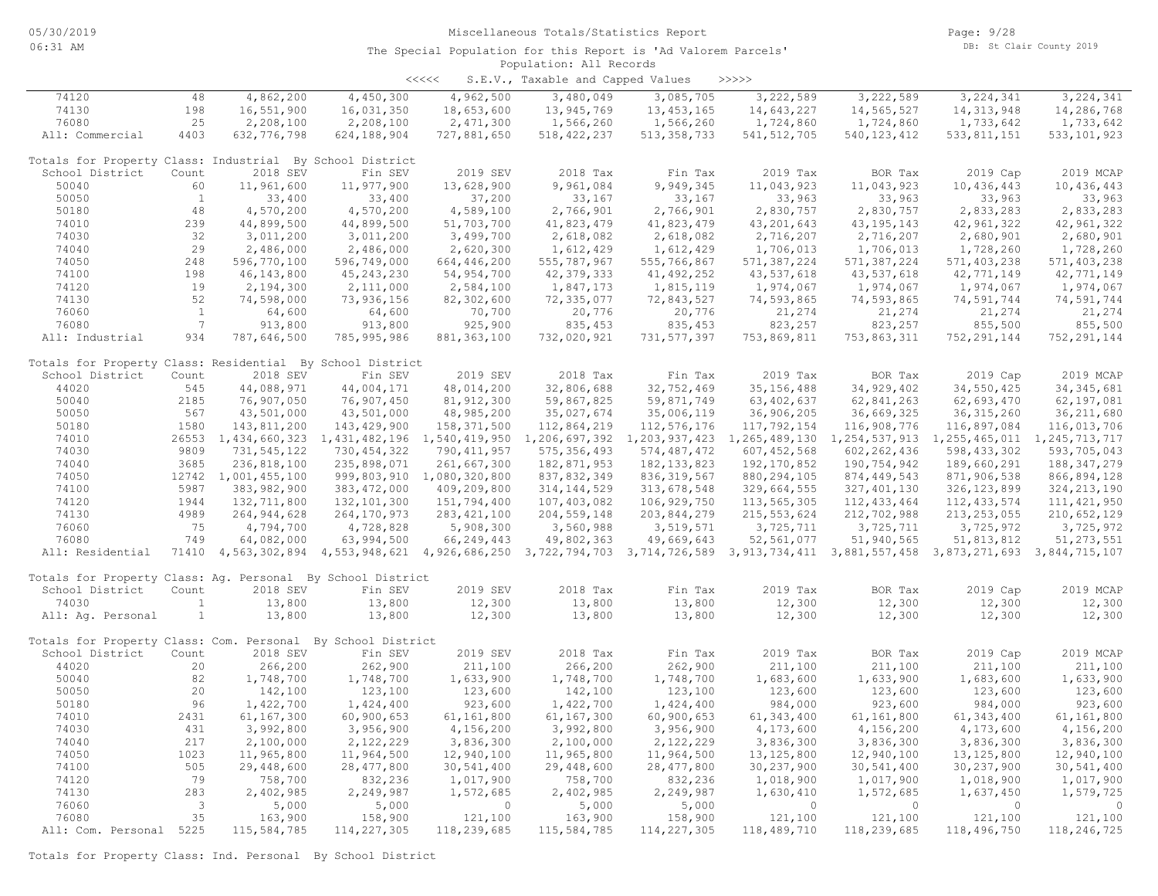<<<<< S.E.V., Taxable and Capped Values >>>>>

| 74120                                                       | 48                      | 4,862,200           | 4,450,300     | 4,962,500                   | 3,480,049     | 3,085,705     | 3,222,589                                                                                                                           | 3,222,589     | 3, 224, 341   | 3, 224, 341    |
|-------------------------------------------------------------|-------------------------|---------------------|---------------|-----------------------------|---------------|---------------|-------------------------------------------------------------------------------------------------------------------------------------|---------------|---------------|----------------|
| 74130                                                       | 198                     | 16,551,900          | 16,031,350    | 18,653,600                  | 13,945,769    | 13, 453, 165  | 14,643,227                                                                                                                          | 14,565,527    | 14, 313, 948  | 14,286,768     |
| 76080                                                       | 25                      | 2,208,100           | 2,208,100     | 2,471,300                   | 1,566,260     | 1,566,260     | 1,724,860                                                                                                                           | 1,724,860     | 1,733,642     | 1,733,642      |
| All: Commercial                                             | 4403                    | 632, 776, 798       | 624,188,904   | 727,881,650                 | 518, 422, 237 | 513, 358, 733 | 541, 512, 705                                                                                                                       | 540, 123, 412 | 533, 811, 151 | 533, 101, 923  |
|                                                             |                         |                     |               |                             |               |               |                                                                                                                                     |               |               |                |
| Totals for Property Class: Industrial By School District    |                         |                     |               |                             |               |               |                                                                                                                                     |               |               |                |
| School District                                             | Count                   | 2018 SEV            | Fin SEV       | 2019 SEV                    | 2018 Tax      | Fin Tax       | 2019 Tax                                                                                                                            | BOR Tax       | 2019 Cap      | 2019 MCAP      |
| 50040                                                       | 60                      | 11,961,600          | 11,977,900    | 13,628,900                  | 9,961,084     | 9,949,345     | 11,043,923                                                                                                                          | 11,043,923    | 10,436,443    | 10,436,443     |
| 50050                                                       | $\mathbf{1}$            | 33,400              | 33,400        | 37,200                      | 33,167        | 33,167        | 33,963                                                                                                                              | 33,963        | 33,963        | 33,963         |
|                                                             |                         |                     |               |                             |               |               |                                                                                                                                     |               |               |                |
| 50180                                                       | 48                      | 4,570,200           | 4,570,200     | 4,589,100                   | 2,766,901     | 2,766,901     | 2,830,757                                                                                                                           | 2,830,757     | 2,833,283     | 2,833,283      |
| 74010                                                       | 239                     | 44,899,500          | 44,899,500    | 51,703,700                  | 41,823,479    | 41,823,479    | 43, 201, 643                                                                                                                        | 43, 195, 143  | 42, 961, 322  | 42, 961, 322   |
| 74030                                                       | 32                      | 3,011,200           | 3,011,200     | 3,499,700                   | 2,618,082     | 2,618,082     | 2,716,207                                                                                                                           | 2,716,207     | 2,680,901     | 2,680,901      |
| 74040                                                       | 29                      | 2,486,000           | 2,486,000     | 2,620,300                   | 1,612,429     | 1,612,429     | 1,706,013                                                                                                                           | 1,706,013     | 1,728,260     | 1,728,260      |
| 74050                                                       | 248                     | 596,770,100         | 596,749,000   | 664,446,200                 | 555,787,967   | 555,766,867   | 571,387,224                                                                                                                         | 571,387,224   | 571,403,238   | 571,403,238    |
| 74100                                                       | 198                     | 46, 143, 800        | 45, 243, 230  | 54,954,700                  | 42, 379, 333  | 41, 492, 252  | 43,537,618                                                                                                                          | 43,537,618    | 42,771,149    | 42,771,149     |
| 74120                                                       | 19                      | 2,194,300           | 2,111,000     | 2,584,100                   | 1,847,173     | 1,815,119     | 1,974,067                                                                                                                           | 1,974,067     | 1,974,067     | 1,974,067      |
| 74130                                                       | 52                      | 74,598,000          | 73,936,156    | 82,302,600                  | 72,335,077    | 72,843,527    | 74,593,865                                                                                                                          | 74,593,865    | 74,591,744    | 74,591,744     |
| 76060                                                       | $\mathbf{1}$            | 64,600              | 64,600        | 70,700                      | 20,776        | 20,776        | 21,274                                                                                                                              | 21,274        | 21,274        | 21,274         |
| 76080                                                       | $7\overline{ }$         | 913,800             | 913,800       | 925,900                     | 835,453       | 835, 453      | 823,257                                                                                                                             | 823,257       | 855,500       | 855,500        |
|                                                             |                         |                     |               |                             |               |               |                                                                                                                                     |               |               |                |
| All: Industrial                                             | 934                     | 787,646,500         | 785,995,986   | 881, 363, 100               | 732,020,921   | 731, 577, 397 | 753,869,811                                                                                                                         | 753,863,311   | 752, 291, 144 | 752, 291, 144  |
|                                                             |                         |                     |               |                             |               |               |                                                                                                                                     |               |               |                |
| Totals for Property Class: Residential By School District   |                         |                     |               |                             |               |               |                                                                                                                                     |               |               |                |
| School District                                             | Count                   | 2018 SEV            | Fin SEV       | 2019 SEV                    | 2018 Tax      | Fin Tax       | 2019 Tax                                                                                                                            | BOR Tax       | 2019 Cap      | 2019 MCAP      |
| 44020                                                       | 545                     | 44,088,971          | 44,004,171    | 48,014,200                  | 32,806,688    | 32,752,469    | 35, 156, 488                                                                                                                        | 34, 929, 402  | 34,550,425    | 34, 345, 681   |
| 50040                                                       | 2185                    | 76,907,050          | 76,907,450    | 81, 912, 300                | 59,867,825    | 59,871,749    | 63, 402, 637                                                                                                                        | 62,841,263    | 62,693,470    | 62,197,081     |
| 50050                                                       | 567                     | 43,501,000          | 43,501,000    | 48,985,200                  | 35,027,674    | 35,006,119    | 36,906,205                                                                                                                          | 36,669,325    | 36, 315, 260  | 36, 211, 680   |
| 50180                                                       | 1580                    | 143,811,200         | 143, 429, 900 | 158,371,500                 | 112,864,219   | 112,576,176   | 117,792,154                                                                                                                         | 116,908,776   | 116,897,084   | 116,013,706    |
| 74010                                                       |                         | 26553 1,434,660,323 |               | 1,431,482,196 1,540,419,950 |               |               | 1,206,697,392 1,203,937,423 1,265,489,130 1,254,537,913 1,255,465,011 1,245,713,717                                                 |               |               |                |
| 74030                                                       | 9809                    | 731, 545, 122       | 730, 454, 322 | 790, 411, 957               | 575, 356, 493 | 574, 487, 472 | 607, 452, 568                                                                                                                       | 602, 262, 436 | 598, 433, 302 | 593,705,043    |
| 74040                                                       | 3685                    | 236,818,100         | 235,898,071   | 261,667,300                 | 182,871,953   | 182, 133, 823 | 192, 170, 852                                                                                                                       | 190,754,942   | 189,660,291   | 188, 347, 279  |
| 74050                                                       |                         |                     |               |                             | 837,832,349   | 836, 319, 567 | 880, 294, 105                                                                                                                       | 874, 449, 543 | 871,906,538   | 866,894,128    |
|                                                             |                         | 12742 1,001,455,100 |               | 999,803,910 1,080,320,800   |               |               |                                                                                                                                     |               |               |                |
| 74100                                                       | 5987                    | 383,982,900         | 383, 472, 000 | 409,209,800                 | 314, 144, 529 | 313,678,548   | 329,664,555                                                                                                                         | 327, 401, 130 | 326, 123, 899 | 324, 213, 190  |
| 74120                                                       | 1944                    | 132,711,800         | 132, 101, 300 | 151,794,400                 | 107,403,082   | 106,929,750   | 113,565,305                                                                                                                         | 112, 433, 464 | 112, 433, 574 | 111, 421, 950  |
| 74130                                                       | 4989                    | 264, 944, 628       | 264, 170, 973 | 283, 421, 100               | 204, 559, 148 | 203,844,279   | 215, 553, 624                                                                                                                       | 212,702,988   | 213, 253, 055 | 210,652,129    |
| 76060                                                       | 75                      | 4,794,700           | 4,728,828     | 5,908,300                   | 3,560,988     | 3,519,571     | 3,725,711                                                                                                                           | 3,725,711     | 3,725,972     | 3,725,972      |
| 76080                                                       | 749                     | 64,082,000          | 63,994,500    | 66,249,443                  | 49,802,363    | 49,669,643    | 52,561,077                                                                                                                          | 51,940,565    | 51,813,812    | 51, 273, 551   |
| All: Residential                                            |                         |                     |               |                             |               |               | 71410 4,563,302,894 4,553,948,621 4,926,686,250 3,722,794,703 3,714,726,589 3,913,734,411 3,881,557,458 3,873,271,693 3,844,715,107 |               |               |                |
|                                                             |                         |                     |               |                             |               |               |                                                                                                                                     |               |               |                |
| Totals for Property Class: Aq. Personal By School District  |                         |                     |               |                             |               |               |                                                                                                                                     |               |               |                |
| School District                                             | Count                   | 2018 SEV            | Fin SEV       | 2019 SEV                    | 2018 Tax      | Fin Tax       | 2019 Tax                                                                                                                            | BOR Tax       | 2019 Cap      | 2019 MCAP      |
| 74030                                                       | 1                       | 13,800              | 13,800        | 12,300                      | 13,800        | 13,800        | 12,300                                                                                                                              | 12,300        | 12,300        | 12,300         |
| All: Aq. Personal                                           | $\mathbf{1}$            | 13,800              | 13,800        | 12,300                      | 13,800        | 13,800        | 12,300                                                                                                                              | 12,300        | 12,300        | 12,300         |
|                                                             |                         |                     |               |                             |               |               |                                                                                                                                     |               |               |                |
|                                                             |                         |                     |               |                             |               |               |                                                                                                                                     |               |               |                |
| Totals for Property Class: Com. Personal By School District |                         |                     |               |                             |               |               |                                                                                                                                     |               |               |                |
| School District                                             | Count                   | 2018 SEV            | Fin SEV       | 2019 SEV                    | 2018 Tax      | Fin Tax       | 2019 Tax                                                                                                                            | BOR Tax       | 2019 Cap      | 2019 MCAP      |
| 44020                                                       | 20                      | 266,200             | 262,900       | 211,100                     | 266,200       | 262,900       | 211,100                                                                                                                             | 211,100       | 211,100       | 211,100        |
| 50040                                                       | 82                      | 1,748,700           | 1,748,700     | 1,633,900                   | 1,748,700     | 1,748,700     | 1,683,600                                                                                                                           | 1,633,900     | 1,683,600     | 1,633,900      |
| 50050                                                       | 20                      | 142,100             | 123,100       | 123,600                     | 142,100       | 123,100       | 123,600                                                                                                                             | 123,600       | 123,600       | 123,600        |
| 50180                                                       | 96                      | 1,422,700           | 1,424,400     | 923,600                     | 1,422,700     | 1,424,400     | 984,000                                                                                                                             | 923,600       | 984,000       | 923,600        |
| 74010                                                       | 2431                    | 61,167,300          | 60,900,653    | 61,161,800                  | 61,167,300    | 60,900,653    | 61, 343, 400                                                                                                                        | 61,161,800    | 61, 343, 400  | 61,161,800     |
| 74030                                                       | 431                     | 3,992,800           | 3,956,900     | 4,156,200                   | 3,992,800     | 3,956,900     | 4,173,600                                                                                                                           | 4,156,200     | 4,173,600     | 4,156,200      |
| 74040                                                       | 217                     | 2,100,000           | 2,122,229     | 3,836,300                   | 2,100,000     | 2,122,229     | 3,836,300                                                                                                                           | 3,836,300     | 3,836,300     | 3,836,300      |
| 74050                                                       | 1023                    | 11,965,800          | 11,964,500    | 12,940,100                  | 11,965,800    | 11,964,500    | 13, 125, 800                                                                                                                        | 12,940,100    | 13, 125, 800  | 12,940,100     |
| 74100                                                       | 505                     | 29,448,600          | 28, 477, 800  | 30,541,400                  | 29,448,600    | 28, 477, 800  | 30, 237, 900                                                                                                                        | 30,541,400    | 30, 237, 900  | 30,541,400     |
|                                                             | 79                      |                     |               |                             |               |               |                                                                                                                                     |               |               |                |
| 74120                                                       |                         | 758,700             | 832,236       | 1,017,900                   | 758,700       | 832,236       | 1,018,900                                                                                                                           | 1,017,900     | 1,018,900     | 1,017,900      |
| 74130                                                       | 283                     | 2,402,985           | 2,249,987     | 1,572,685                   | 2,402,985     | 2,249,987     | 1,630,410                                                                                                                           | 1,572,685     | 1,637,450     | 1,579,725      |
| 76060                                                       | $\overline{\mathbf{3}}$ | 5,000               | 5,000         | $\circ$                     | 5,000         | 5,000         | $\circ$                                                                                                                             | $\Omega$      | $\Omega$      | $\overline{0}$ |
| 76080                                                       | 35                      | 163,900             | 158,900       | 121,100                     | 163,900       | 158,900       | 121,100                                                                                                                             | 121,100       | 121,100       | 121,100        |
| All: Com. Personal 5225                                     |                         | 115,584,785         | 114, 227, 305 | 118,239,685                 | 115,584,785   | 114, 227, 305 | 118,489,710                                                                                                                         | 118,239,685   | 118,496,750   | 118,246,725    |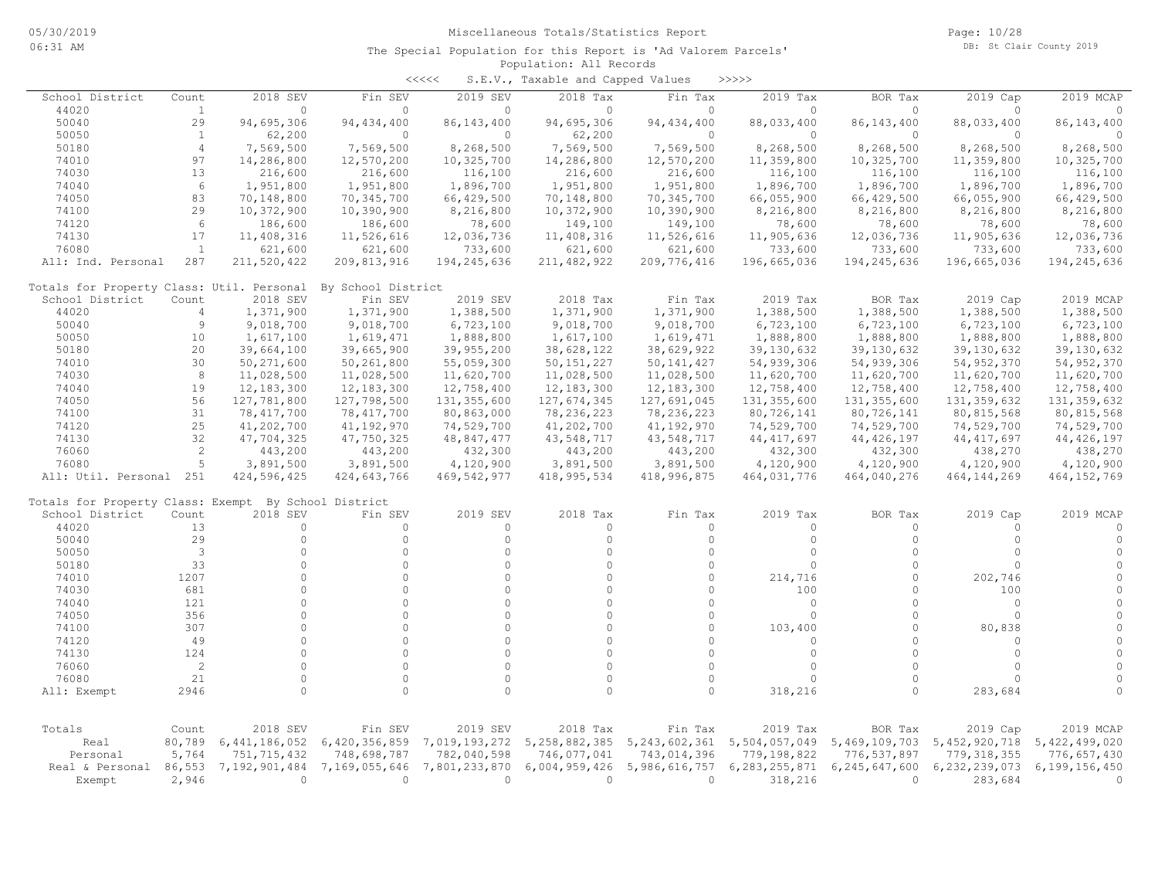|                                                      |                |                  |                    | $\prec\prec\prec\prec\prec$ | S.E.V., Taxable and Capped Values |                                   | >>>>>         |               |                  |               |
|------------------------------------------------------|----------------|------------------|--------------------|-----------------------------|-----------------------------------|-----------------------------------|---------------|---------------|------------------|---------------|
| School District                                      | Count          | 2018 SEV         | Fin SEV            | 2019 SEV                    | 2018 Tax                          | Fin Tax                           | 2019 Tax      | BOR Tax       | 2019 Cap         | 2019 MCAP     |
| 44020                                                | $\mathbf{1}$   | $\circ$          | $\mathbf{0}$       | $\circ$                     | $\circ$                           | $\circ$                           | $\circ$       | $\mathbf{0}$  | $\Omega$         | $\circ$       |
| 50040                                                | 29             | 94,695,306       | 94, 434, 400       | 86, 143, 400                | 94,695,306                        | 94, 434, 400                      | 88,033,400    | 86, 143, 400  | 88,033,400       | 86, 143, 400  |
| 50050                                                | -1             | 62,200           | $\circ$            | $\circ$                     | 62,200                            | $\Omega$                          | $\circ$       | $\circ$       | $\Omega$         | $\circ$       |
| 50180                                                | $\overline{4}$ | 7,569,500        | 7,569,500          | 8,268,500                   | 7,569,500                         | 7,569,500                         | 8,268,500     | 8,268,500     | 8,268,500        | 8,268,500     |
| 74010                                                | 97             | 14,286,800       | 12,570,200         | 10,325,700                  | 14,286,800                        | 12,570,200                        | 11,359,800    | 10,325,700    | 11,359,800       | 10,325,700    |
| 74030                                                | 13             | 216,600          | 216,600            | 116,100                     | 216,600                           | 216,600                           | 116,100       | 116,100       | 116,100          | 116,100       |
| 74040                                                | 6              | 1,951,800        | 1,951,800          | 1,896,700                   | 1,951,800                         | 1,951,800                         | 1,896,700     | 1,896,700     | 1,896,700        | 1,896,700     |
| 74050                                                | 83             | 70,148,800       | 70,345,700         | 66,429,500                  | 70,148,800                        | 70,345,700                        | 66,055,900    | 66,429,500    | 66,055,900       | 66,429,500    |
| 74100                                                | 29             | 10,372,900       | 10,390,900         | 8,216,800                   | 10,372,900                        | 10,390,900                        | 8,216,800     | 8,216,800     | 8,216,800        | 8,216,800     |
| 74120                                                | 6              | 186,600          | 186,600            | 78,600                      | 149,100                           | 149,100                           | 78,600        | 78,600        | 78,600           | 78,600        |
| 74130                                                | 17             | 11,408,316       | 11,526,616         | 12,036,736                  | 11,408,316                        | 11,526,616                        | 11,905,636    | 12,036,736    | 11,905,636       | 12,036,736    |
| 76080                                                | 1              | 621,600          | 621,600            | 733,600                     | 621,600                           | 621,600                           | 733,600       | 733,600       | 733,600          | 733,600       |
| All: Ind. Personal                                   | 287            | 211,520,422      | 209,813,916        | 194,245,636                 | 211, 482, 922                     | 209, 776, 416                     | 196,665,036   | 194, 245, 636 | 196,665,036      | 194,245,636   |
| Totals for Property Class: Util. Personal            |                |                  | By School District |                             |                                   |                                   |               |               |                  |               |
| School District                                      | Count          | 2018 SEV         | Fin SEV            | 2019 SEV                    | 2018 Tax                          | Fin Tax                           | 2019 Tax      | BOR Tax       | 2019 Cap         | 2019 MCAP     |
| 44020                                                | $\overline{4}$ | 1,371,900        | 1,371,900          | 1,388,500                   | 1,371,900                         | 1,371,900                         | 1,388,500     | 1,388,500     | 1,388,500        | 1,388,500     |
| 50040                                                | $\overline{9}$ | 9,018,700        | 9,018,700          | 6,723,100                   | 9,018,700                         | 9,018,700                         | 6,723,100     | 6,723,100     | 6,723,100        | 6,723,100     |
| 50050                                                | 10             | 1,617,100        | 1,619,471          | 1,888,800                   | 1,617,100                         | 1,619,471                         | 1,888,800     | 1,888,800     | 1,888,800        | 1,888,800     |
| 50180                                                | 20             | 39,664,100       | 39,665,900         | 39,955,200                  | 38,628,122                        | 38,629,922                        | 39, 130, 632  | 39, 130, 632  | 39,130,632       | 39,130,632    |
| 74010                                                | 30             | 50,271,600       | 50,261,800         | 55,059,300                  | 50, 151, 227                      | 50, 141, 427                      | 54,939,306    | 54,939,306    | 54, 952, 370     | 54, 952, 370  |
| 74030                                                | 8              | 11,028,500       | 11,028,500         | 11,620,700                  | 11,028,500                        | 11,028,500                        | 11,620,700    | 11,620,700    | 11,620,700       | 11,620,700    |
| 74040                                                | 19             | 12,183,300       | 12,183,300         | 12,758,400                  | 12,183,300                        | 12,183,300                        | 12,758,400    | 12,758,400    | 12,758,400       | 12,758,400    |
| 74050                                                | 56             | 127,781,800      | 127,798,500        | 131, 355, 600               | 127,674,345                       | 127,691,045                       | 131, 355, 600 | 131, 355, 600 | 131, 359, 632    | 131, 359, 632 |
| 74100                                                | 31             | 78,417,700       | 78,417,700         | 80,863,000                  | 78,236,223                        | 78,236,223                        | 80,726,141    | 80,726,141    | 80,815,568       | 80, 815, 568  |
| 74120                                                | 25             | 41,202,700       | 41, 192, 970       | 74,529,700                  | 41,202,700                        | 41,192,970                        | 74,529,700    | 74,529,700    | 74,529,700       | 74,529,700    |
| 74130                                                | 32             | 47,704,325       | 47,750,325         | 48,847,477                  | 43,548,717                        | 43,548,717                        | 44, 417, 697  | 44, 426, 197  | 44, 417, 697     | 44, 426, 197  |
| 76060                                                | $\overline{2}$ | 443,200          | 443,200            | 432,300                     | 443,200                           | 443,200                           | 432,300       | 432,300       | 438,270          | 438,270       |
| 76080                                                | 5              | 3,891,500        | 3,891,500          | 4,120,900                   | 3,891,500                         | 3,891,500                         | 4,120,900     | 4,120,900     | 4,120,900        | 4,120,900     |
| All: Util. Personal 251                              |                | 424,596,425      | 424,643,766        | 469,542,977                 | 418,995,534                       | 418,996,875                       | 464,031,776   | 464,040,276   | 464,144,269      | 464, 152, 769 |
| Totals for Property Class: Exempt By School District |                |                  |                    |                             |                                   |                                   |               |               |                  |               |
| School District                                      | Count          | 2018 SEV         | Fin SEV            | 2019 SEV                    | 2018 Tax                          | Fin Tax                           | 2019 Tax      | BOR Tax       | 2019 Cap         | 2019 MCAP     |
| 44020                                                | 13             | 0                | $\mathbf{0}$       | $\circ$                     | 0                                 | $\Omega$                          | $\circ$       | $\mathbf{0}$  | $\bigcap$        | $\circ$       |
| 50040                                                | 29             | $\circ$          | $\circ$            | $\circ$                     | $\circ$                           | $\circ$                           | $\circ$       | $\circ$       | $\Omega$         | $\circ$       |
| 50050                                                | 3              | $\circ$          | $\circ$            | $\Omega$                    | $\circ$                           | $\Omega$                          | $\circ$       | $\Omega$      | $\Omega$         | $\circ$       |
| 50180                                                | 33             | $\circ$          | $\circ$            | $\Omega$                    | $\circ$                           | $\Omega$                          | $\circ$       | $\Omega$      | $\Omega$         | $\circ$       |
| 74010                                                | 1207           | $\circ$          | $\circ$            | $\Omega$                    | $\circ$                           | $\Omega$                          | 214,716       | $\Omega$      | 202,746          | $\circ$       |
| 74030                                                | 681            | $\circ$          | $\circ$            | $\Omega$                    | $\circ$                           | $\Omega$                          | 100           | $\Omega$      | 100              | $\circ$       |
| 74040                                                | 121            | $\circ$          | $\circ$            | $\Omega$                    | $\circ$                           | $\Omega$                          | $\circ$       | $\Omega$      | $\circ$          | $\circ$       |
| 74050                                                | 356            | $\circ$          | $\Omega$           | $\Omega$                    | $\Omega$                          | $\Omega$                          | $\circ$       | $\Omega$      | $\Omega$         | $\mathbb O$   |
| 74100                                                | 307            | $\circ$          | $\circ$            | $\Omega$                    | $\Omega$                          | $\Omega$                          | 103,400       | $\Omega$      | 80,838           | $\circ$       |
| 74120                                                | 49             | $\circ$          | $\Omega$           | $\Omega$                    | $\Omega$                          | $\Omega$                          | $\circ$       | $\Omega$      | $\Omega$         | $\circ$       |
| 74130                                                | 124            | $\circ$          | $\Omega$           | $\Omega$                    | $\Omega$                          | $\Omega$                          | $\circ$       | $\Omega$      | $\Omega$         | $\circ$       |
| 76060                                                | $\overline{2}$ | $\circ$          | $\circ$            | $\Omega$                    | $\Omega$                          | $\Omega$                          | $\circ$       | $\Omega$      | $\Omega$         | $\circ$       |
| 76080                                                | 21             | $\circ$          | $\circ$            | $\Omega$                    | $\circ$                           | $\Omega$                          | $\circ$       | $\Omega$      | $\bigcap$        | $\circ$       |
| All: Exempt                                          | 2946           | $\circ$          | $\Omega$           | $\Omega$                    | $\circ$                           | $\circ$                           | 318,216       | $\circ$       | 283,684          | $\Omega$      |
|                                                      |                |                  |                    |                             |                                   |                                   |               |               |                  |               |
| Totals                                               | Count          | 2018 SEV         | Fin SEV            | 2019 SEV                    | 2018 Tax                          | Fin Tax                           | 2019 Tax      | BOR Tax       | 2019 Cap         | 2019 MCAP     |
| Real                                                 | 80,789         | 6, 441, 186, 052 | 6,420,356,859      | 7,019,193,272               |                                   | 5, 258, 882, 385 5, 243, 602, 361 | 5,504,057,049 | 5,469,109,703 | 5, 452, 920, 718 | 5,422,499,020 |
| Personal                                             | 5,764          | 751, 715, 432    | 748,698,787        | 782,040,598                 | 746,077,041                       | 743,014,396                       | 779,198,822   | 776,537,897   | 779, 318, 355    | 776,657,430   |
| Real & Personal                                      | 86,553         | 7,192,901,484    | 7,169,055,646      | 7,801,233,870               | 6,004,959,426                     | 5,986,616,757                     | 6,283,255,871 | 6,245,647,600 | 6,232,239,073    | 6,199,156,450 |
| Exempt                                               | 2,946          | $\mathbf{0}$     | $\mathbf{0}$       | $\Omega$                    | $\Omega$                          | $\Omega$                          | 318,216       | $\Omega$      | 283,684          | $\Omega$      |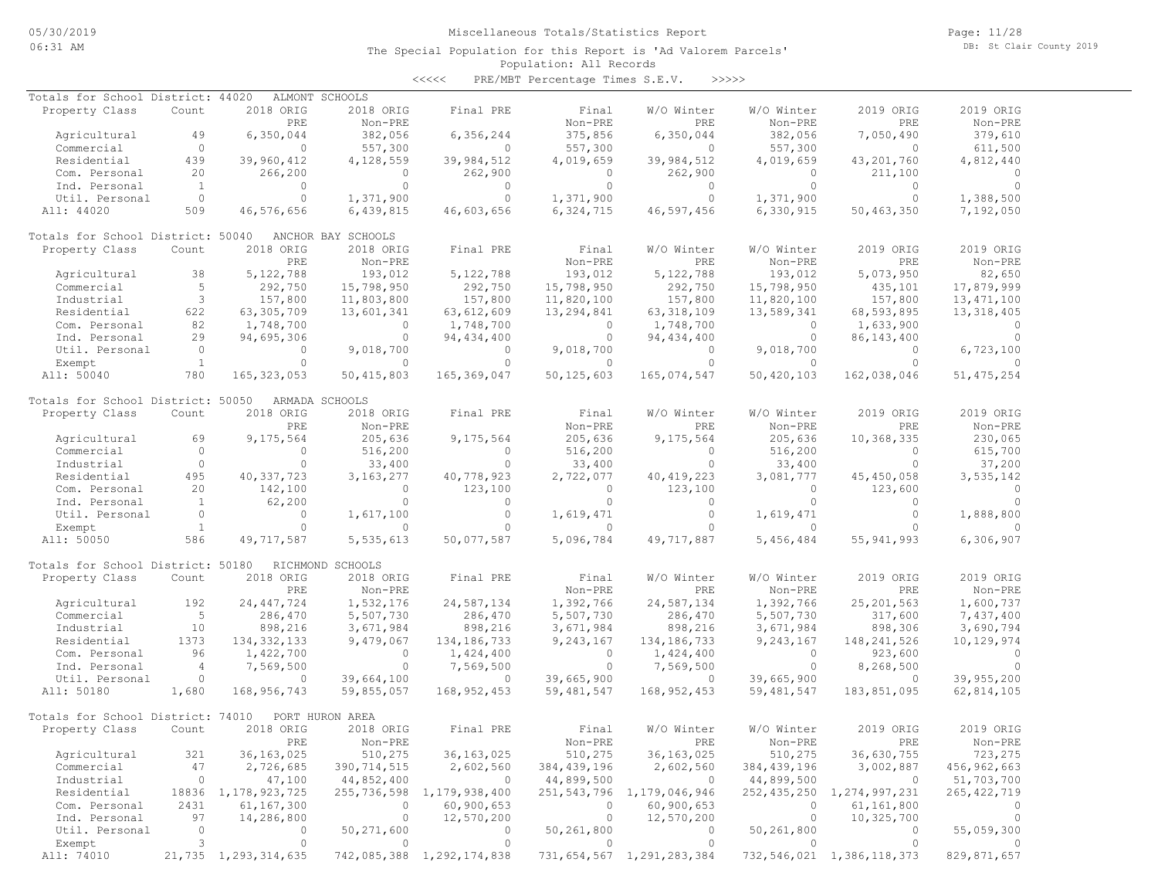Page: 11/28 DB: St Clair County 2019

### Population: All Records The Special Population for this Report is 'Ad Valorem Parcels'

<<<<< PRE/MBT Percentage Times S.E.V. >>>>>

| Totals for School District: 44020 |                |                        | ALMONT SCHOOLS     |                                |              |                                |               |                                |               |
|-----------------------------------|----------------|------------------------|--------------------|--------------------------------|--------------|--------------------------------|---------------|--------------------------------|---------------|
| Property Class                    | Count          | 2018 ORIG              | 2018 ORIG          | Final PRE                      | Final        | W/O Winter                     | W/O Winter    | 2019 ORIG                      | 2019 ORIG     |
|                                   |                | PRE                    | Non-PRE            |                                | Non-PRE      | PRE                            | Non-PRE       | PRE                            | Non-PRE       |
| Agricultural                      | 49             | 6,350,044              | 382,056            | 6,356,244                      | 375,856      | 6,350,044                      | 382,056       | 7,050,490                      | 379,610       |
| Commercial                        | $\circ$        | $\circ$                | 557,300            | $\circ$                        | 557,300      | $\mathbf{0}$                   | 557,300       | $\Omega$                       | 611,500       |
| Residential                       | 439            | 39,960,412             | 4,128,559          | 39,984,512                     | 4,019,659    | 39,984,512                     | 4,019,659     | 43,201,760                     | 4,812,440     |
| Com. Personal                     | 20             | 266,200                | $\Omega$           | 262,900                        | $\circ$      | 262,900                        | $\circ$       | 211,100                        | $\Omega$      |
| Ind. Personal                     | $\mathbf{1}$   | $\mathbf{0}$           | $\circ$            | $\Omega$                       | $\circ$      | $\circ$                        | $\circ$       | $\Omega$                       | $\circ$       |
|                                   | $\circ$        | $\circ$                |                    | $\circ$                        |              |                                |               |                                |               |
| Util. Personal                    |                |                        | 1,371,900          |                                | 1,371,900    | $\circ$                        | 1,371,900     | $\circ$                        | 1,388,500     |
| All: 44020                        | 509            | 46,576,656             | 6,439,815          | 46,603,656                     | 6,324,715    | 46,597,456                     | 6,330,915     | 50,463,350                     | 7,192,050     |
| Totals for School District: 50040 |                |                        | ANCHOR BAY SCHOOLS |                                |              |                                |               |                                |               |
| Property Class                    | Count          | 2018 ORIG              | 2018 ORIG          | Final PRE                      | Final        | W/O Winter                     | W/O Winter    | 2019 ORIG                      | 2019 ORIG     |
|                                   |                | PRE                    | Non-PRE            |                                | Non-PRE      | PRE                            | Non-PRE       | PRE                            | Non-PRE       |
| Agricultural                      | 38             | 5,122,788              | 193,012            | 5, 122, 788                    | 193,012      | 5, 122, 788                    | 193,012       | 5,073,950                      | 82,650        |
| Commercial                        | 5              | 292,750                | 15,798,950         | 292,750                        | 15,798,950   | 292,750                        | 15,798,950    | 435,101                        | 17,879,999    |
| Industrial                        | 3              | 157,800                | 11,803,800         | 157,800                        | 11,820,100   | 157,800                        | 11,820,100    | 157,800                        | 13, 471, 100  |
| Residential                       | 622            |                        | 13,601,341         |                                | 13,294,841   |                                | 13,589,341    | 68,593,895                     |               |
|                                   |                | 63,305,709             |                    | 63,612,609                     |              | 63, 318, 109                   |               |                                | 13, 318, 405  |
| Com. Personal                     | 82             | 1,748,700              | $\mathbf{0}$       | 1,748,700                      | $\circ$      | 1,748,700                      | $\circ$       | 1,633,900                      | $\circ$       |
| Ind. Personal                     | 29             | 94,695,306             | $\mathbf{0}$       | 94, 434, 400                   | $\circ$      | 94, 434, 400                   | $\circ$       | 86, 143, 400                   | $\Omega$      |
| Util. Personal                    | $\circ$        | $\mathbf{0}$           | 9,018,700          | $\Omega$                       | 9,018,700    | $\circ$                        | 9,018,700     | $\Omega$                       | 6,723,100     |
| Exempt                            | $\mathbf{1}$   | $\Omega$               | $\Omega$           | $\Omega$                       | $\Omega$     | $\Omega$                       | $\Omega$      | $\Omega$                       |               |
| All: 50040                        | 780            | 165, 323, 053          | 50, 415, 803       | 165, 369, 047                  | 50, 125, 603 | 165,074,547                    | 50,420,103    | 162,038,046                    | 51, 475, 254  |
| Totals for School District: 50050 |                |                        | ARMADA SCHOOLS     |                                |              |                                |               |                                |               |
| Property Class                    | Count          | 2018 ORIG              | 2018 ORIG          | Final PRE                      | Final        | W/O Winter                     | W/O Winter    | 2019 ORIG                      | 2019 ORIG     |
|                                   |                | PRE                    | Non-PRE            |                                | Non-PRE      | PRE                            | $Non-PRE$     | PRE                            | Non-PRE       |
|                                   |                |                        | 205,636            |                                |              |                                |               |                                |               |
| Agricultural                      | 69             | 9,175,564              |                    | 9,175,564                      | 205,636      | 9,175,564                      | 205,636       | 10,368,335                     | 230,065       |
| Commercial                        | $\circ$        | $\mathbf{0}$           | 516,200            | $\Omega$                       | 516,200      | $\circ$                        | 516,200       | $\Omega$                       | 615,700       |
| Industrial                        | $\circ$        | $\circ$                | 33,400             | $\circ$                        | 33,400       | $\circ$                        | 33,400        | $\Omega$                       | 37,200        |
| Residential                       | 495            | 40, 337, 723           | 3, 163, 277        | 40,778,923                     | 2,722,077    | 40, 419, 223                   | 3,081,777     | 45, 450, 058                   | 3,535,142     |
| Com. Personal                     | 20             | 142,100                | $\circ$            | 123,100                        | $\circ$      | 123,100                        | $\circ$       | 123,600                        | $\circ$       |
| Ind. Personal                     | $\mathbf{1}$   | 62,200                 | $\circ$            | $\circ$                        | $\circ$      | $\circ$                        | $\circ$       | $\Omega$                       | $\circ$       |
| Util. Personal                    | $\circ$        | $\circ$                | 1,617,100          | $\circ$                        | 1,619,471    | $\circ$                        | 1,619,471     | $\circ$                        | 1,888,800     |
| Exempt                            | <sup>1</sup>   | $\circ$                | $\circ$            | $\circ$                        | $\circ$      | $\Omega$                       | $\circ$       | $\Omega$                       | $\circ$       |
| All: 50050                        | 586            | 49,717,587             | 5,535,613          | 50,077,587                     | 5,096,784    | 49,717,887                     | 5,456,484     | 55, 941, 993                   | 6,306,907     |
|                                   |                |                        |                    |                                |              |                                |               |                                |               |
| Totals for School District: 50180 |                |                        | RICHMOND SCHOOLS   |                                |              |                                |               |                                |               |
| Property Class                    | Count          | 2018 ORIG              | 2018 ORIG          | Final PRE                      | Final        | W/O Winter                     | W/O Winter    | 2019 ORIG                      | 2019 ORIG     |
|                                   |                | PRE                    | Non-PRE            |                                | Non-PRE      | PRE                            | Non-PRE       | PRE                            | Non-PRE       |
| Agricultural                      | 192            | 24, 447, 724           | 1,532,176          | 24,587,134                     | 1,392,766    | 24,587,134                     | 1,392,766     | 25, 201, 563                   | 1,600,737     |
| Commercial                        | 5              | 286,470                | 5,507,730          | 286,470                        | 5,507,730    | 286,470                        | 5,507,730     | 317,600                        | 7,437,400     |
| Industrial                        | 10             | 898,216                | 3,671,984          | 898,216                        |              | 898,216                        | 3,671,984     | 898,306                        | 3,690,794     |
|                                   |                |                        |                    |                                | 3,671,984    |                                |               |                                |               |
| Residential                       | 1373           | 134, 332, 133          | 9,479,067          | 134, 186, 733                  | 9,243,167    | 134, 186, 733                  | 9,243,167     | 148, 241, 526                  | 10, 129, 974  |
| Com. Personal                     | 96             | 1,422,700              | $\circ$            | 1,424,400                      | $\circ$      | 1,424,400                      | $\circ$       | 923,600                        | $\circ$       |
| Ind. Personal                     | $\overline{4}$ | 7,569,500              | $\Omega$           | 7,569,500                      | $\circ$      | 7,569,500                      | $\circ$       | 8,268,500                      | $\Omega$      |
| Util. Personal                    | $\circ$        | $\Omega$               | 39,664,100         | $\circ$                        | 39,665,900   | $\circ$                        | 39,665,900    | $\Omega$                       | 39,955,200    |
| All: 50180                        | 1,680          | 168,956,743            | 59,855,057         | 168, 952, 453                  | 59, 481, 547 | 168, 952, 453                  | 59, 481, 547  | 183,851,095                    | 62,814,105    |
| Totals for School District: 74010 |                |                        | PORT HURON AREA    |                                |              |                                |               |                                |               |
| Property Class                    | Count          | 2018 ORIG              | 2018 ORIG          | Final PRE                      | Final        | W/O Winter                     | W/O Winter    | 2019 ORIG                      | 2019 ORIG     |
|                                   |                | PRE                    | Non-PRE            |                                | Non-PRE      | PRE                            | Non-PRE       | PRE                            | Non-PRE       |
|                                   |                |                        |                    |                                |              |                                |               |                                |               |
| Agricultural                      | 321            | 36, 163, 025           | 510,275            | 36,163,025                     | 510,275      | 36, 163, 025                   | 510,275       | 36,630,755                     | 723,275       |
| Commercial                        | 47             | 2,726,685              | 390, 714, 515      | 2,602,560                      | 384,439,196  | 2,602,560                      | 384, 439, 196 | 3,002,887                      | 456,962,663   |
| Industrial                        | $\circ$        | 47,100                 | 44,852,400         | $\overline{0}$                 | 44,899,500   | $\overline{0}$                 | 44,899,500    | $\circ$                        | 51,703,700    |
| Residential                       |                | 18836 1, 178, 923, 725 |                    | 255, 736, 598 1, 179, 938, 400 |              | 251, 543, 796 1, 179, 046, 946 |               | 252,435,250 1,274,997,231      | 265, 422, 719 |
| Com. Personal                     | 2431           | 61,167,300             | $\circ$            | 60,900,653                     | $\circ$      | 60,900,653                     | $\circ$       | 61,161,800                     | 0             |
| Ind. Personal                     | 97             | 14,286,800             | $\circ$            | 12,570,200                     | $\circ$      | 12,570,200                     | $\circ$       | 10,325,700                     | 0             |
| Util. Personal                    | $\circ$        | 0                      | 50,271,600         | 0                              | 50,261,800   | $\circ$                        | 50,261,800    | $\mathbf{0}$                   | 55,059,300    |
| Exempt                            | 3              | $\circ$                | $\circ$            | $\circ$                        | $\circ$      | $\circ$                        | $\circ$       | $\circ$                        |               |
| All: 74010                        |                | 21,735 1,293,314,635   |                    | 742,085,388 1,292,174,838      |              | 731, 654, 567 1, 291, 283, 384 |               | 732, 546, 021 1, 386, 118, 373 | 829,871,657   |
|                                   |                |                        |                    |                                |              |                                |               |                                |               |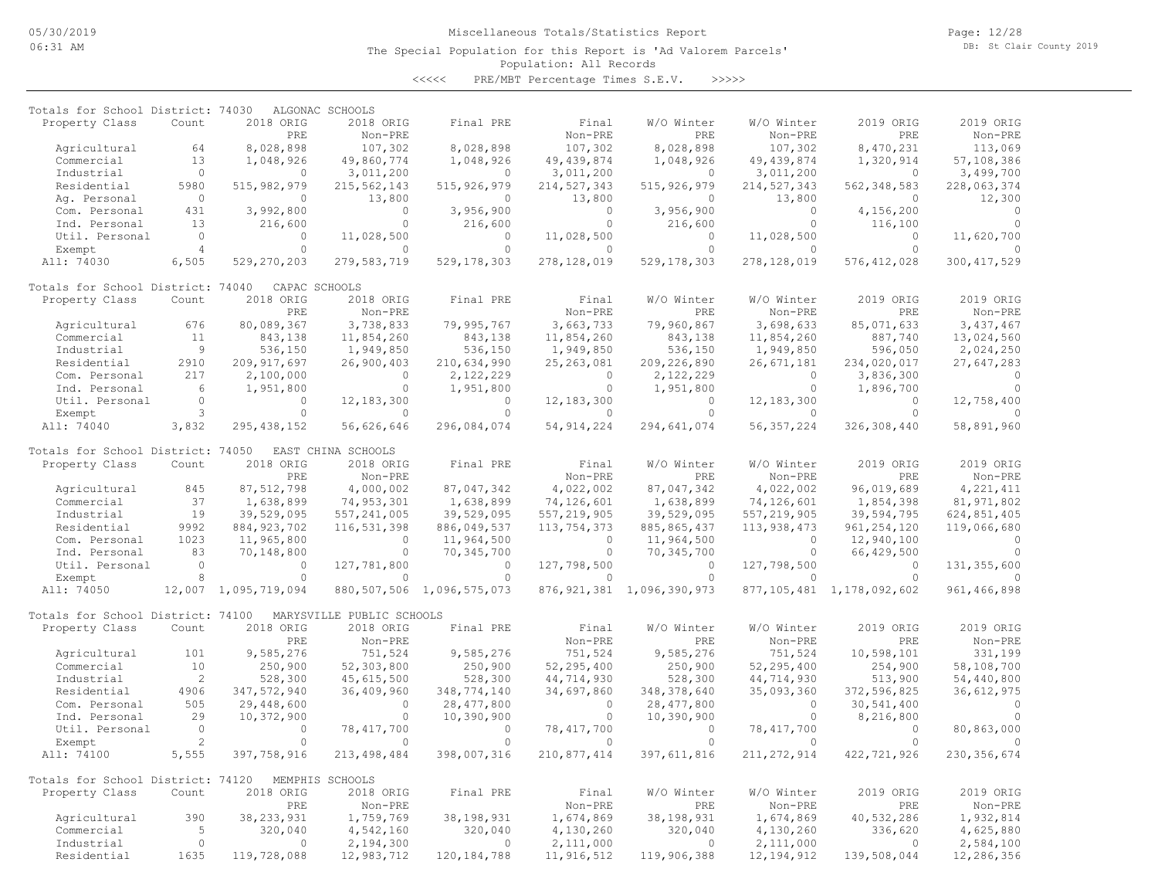The Special Population for this Report is 'Ad Valorem Parcels'

Page: 12/28 DB: St Clair County 2019

# Population: All Records

<<<<< PRE/MBT Percentage Times S.E.V. >>>>>

| Totals for School District: 74030 |                |                      | ALGONAC SCHOOLS           |                                |               |                                |               |                                |                |
|-----------------------------------|----------------|----------------------|---------------------------|--------------------------------|---------------|--------------------------------|---------------|--------------------------------|----------------|
| Property Class                    | Count          | 2018 ORIG            | 2018 ORIG                 | Final PRE                      | Final         | W/O Winter                     | W/O Winter    | 2019 ORIG                      | 2019 ORIG      |
|                                   |                | PRE                  | Non-PRE                   |                                | Non-PRE       | PRE                            | Non-PRE       | PRE                            | Non-PRE        |
| Agricultural                      | 64             | 8,028,898            | 107,302                   | 8,028,898                      | 107,302       | 8,028,898                      | 107,302       | 8,470,231                      | 113,069        |
| Commercial                        | 13             | 1,048,926            | 49,860,774                | 1,048,926                      | 49, 439, 874  | 1,048,926                      | 49, 439, 874  | 1,320,914                      | 57,108,386     |
| Industrial                        | $\Omega$       | $\Omega$             | 3,011,200                 | $\Omega$                       | 3,011,200     | $\Omega$                       | 3,011,200     | $\circ$                        | 3,499,700      |
| Residential                       | 5980           | 515, 982, 979        | 215, 562, 143             | 515, 926, 979                  | 214, 527, 343 | 515, 926, 979                  | 214, 527, 343 | 562, 348, 583                  | 228,063,374    |
| Ag. Personal                      | $\Omega$       | $\Omega$             | 13,800                    | $\Omega$                       | 13,800        | $\Omega$                       | 13,800        | $\Omega$                       | 12,300         |
| Com. Personal                     | 431            | 3,992,800            | $\circ$                   | 3,956,900                      | $\circ$       | 3,956,900                      | $\circ$       | 4,156,200                      | $\circ$        |
| Ind. Personal                     | 13             | 216,600              | $\circ$                   | 216,600                        | $\circ$       | 216,600                        | $\circ$       | 116,100                        | $\cap$         |
| Util. Personal                    | $\circ$        | $\circ$              | 11,028,500                | $\circ$                        | 11,028,500    | $\circ$                        | 11,028,500    | $\circ$                        | 11,620,700     |
| Exempt                            | $\overline{4}$ | $\Omega$             | $\Omega$                  | $\Omega$                       | $\Omega$      | $\Omega$                       | $\cap$        | $\Omega$                       |                |
| All: 74030                        | 6,505          | 529,270,203          | 279,583,719               | 529, 178, 303                  | 278,128,019   | 529, 178, 303                  | 278,128,019   | 576, 412, 028                  | 300, 417, 529  |
| Totals for School District: 74040 |                | CAPAC SCHOOLS        |                           |                                |               |                                |               |                                |                |
| Property Class                    | Count          | 2018 ORIG            | 2018 ORIG                 | Final PRE                      | Final         | W/O Winter                     | W/O Winter    | 2019 ORIG                      | 2019 ORIG      |
|                                   |                | PRE                  | Non-PRE                   |                                | Non-PRE       | PRE                            | Non-PRE       | PRE                            | Non-PRE        |
| Agricultural                      | 676            | 80,089,367           | 3,738,833                 | 79,995,767                     | 3,663,733     | 79,960,867                     | 3,698,633     | 85,071,633                     | 3,437,467      |
| Commercial                        | 11             | 843,138              | 11,854,260                | 843,138                        | 11,854,260    | 843,138                        | 11,854,260    | 887,740                        | 13,024,560     |
| Industrial                        | 9              | 536,150              | 1,949,850                 | 536,150                        | 1,949,850     | 536,150                        | 1,949,850     | 596,050                        | 2,024,250      |
| Residential                       | 2910           | 209, 917, 697        | 26,900,403                | 210,634,990                    | 25, 263, 081  | 209, 226, 890                  | 26,671,181    | 234,020,017                    | 27,647,283     |
| Com. Personal                     | 217            | 2,100,000            | $\Omega$                  | 2,122,229                      | $\Omega$      | 2,122,229                      | $\Omega$      | 3,836,300                      | $\Omega$       |
| Ind. Personal                     | 6              | 1,951,800            | $\Omega$                  | 1,951,800                      | $\Omega$      | 1,951,800                      | $\Omega$      | 1,896,700                      |                |
| Util. Personal                    | $\Omega$       | $\Omega$             | 12, 183, 300              | $\Omega$                       | 12, 183, 300  | $\Omega$                       | 12, 183, 300  | $\Omega$                       | 12,758,400     |
| Exempt                            | $\mathbf{3}$   | $\circ$              | $\circ$                   | $\circ$                        | $\circ$       | $\circ$                        | $\cap$        | $\circ$                        |                |
| All: 74040                        | 3,832          | 295, 438, 152        | 56,626,646                | 296,084,074                    | 54, 914, 224  | 294,641,074                    | 56, 357, 224  | 326,308,440                    | 58,891,960     |
| Totals for School District: 74050 |                |                      | EAST CHINA SCHOOLS        |                                |               |                                |               |                                |                |
| Property Class                    | Count          | 2018 ORIG            | 2018 ORIG                 | Final PRE                      | Final         | W/O Winter                     | W/O Winter    | 2019 ORIG                      | 2019 ORIG      |
|                                   |                | PRE                  | Non-PRE                   |                                | Non-PRE       | PRE                            | Non-PRE       | <b>PRE</b>                     | Non-PRE        |
| Agricultural                      | 845            | 87,512,798           | 4,000,002                 | 87,047,342                     | 4,022,002     | 87,047,342                     | 4,022,002     | 96,019,689                     | 4, 221, 411    |
| Commercial                        | 37             | 1,638,899            | 74,953,301                | 1,638,899                      | 74,126,601    | 1,638,899                      | 74,126,601    | 1,854,398                      | 81, 971, 802   |
| Industrial                        | 19             | 39,529,095           | 557, 241, 005             | 39,529,095                     | 557, 219, 905 | 39,529,095                     | 557, 219, 905 | 39,594,795                     | 624,851,405    |
| Residential                       | 9992           | 884, 923, 702        | 116,531,398               | 886,049,537                    | 113,754,373   | 885, 865, 437                  | 113,938,473   | 961, 254, 120                  | 119,066,680    |
| Com. Personal                     | 1023           | 11,965,800           | $\circ$                   | 11,964,500                     | $\circ$       | 11,964,500                     | $\circ$       | 12,940,100                     | $\overline{0}$ |
| Ind. Personal                     | 83             | 70,148,800           | $\circ$                   | 70,345,700                     | $\circ$       | 70,345,700                     | $\circ$       | 66,429,500                     |                |
| Util. Personal                    | $\circ$        | $\Omega$             | 127,781,800               | $\Omega$                       | 127,798,500   | $\circ$                        | 127,798,500   | $\circ$                        | 131, 355, 600  |
| Exempt                            | 8              | $\Omega$             | $\circ$                   | $\Omega$                       | $\circ$       | $\Omega$                       | $\Omega$      | $\Omega$                       |                |
| All: 74050                        |                | 12,007 1,095,719,094 |                           | 880, 507, 506 1, 096, 575, 073 |               | 876, 921, 381 1, 096, 390, 973 |               | 877, 105, 481 1, 178, 092, 602 | 961, 466, 898  |
| Totals for School District: 74100 |                |                      | MARYSVILLE PUBLIC SCHOOLS |                                |               |                                |               |                                |                |
| Property Class                    | Count          | 2018 ORIG            | 2018 ORIG                 | Final PRE                      | Final         | W/O Winter                     | W/O Winter    | 2019 ORIG                      | 2019 ORIG      |
|                                   |                | PRE                  | Non-PRE                   |                                | Non-PRE       | PRE                            | Non-PRE       | PRE                            | Non-PRE        |
| Agricultural                      | 101            | 9,585,276            | 751,524                   | 9,585,276                      | 751,524       | 9,585,276                      | 751,524       | 10,598,101                     | 331,199        |
| Commercial                        | 10             | 250,900              | 52,303,800                | 250,900                        | 52,295,400    | 250,900                        | 52,295,400    | 254,900                        | 58,108,700     |
| Industrial                        | 2              | 528,300              | 45,615,500                | 528,300                        | 44,714,930    | 528,300                        | 44,714,930    | 513,900                        | 54,440,800     |
| Residential                       | 4906           | 347,572,940          | 36,409,960                | 348,774,140                    | 34,697,860    | 348, 378, 640                  | 35,093,360    | 372,596,825                    | 36,612,975     |
| Com. Personal                     | 505            | 29,448,600           | $\circ$                   | 28, 477, 800                   | $\circ$       | 28, 477, 800                   | $\Omega$      | 30,541,400                     | $\Omega$       |
| Ind. Personal                     | 29             | 10,372,900           | $\circ$                   | 10,390,900                     | $\circ$       | 10,390,900                     | $\Omega$      | 8,216,800                      | $\cap$         |
| Util. Personal                    | $\circ$        | $\circ$              | 78, 417, 700              | $\circ$                        | 78,417,700    | $\circ$                        | 78,417,700    | $\circ$                        | 80,863,000     |
| Exempt                            | $\overline{2}$ | $\Omega$             | $\circ$                   | $\Omega$                       | $\Omega$      | $\circ$                        | $\Omega$      | $\circ$                        |                |
| All: 74100                        | 5,555          | 397,758,916          | 213, 498, 484             | 398,007,316                    | 210,877,414   | 397, 611, 816                  | 211, 272, 914 | 422,721,926                    | 230, 356, 674  |
| Totals for School District: 74120 |                |                      | MEMPHIS SCHOOLS           |                                |               |                                |               |                                |                |
| Property Class                    | Count          | 2018 ORIG            | 2018 ORIG                 | Final PRE                      | Final         | W/O Winter                     | W/O Winter    | 2019 ORIG                      | 2019 ORIG      |
|                                   |                | PRE                  | Non-PRE                   |                                | Non-PRE       | PRE                            | Non-PRE       | PRE                            | Non-PRE        |
| Agricultural                      | 390            | 38, 233, 931         | 1,759,769                 | 38,198,931                     | 1,674,869     | 38,198,931                     | 1,674,869     | 40,532,286                     | 1,932,814      |
| Commercial                        | 5              | 320,040              | 4,542,160                 | 320,040                        | 4,130,260     | 320,040                        | 4,130,260     | 336,620                        | 4,625,880      |
| Industrial                        | $\mathbb O$    | $\circ$              | 2,194,300                 | $\Omega$                       | 2,111,000     | $\circ$                        | 2,111,000     | $\circ$                        | 2,584,100      |
| Residential                       | 1635           | 119,728,088          | 12,983,712                | 120, 184, 788                  | 11,916,512    | 119,906,388                    | 12, 194, 912  | 139,508,044                    | 12,286,356     |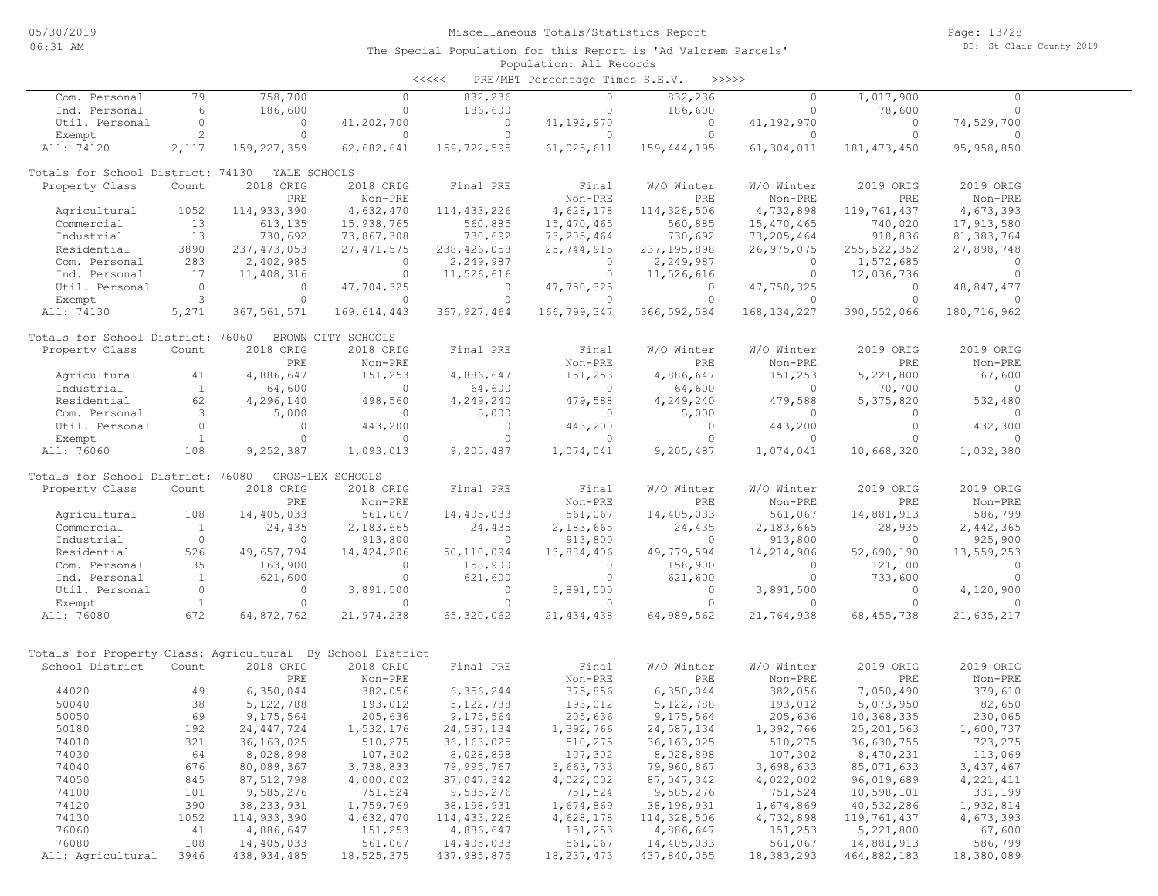| <<<< | PRE/MBT Percentage Times S.E.V. |  |  | >>>>> |
|------|---------------------------------|--|--|-------|
|------|---------------------------------|--|--|-------|

| Com. Personal                                              | 79                  | 758,700             | $\Omega$              | 832,236               | $\circ$               | 832,236               | $\circ$               | 1,017,900            | $\Omega$              |  |
|------------------------------------------------------------|---------------------|---------------------|-----------------------|-----------------------|-----------------------|-----------------------|-----------------------|----------------------|-----------------------|--|
| Ind. Personal                                              | 6                   | 186,600             | $\circ$               | 186,600               | $\circ$               | 186,600               | $\circ$               | 78,600               | 0                     |  |
| Util. Personal                                             | $\circ$             | $\circ$             | 41,202,700            | $\circ$               | 41,192,970            | $\circ$               | 41, 192, 970          | $\circ$              | 74,529,700            |  |
| Exempt                                                     | $\overline{c}$      | $\circ$             | $\Omega$              | $\Omega$              | 0                     | $\circ$               | 0                     | $\circ$              | $\Omega$              |  |
| All: 74120                                                 | 2,117               | 159, 227, 359       | 62,682,641            | 159,722,595           | 61,025,611            | 159,444,195           | 61,304,011            | 181, 473, 450        | 95, 958, 850          |  |
| Totals for School District: 74130                          |                     | YALE SCHOOLS        |                       |                       |                       |                       |                       |                      |                       |  |
| Property Class                                             | Count               | 2018 ORIG           | 2018 ORIG             | Final PRE             | Final                 | W/O Winter            | W/O Winter            | 2019 ORIG            | 2019 ORIG             |  |
|                                                            |                     | PRE                 | Non-PRE               |                       | Non-PRE               | PRE                   | Non-PRE               | PRE                  | Non-PRE               |  |
| Agricultural                                               | 1052                | 114,933,390         | 4,632,470             | 114, 433, 226         | 4,628,178             | 114,328,506           | 4,732,898             | 119,761,437          | 4,673,393             |  |
| Commercial                                                 | 13                  | 613,135             | 15,938,765            | 560,885               | 15,470,465            | 560,885               | 15,470,465            | 740,020              | 17,913,580            |  |
| Industrial                                                 | 13                  | 730,692             | 73,867,308            | 730,692               | 73, 205, 464          | 730,692               | 73,205,464            | 918,836              | 81, 383, 764          |  |
| Residential                                                | 3890                | 237, 473, 053       | 27, 471, 575          | 238,426,058           | 25,744,915            | 237, 195, 898         | 26,975,075            | 255, 522, 352        | 27,898,748            |  |
| Com. Personal                                              | 283                 | 2,402,985           | $\circ$               | 2,249,987             | $\circ$               | 2,249,987             | $\circ$               | 1,572,685            | $\circ$               |  |
| Ind. Personal                                              | 17                  | 11,408,316          | $\circ$               | 11,526,616            | $\circ$               | 11,526,616            | $\circ$               | 12,036,736           | $\circ$               |  |
| Util. Personal                                             | $\circ$             | $\circ$             | 47,704,325            | $\circ$               | 47,750,325            | $\circ$               | 47,750,325            | 0                    | 48,847,477            |  |
| Exempt                                                     | 3                   | $\circ$             | $\Omega$              | $\Omega$              | $\Omega$              | $\circ$               | $\Omega$              | $\Omega$             | $\Omega$              |  |
| All: 74130                                                 | 5,271               | 367,561,571         | 169,614,443           | 367, 927, 464         | 166,799,347           | 366, 592, 584         | 168, 134, 227         | 390, 552, 066        | 180,716,962           |  |
| Totals for School District: 76060                          |                     |                     | BROWN CITY SCHOOLS    |                       |                       |                       |                       |                      |                       |  |
| Property Class                                             | Count               | 2018 ORIG           | 2018 ORIG             | Final PRE             | Final                 | W/O Winter            | W/O Winter            | 2019 ORIG            | 2019 ORIG             |  |
|                                                            |                     | <b>PRE</b>          | Non-PRE               |                       | Non-PRE               | PRE                   | Non-PRE               | PRE                  | Non-PRE               |  |
| Agricultural                                               | 41                  | 4,886,647           | 151,253               | 4,886,647             | 151,253               | 4,886,647             | 151,253               | 5,221,800            | 67,600                |  |
| Industrial                                                 | $\mathbf{1}$        | 64,600              | $\circ$               | 64,600                | $\circ$               | 64,600                | $\circ$               | 70,700               | $\circ$               |  |
| Residential                                                | 62                  | 4,296,140           | 498,560               | 4,249,240             | 479,588               | 4,249,240             | 479,588               | 5,375,820            | 532,480               |  |
| Com. Personal                                              | 3                   | 5,000               | $\circ$               | 5,000                 | $\Omega$              | 5,000                 | 0                     | $\circ$              | $\circ$               |  |
| Util. Personal                                             | $\circ$             | $\circ$<br>$\Omega$ | 443,200               | $\circ$               | 443,200               | $\circ$               | 443,200               | $\circ$<br>$\Omega$  | 432,300               |  |
| Exempt<br>All: 76060                                       | $\mathbf{1}$<br>108 | 9,252,387           | $\Omega$<br>1,093,013 | $\Omega$<br>9,205,487 | $\Omega$<br>1,074,041 | $\Omega$<br>9,205,487 | $\Omega$<br>1,074,041 | 10,668,320           | $\Omega$<br>1,032,380 |  |
|                                                            |                     |                     |                       |                       |                       |                       |                       |                      |                       |  |
| Totals for School District: 76080                          |                     |                     | CROS-LEX SCHOOLS      |                       |                       |                       |                       |                      |                       |  |
| Property Class                                             | Count               | 2018 ORIG<br>PRE    | 2018 ORIG             | Final PRE             | Final<br>Non-PRE      | W/O Winter<br>PRE     | W/O Winter            | 2019 ORIG<br>PRE     | 2019 ORIG<br>Non-PRE  |  |
| Agricultural                                               | 108                 | 14,405,033          | Non-PRE               | 14,405,033            | 561,067               |                       | Non-PRE<br>561,067    |                      | 586,799               |  |
| Commercial                                                 | $\mathbf{1}$        | 24,435              | 561,067<br>2,183,665  | 24,435                | 2,183,665             | 14,405,033<br>24,435  | 2,183,665             | 14,881,913<br>28,935 | 2,442,365             |  |
| Industrial                                                 | $\circ$             | $\circ$             | 913,800               | $\Omega$              | 913,800               | $\circ$               | 913,800               | $\circ$              | 925,900               |  |
| Residential                                                | 526                 | 49,657,794          | 14,424,206            | 50,110,094            | 13,884,406            | 49,779,594            | 14,214,906            | 52,690,190           | 13,559,253            |  |
| Com. Personal                                              | 35                  | 163,900             | $\Omega$              | 158,900               | $\Omega$              | 158,900               | $\Omega$              | 121,100              | $\circ$               |  |
| Ind. Personal                                              | <sup>1</sup>        | 621,600             | $\circ$               | 621,600               | $\Omega$              | 621,600               | $\circ$               | 733,600              | $\Omega$              |  |
| Util. Personal                                             | $\circ$             | $\circ$             | 3,891,500             | $\circ$               | 3,891,500             | $\circ$               | 3,891,500             | $\circ$              | 4,120,900             |  |
| Exempt                                                     | $\mathbf{1}$        | $\circ$             | $\Omega$              | $\circ$               | $\Omega$              | $\circ$               | $\Omega$              | $\Omega$             | $\bigcap$             |  |
| All: 76080                                                 | 672                 | 64,872,762          | 21,974,238            | 65,320,062            | 21, 434, 438          | 64,989,562            | 21,764,938            | 68, 455, 738         | 21,635,217            |  |
|                                                            |                     |                     |                       |                       |                       |                       |                       |                      |                       |  |
| Totals for Property Class: Agricultural By School District |                     |                     |                       |                       |                       |                       |                       |                      |                       |  |
| School District                                            | Count               | 2018 ORIG           | 2018 ORIG             | Final PRE             | Final                 | W/O Winter            | W/O Winter            | 2019 ORIG            | 2019 ORIG             |  |
|                                                            |                     | <b>PRE</b>          | Non-PRE               |                       | Non-PRE               | PRE                   | Non-PRE               | PRE                  | Non-PRE               |  |
| 44020                                                      | 49                  | 6,350,044           | 382,056               | 6,356,244             | 375,856               | 6,350,044             | 382,056               | 7,050,490            | 379,610               |  |
| 50040                                                      | 38                  | 5,122,788           | 193,012               | 5, 122, 788           | 193,012               | 5,122,788             | 193,012               | 5,073,950            | 82,650                |  |
| 50050                                                      | 69                  | 9,175,564           | 205,636               | 9,175,564             | 205,636               | 9,175,564             | 205,636               | 10,368,335           | 230,065               |  |
| 50180                                                      | 192                 | 24, 447, 724        | 1,532,176             | 24,587,134            | 1,392,766             | 24,587,134            | 1,392,766             | 25, 201, 563         | 1,600,737             |  |
| 74010                                                      | 321                 | 36,163,025          | 510,275               | 36,163,025            | 510,275               | 36,163,025            | 510,275               | 36,630,755           | 723,275               |  |
| 74030                                                      | 64                  | 8,028,898           | 107,302               | 8,028,898             | 107,302               | 8,028,898             | 107,302               | 8,470,231            | 113,069               |  |
| 74040                                                      | 676                 | 80,089,367          | 3,738,833             | 79,995,767            | 3,663,733             | 79,960,867            | 3,698,633             | 85,071,633           | 3,437,467             |  |
| 74050                                                      | 845                 | 87, 512, 798        | 4,000,002             | 87,047,342            | 4,022,002             | 87,047,342            | 4,022,002             | 96,019,689           | 4,221,411             |  |
| 74100                                                      | 101                 | 9,585,276           | 751,524               | 9,585,276             | 751,524               | 9,585,276             | 751,524               | 10,598,101           | 331,199               |  |
| 74120                                                      | 390                 | 38, 233, 931        | 1,759,769             | 38,198,931            | 1,674,869             | 38, 198, 931          | 1,674,869             | 40,532,286           | 1,932,814             |  |
| 74130                                                      | 1052                | 114,933,390         | 4,632,470             | 114, 433, 226         | 4,628,178             | 114,328,506           | 4,732,898             | 119,761,437          | 4,673,393             |  |
| 76060                                                      | 41                  | 4,886,647           | 151,253               | 4,886,647             | 151,253               | 4,886,647             | 151,253               | 5,221,800            | 67,600                |  |
| 76080                                                      | 108                 | 14,405,033          | 561,067               | 14,405,033            | 561,067               | 14,405,033            | 561,067               | 14,881,913           | 586,799               |  |
| All: Agricultural                                          | 3946                | 438, 934, 485       | 18,525,375            | 437, 985, 875         | 18, 237, 473          | 437,840,055           | 18,383,293            | 464,882,183          | 18,380,089            |  |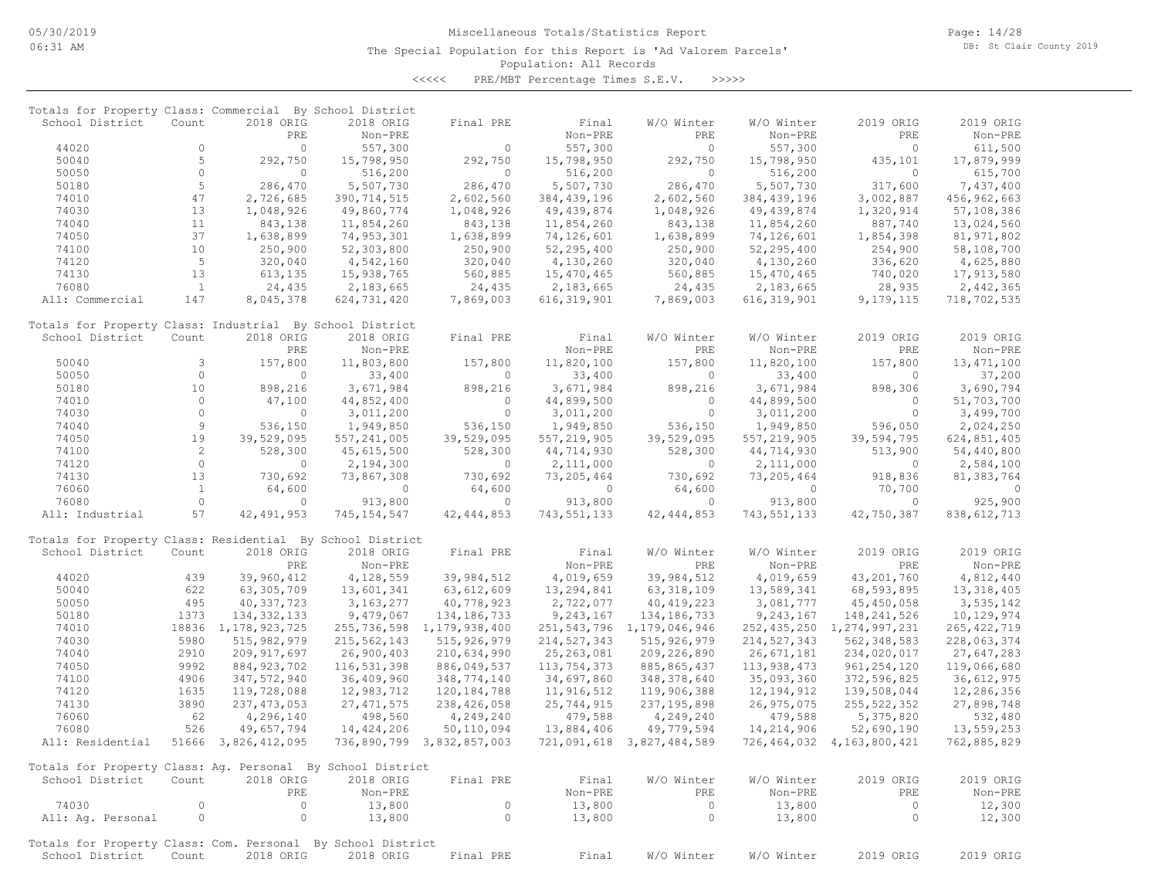The Special Population for this Report is 'Ad Valorem Parcels'

Page: 14/28 DB: St Clair County 2019

# Population: All Records

<<<<< PRE/MBT Percentage Times S.E.V. >>>>>

| Totals for Property Class: Commercial By School District                       |                |                        |               |                           |               |                                |               |                           |               |
|--------------------------------------------------------------------------------|----------------|------------------------|---------------|---------------------------|---------------|--------------------------------|---------------|---------------------------|---------------|
| School District                                                                | Count          | 2018 ORIG              | 2018 ORIG     | Final PRE                 | Final         | W/O Winter                     | W/O Winter    | 2019 ORIG                 | 2019 ORIG     |
|                                                                                |                | PRE                    | Non-PRE       |                           | Non-PRE       | PRE                            | Non-PRE       | PRE                       | Non-PRE       |
| 44020                                                                          | $\circ$        | $\circ$                | 557,300       | $\Omega$                  | 557,300       | $\Omega$                       | 557,300       | $\Omega$                  | 611,500       |
| 50040                                                                          | 5              | 292,750                | 15,798,950    | 292,750                   | 15,798,950    | 292,750                        | 15,798,950    | 435,101                   | 17,879,999    |
| 50050                                                                          | $\circ$        | $\circ$                | 516,200       | $\Omega$                  | 516,200       | $\Omega$                       | 516,200       | $\Omega$                  | 615,700       |
| 50180                                                                          | 5              | 286,470                | 5,507,730     | 286,470                   | 5,507,730     | 286,470                        | 5,507,730     | 317,600                   | 7,437,400     |
| 74010                                                                          | 47             | 2,726,685              | 390, 714, 515 | 2,602,560                 | 384, 439, 196 | 2,602,560                      | 384,439,196   | 3,002,887                 | 456,962,663   |
| 74030                                                                          | 13             | 1,048,926              | 49,860,774    | 1,048,926                 | 49,439,874    | 1,048,926                      | 49, 439, 874  | 1,320,914                 | 57,108,386    |
| 74040                                                                          | 11             | 843,138                | 11,854,260    | 843,138                   | 11,854,260    | 843,138                        | 11,854,260    | 887,740                   | 13,024,560    |
| 74050                                                                          | 37             |                        |               |                           |               |                                |               |                           |               |
|                                                                                |                | 1,638,899              | 74,953,301    | 1,638,899                 | 74,126,601    | 1,638,899                      | 74,126,601    | 1,854,398                 | 81,971,802    |
| 74100                                                                          | 10             | 250,900                | 52,303,800    | 250,900                   | 52,295,400    | 250,900                        | 52,295,400    | 254,900                   | 58,108,700    |
| 74120                                                                          | 5              | 320,040                | 4,542,160     | 320,040                   | 4,130,260     | 320,040                        | 4,130,260     | 336,620                   | 4,625,880     |
| 74130                                                                          | 13             | 613,135                | 15,938,765    | 560,885                   | 15,470,465    | 560,885                        | 15,470,465    | 740,020                   | 17,913,580    |
| 76080                                                                          | $\mathbf{1}$   | 24,435                 | 2,183,665     | 24,435                    | 2,183,665     | 24,435                         | 2,183,665     | 28,935                    | 2,442,365     |
| All: Commercial                                                                | 147            | 8,045,378              | 624,731,420   | 7,869,003                 | 616, 319, 901 | 7,869,003                      | 616, 319, 901 | 9,179,115                 | 718,702,535   |
| Totals for Property Class: Industrial By School District                       |                |                        |               |                           |               |                                |               |                           |               |
| School District                                                                | Count          | 2018 ORIG              | 2018 ORIG     | Final PRE                 | Final         | W/O Winter                     | W/O Winter    | 2019 ORIG                 | 2019 ORIG     |
|                                                                                |                | PRE                    | Non-PRE       |                           | Non-PRE       | PRE                            | Non-PRE       | PRE                       | Non-PRE       |
| 50040                                                                          | 3              | 157,800                | 11,803,800    | 157,800                   | 11,820,100    | 157,800                        | 11,820,100    | 157,800                   | 13, 471, 100  |
| 50050                                                                          | $\circ$        | $\circ$                | 33,400        | $\circ$                   | 33,400        | $\circ$                        | 33,400        | 0                         | 37,200        |
| 50180                                                                          | 10             | 898,216                | 3,671,984     | 898,216                   | 3,671,984     | 898,216                        | 3,671,984     | 898,306                   | 3,690,794     |
| 74010                                                                          | $\circ$        | 47,100                 | 44,852,400    | $\overline{0}$            | 44,899,500    | $\circ$                        | 44,899,500    | $\circ$                   | 51,703,700    |
| 74030                                                                          | $\circ$        | $\circ$                | 3,011,200     | $\circ$                   | 3,011,200     | $\circ$                        | 3,011,200     | $\circ$                   | 3,499,700     |
| 74040                                                                          | $\overline{9}$ | 536,150                | 1,949,850     | 536,150                   | 1,949,850     | 536,150                        | 1,949,850     | 596,050                   | 2,024,250     |
|                                                                                | 19             |                        |               |                           |               |                                |               |                           |               |
| 74050                                                                          |                | 39,529,095             | 557, 241, 005 | 39,529,095                | 557, 219, 905 | 39,529,095                     | 557, 219, 905 | 39,594,795                | 624,851,405   |
| 74100                                                                          | $\overline{c}$ | 528,300                | 45,615,500    | 528,300                   | 44,714,930    | 528,300                        | 44,714,930    | 513,900                   | 54,440,800    |
| 74120                                                                          | $\circ$        | $\circ$                | 2,194,300     | $\overline{0}$            | 2,111,000     | $\circ$                        | 2,111,000     | $\circ$                   | 2,584,100     |
| 74130                                                                          | 13             | 730,692                | 73,867,308    | 730,692                   | 73,205,464    | 730,692                        | 73,205,464    | 918,836                   | 81,383,764    |
| 76060                                                                          | $\mathbf{1}$   | 64,600                 | $\circ$       | 64,600                    | $\circ$       | 64,600                         | $\circ$       | 70,700                    | $\circ$       |
| 76080                                                                          | $\circ$        | $\circ$                | 913,800       | $\overline{0}$            | 913,800       | $\circ$                        | 913,800       | $\circ$                   | 925,900       |
| All: Industrial                                                                | 57             | 42, 491, 953           | 745, 154, 547 | 42, 444, 853              | 743, 551, 133 | 42, 444, 853                   | 743, 551, 133 | 42,750,387                | 838, 612, 713 |
| Totals for Property Class: Residential By School District                      |                |                        |               |                           |               |                                |               |                           |               |
| School District                                                                | Count          | 2018 ORIG              | 2018 ORIG     | Final PRE                 | Final         | W/O Winter                     | W/O Winter    | 2019 ORIG                 | 2019 ORIG     |
|                                                                                |                | PRE                    | Non-PRE       |                           | Non-PRE       | PRE                            | Non-PRE       | PRE                       | Non-PRE       |
| 44020                                                                          | 439            | 39,960,412             | 4,128,559     | 39,984,512                | 4,019,659     | 39,984,512                     | 4,019,659     | 43,201,760                | 4,812,440     |
| 50040                                                                          | 622            | 63,305,709             | 13,601,341    | 63,612,609                | 13,294,841    | 63, 318, 109                   | 13,589,341    | 68,593,895                | 13, 318, 405  |
| 50050                                                                          | 495            | 40, 337, 723           | 3, 163, 277   | 40,778,923                | 2,722,077     | 40, 419, 223                   | 3,081,777     | 45, 450, 058              | 3,535,142     |
|                                                                                |                |                        |               |                           |               |                                |               |                           |               |
| 50180                                                                          | 1373           | 134, 332, 133          | 9,479,067     | 134,186,733               | 9,243,167     | 134, 186, 733                  | 9, 243, 167   | 148, 241, 526             | 10,129,974    |
| 74010                                                                          |                | 18836 1, 178, 923, 725 | 255,736,598   | 1,179,938,400             |               | 251, 543, 796 1, 179, 046, 946 | 252,435,250   | 1,274,997,231             | 265, 422, 719 |
| 74030                                                                          | 5980           | 515, 982, 979          | 215,562,143   | 515, 926, 979             | 214, 527, 343 | 515, 926, 979                  | 214, 527, 343 | 562, 348, 583             | 228,063,374   |
| 74040                                                                          | 2910           | 209, 917, 697          | 26,900,403    | 210,634,990               | 25, 263, 081  | 209, 226, 890                  | 26,671,181    | 234,020,017               | 27,647,283    |
| 74050                                                                          | 9992           | 884, 923, 702          | 116,531,398   | 886,049,537               | 113,754,373   | 885, 865, 437                  | 113,938,473   | 961, 254, 120             | 119,066,680   |
| 74100                                                                          | 4906           | 347,572,940            | 36,409,960    | 348,774,140               | 34,697,860    | 348, 378, 640                  | 35,093,360    | 372,596,825               | 36,612,975    |
| 74120                                                                          | 1635           | 119,728,088            | 12,983,712    | 120, 184, 788             | 11,916,512    | 119,906,388                    | 12, 194, 912  | 139,508,044               | 12,286,356    |
| 74130                                                                          | 3890           | 237, 473, 053          | 27, 471, 575  | 238, 426, 058             | 25,744,915    | 237, 195, 898                  | 26,975,075    | 255, 522, 352             | 27,898,748    |
| 76060                                                                          | 62             | 4,296,140              | 498,560       | 4,249,240                 | 479,588       | 4,249,240                      | 479,588       | 5,375,820                 | 532,480       |
| 76080                                                                          | 526            | 49,657,794             | 14,424,206    | 50,110,094                | 13,884,406    | 49,779,594                     | 14,214,906    | 52,690,190                | 13,559,253    |
| All: Residential                                                               |                | 51666 3,826,412,095    |               | 736,890,799 3,832,857,003 |               | 721,091,618 3,827,484,589      |               | 726,464,032 4,163,800,421 | 762,885,829   |
| Totals for Property Class: Ag. Personal By School District                     |                |                        |               |                           |               |                                |               |                           |               |
| School District                                                                | Count          | 2018 ORIG              | 2018 ORIG     | Final PRE                 | Final         | W/O Winter                     | W/O Winter    | 2019 ORIG                 | 2019 ORIG     |
|                                                                                |                | PRE                    | Non-PRE       |                           | Non-PRE       | PRE                            | Non-PRE       | PRE                       | Non-PRE       |
| 74030                                                                          | 0              | $\circ$                | 13,800        | $\circ$                   | 13,800        | $\circ$                        | 13,800        | $\circ$                   | 12,300        |
| All: Aq. Personal                                                              | $\circ$        | $\circ$                | 13,800        | $\circ$                   | 13,800        | $\circ$                        | 13,800        | $\circ$                   | 12,300        |
|                                                                                |                |                        |               |                           |               |                                |               |                           |               |
| Totals for Property Class: Com. Personal By School District<br>School District | Count          | 2018 ORIG              | 2018 ORIG     | Final PRE                 | Final         | W/O Winter                     | W/O Winter    | 2019 ORIG                 | 2019 ORIG     |
|                                                                                |                |                        |               |                           |               |                                |               |                           |               |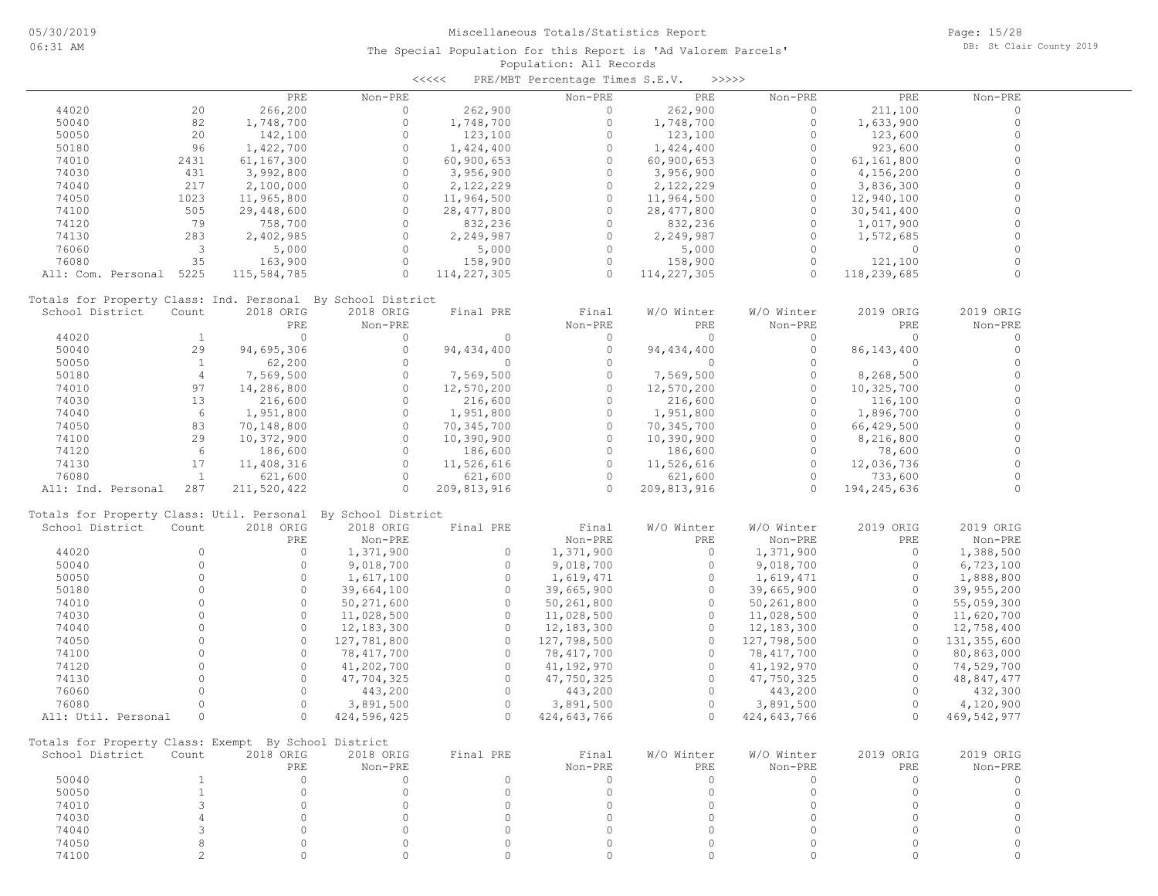|                                                              |                |             |              | $\prec$ <<<< | PRE/MBT Percentage Times S.E.V. |              | >>>>>       |              |                          |  |
|--------------------------------------------------------------|----------------|-------------|--------------|--------------|---------------------------------|--------------|-------------|--------------|--------------------------|--|
|                                                              |                | PRE         | Non-PRE      |              | Non-PRE                         | PRE          | Non-PRE     | PRE          | Non-PRE                  |  |
| 44020                                                        | 20             | 266,200     | $\circ$      | 262,900      | 0                               | 262,900      | $\circ$     | 211,100      | $\Omega$                 |  |
| 50040                                                        | 82             | 1,748,700   | $\circ$      | 1,748,700    | $\circ$                         | 1,748,700    | $\circ$     | 1,633,900    | $\circ$                  |  |
| 50050                                                        | 20             | 142,100     | $\circ$      | 123,100      | $\circ$                         | 123,100      | $\circ$     | 123,600      | $\Omega$                 |  |
| 50180                                                        | 96             | 1,422,700   | $\circ$      | 1,424,400    | $\circ$                         | 1,424,400    | $\Omega$    | 923,600      | $\Omega$                 |  |
| 74010                                                        | 2431           | 61,167,300  | $\circ$      | 60,900,653   | $\circ$                         | 60,900,653   | $\Omega$    | 61,161,800   | $\Omega$                 |  |
| 74030                                                        | 431            | 3,992,800   | $\circ$      | 3,956,900    | 0                               | 3,956,900    | $\circ$     | 4,156,200    | $\Omega$                 |  |
| 74040                                                        | 217            | 2,100,000   | $\circ$      | 2,122,229    | $\circ$                         | 2,122,229    | $\Omega$    | 3,836,300    | $\Omega$                 |  |
| 74050                                                        | 1023           | 11,965,800  | $\circ$      | 11,964,500   | 0                               | 11,964,500   | $\circ$     | 12,940,100   | $\Omega$                 |  |
| 74100                                                        | 505            | 29,448,600  | $\Omega$     | 28, 477, 800 | $\Omega$                        | 28, 477, 800 | $\Omega$    | 30,541,400   | $\Omega$                 |  |
| 74120                                                        | 79             | 758,700     | $\circ$      | 832,236      | 0                               | 832,236      | $\Omega$    | 1,017,900    | $\Omega$                 |  |
| 74130                                                        | 283            | 2,402,985   | $\circ$      | 2,249,987    | $\circ$                         | 2,249,987    | $\circ$     | 1,572,685    | $\Omega$                 |  |
| 76060                                                        | 3              |             | $\circ$      |              | $\circ$                         |              | $\Omega$    | $\circ$      | $\Omega$                 |  |
|                                                              |                | 5,000       |              | 5,000        |                                 | 5,000        |             |              | $\Omega$                 |  |
| 76080                                                        | 35             | 163,900     | $\circ$      | 158,900      | $\circ$                         | 158,900      | $\circ$     | 121,100      |                          |  |
| All: Com. Personal                                           | 5225           | 115,584,785 | $\Omega$     | 114,227,305  | $\Omega$                        | 114,227,305  | $\Omega$    | 118,239,685  | $\Omega$                 |  |
| Totals for Property Class: Ind. Personal By School District  |                |             |              |              |                                 |              |             |              |                          |  |
| School District                                              | Count          | 2018 ORIG   | 2018 ORIG    | Final PRE    | Final                           | W/O Winter   | W/O Winter  | 2019 ORIG    | 2019 ORIG                |  |
|                                                              |                | PRE         | Non-PRE      |              | Non-PRE                         | PRE          | Non-PRE     | PRE          | Non-PRE                  |  |
| 44020                                                        | $\mathbf{1}$   | $\circ$     | $\circ$      | $\circ$      | $\circ$                         | $\circ$      | $\circ$     | $\circ$      | $\circ$                  |  |
| 50040                                                        | 29             | 94,695,306  | $\circ$      | 94,434,400   | $\circ$                         | 94, 434, 400 | $\circ$     | 86, 143, 400 | $\circ$                  |  |
| 50050                                                        | $\mathbf{1}$   | 62,200      | $\circ$      | $\circ$      | $\circ$                         | $\circ$      | $\circ$     | $\circ$      | $\circ$                  |  |
| 50180                                                        | $\overline{4}$ | 7,569,500   | $\circ$      | 7,569,500    | $\circ$                         | 7,569,500    | $\circ$     | 8,268,500    | $\Omega$                 |  |
| 74010                                                        | 97             | 14,286,800  | $\circ$      | 12,570,200   | $\circ$                         | 12,570,200   | $\Omega$    | 10,325,700   | $\Omega$                 |  |
| 74030                                                        | 13             | 216,600     | $\circ$      | 216,600      | 0                               | 216,600      | $\circ$     | 116,100      | $\Omega$                 |  |
| 74040                                                        | 6              | 1,951,800   | $\circ$      | 1,951,800    | $\Omega$                        | 1,951,800    | $\Omega$    | 1,896,700    | $\Omega$                 |  |
| 74050                                                        | 83             | 70,148,800  | $\circ$      | 70,345,700   | $\circ$                         | 70,345,700   | $\Omega$    | 66,429,500   | $\Omega$                 |  |
| 74100                                                        | 29             | 10,372,900  | $\circ$      | 10,390,900   | $\Omega$                        | 10,390,900   | $\Omega$    | 8,216,800    | $\Omega$                 |  |
| 74120                                                        | 6              | 186,600     | $\circ$      | 186,600      | $\circ$                         | 186,600      | $\Omega$    | 78,600       | $\Omega$                 |  |
| 74130                                                        | 17             | 11,408,316  | $\circ$      | 11,526,616   | $\circ$                         | 11,526,616   | $\Omega$    | 12,036,736   | $\Omega$                 |  |
| 76080                                                        | $\mathbf{1}$   | 621,600     | $\Omega$     | 621,600      | $\circ$                         | 621,600      | $\circ$     | 733,600      | $\Omega$                 |  |
| All: Ind. Personal                                           | 287            |             | $\circ$      | 209,813,916  | $\Omega$                        | 209,813,916  | $\Omega$    | 194,245,636  | $\circ$                  |  |
|                                                              |                | 211,520,422 |              |              |                                 |              |             |              |                          |  |
| Totals for Property Class: Util. Personal By School District |                |             |              |              |                                 |              |             |              |                          |  |
| School District                                              | Count          | 2018 ORIG   | 2018 ORIG    | Final PRE    | Final                           | W/O Winter   | W/O Winter  | 2019 ORIG    | 2019 ORIG                |  |
|                                                              |                | PRE         | Non-PRE      |              | Non-PRE                         | PRE          | Non-PRE     | PRE          | Non-PRE                  |  |
| 44020                                                        | $\circ$        | $\circ$     | 1,371,900    | $\circ$      | 1,371,900                       | $\circ$      | 1,371,900   | $\circ$      | 1,388,500                |  |
| 50040                                                        | $\circ$        | $\circ$     | 9,018,700    | $\circ$      | 9,018,700                       | $\circ$      | 9,018,700   | $\circ$      | 6,723,100                |  |
| 50050                                                        | $\Omega$       | $\Omega$    | 1,617,100    | $\Omega$     | 1,619,471                       | $\circ$      | 1,619,471   | $\circ$      | 1,888,800                |  |
| 50180                                                        | $\Omega$       | $\Omega$    | 39,664,100   | $\Omega$     | 39,665,900                      | $\circ$      | 39,665,900  | $\circ$      | 39,955,200               |  |
| 74010                                                        | $\Omega$       | $\circ$     | 50,271,600   | $\circ$      | 50,261,800                      | $\circ$      | 50,261,800  | 0            | 55,059,300               |  |
| 74030                                                        | $\cap$         | $\Omega$    | 11,028,500   | $\Omega$     | 11,028,500                      | $\Omega$     | 11,028,500  | $\Omega$     | 11,620,700               |  |
| 74040                                                        | $\Omega$       | $\Omega$    | 12, 183, 300 | $\Omega$     | 12,183,300                      | $\circ$      | 12,183,300  | $\circ$      | 12,758,400               |  |
| 74050                                                        | $\Omega$       | $\Omega$    | 127,781,800  | $\Omega$     | 127,798,500                     | $\Omega$     | 127,798,500 | $\Omega$     | 131,355,600              |  |
| 74100                                                        | $\Omega$       | $\Omega$    | 78,417,700   | $\circ$      | 78, 417, 700                    | $\circ$      |             | $\circ$      |                          |  |
| 74120                                                        | $\Omega$       | $\circ$     |              | $\circ$      | 41,192,970                      | $\circ$      | 78,417,700  | $\circ$      | 80,863,000<br>74,529,700 |  |
|                                                              | $\Omega$       | $\Omega$    | 41,202,700   | $\circ$      |                                 | $\Omega$     | 41,192,970  | $\circ$      |                          |  |
| 74130                                                        | $\Omega$       | $\Omega$    | 47,704,325   | $\Omega$     | 47,750,325                      | $\Omega$     | 47,750,325  | $\Omega$     | 48,847,477               |  |
| 76060                                                        |                |             | 443,200      |              | 443,200                         |              | 443,200     |              | 432,300                  |  |
| 76080                                                        | $\circ$        | $\Omega$    | 3,891,500    | $\Omega$     | 3,891,500                       | $\Omega$     | 3,891,500   | $\Omega$     | 4,120,900                |  |
| All: Util. Personal                                          | $\circ$        | $\Omega$    | 424,596,425  | $\Omega$     | 424,643,766                     | $\Omega$     | 424,643,766 | $\Omega$     | 469,542,977              |  |
| Totals for Property Class: Exempt By School District         |                |             |              |              |                                 |              |             |              |                          |  |
| School District                                              | Count          | 2018 ORIG   | 2018 ORIG    | Final PRE    | Final                           | W/O Winter   | W/O Winter  | 2019 ORIG    | 2019 ORIG                |  |
|                                                              |                | PRE         | Non-PRE      |              | Non-PRE                         | PRE          | Non-PRE     | PRE          | Non-PRE                  |  |
| 50040                                                        | $\mathbf{1}$   | $\circ$     | $\circ$      | $\circ$      | $\circ$                         | $\circ$      | $\circ$     | $\circ$      | 0                        |  |
| 50050                                                        | $\mathbf{1}$   | $\circ$     | $\circ$      | $\circ$      | $\circ$                         | $\circ$      | $\circ$     | $\circ$      | $\circ$                  |  |
| 74010                                                        | 3              | $\circ$     | $\circ$      | $\circ$      | $\circ$                         | $\circ$      | $\circ$     | $\circ$      | $\circ$                  |  |
| 74030                                                        | $\overline{4}$ | $\circ$     | $\circ$      | $\Omega$     | $\circ$                         | $\circ$      | $\Omega$    | $\circ$      | $\circ$                  |  |
| 74040                                                        | $\mathsf 3$    | $\circ$     | $\circ$      | $\Omega$     | $\circ$                         | $\circ$      | $\circ$     | $\circ$      | $\circ$                  |  |
| 74050                                                        | 8              | $\circ$     | $\circ$      | $\circ$      | $\circ$                         | $\circ$      | $\circ$     | $\circ$      | $\circ$                  |  |
| 74100                                                        | $\overline{c}$ | $\circ$     | $\circ$      | $\circ$      | 0                               | $\circ$      | $\Omega$    | 0            | 0                        |  |
|                                                              |                |             |              |              |                                 |              |             |              |                          |  |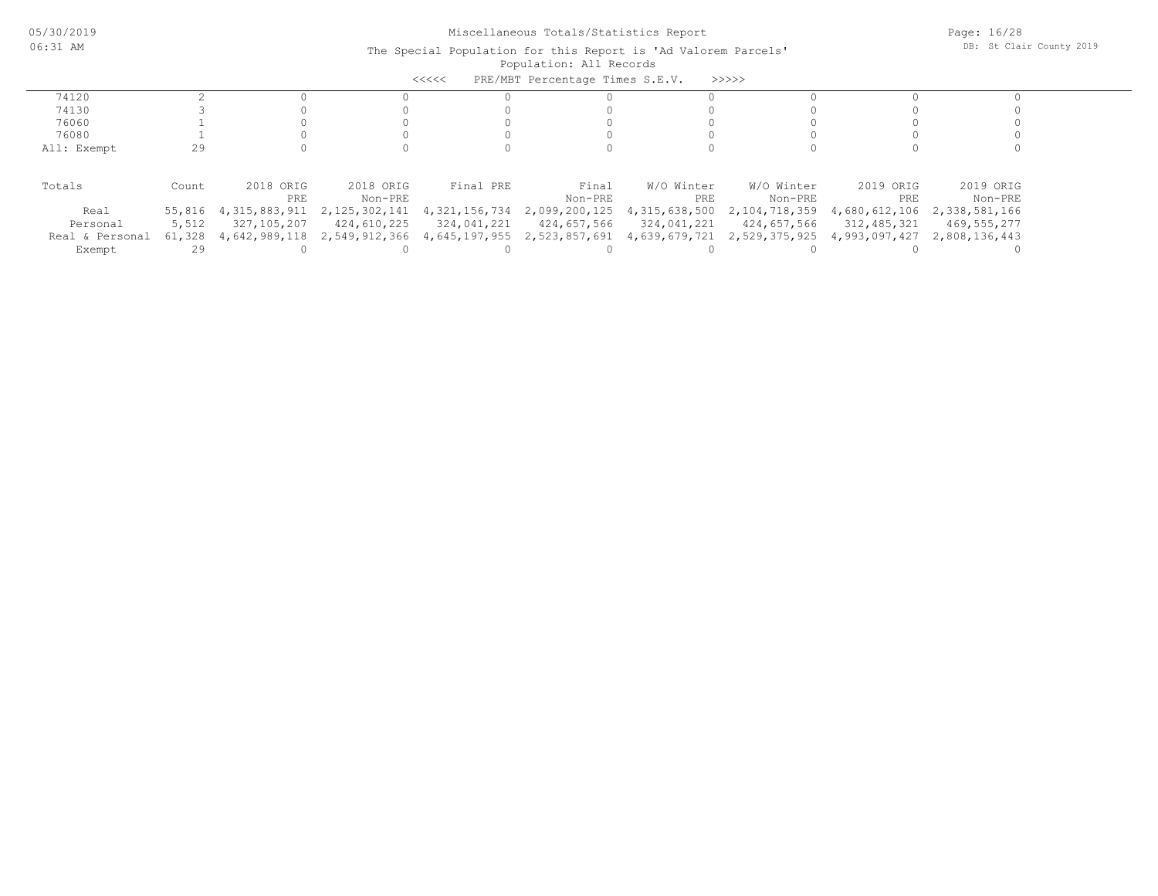| PRE/MBT Percentage Times S.E.V.<br>>>>>><br><<<< |        |               |               |               |                             |               |                             |               |               |  |  |
|--------------------------------------------------|--------|---------------|---------------|---------------|-----------------------------|---------------|-----------------------------|---------------|---------------|--|--|
| 74120                                            |        |               |               |               |                             |               |                             |               |               |  |  |
| 74130                                            |        |               |               |               |                             |               |                             |               |               |  |  |
| 76060                                            |        |               |               |               |                             |               |                             |               |               |  |  |
| 76080                                            |        |               |               |               |                             |               |                             |               |               |  |  |
| All: Exempt                                      | 29     |               |               |               |                             |               |                             |               |               |  |  |
|                                                  |        |               |               |               |                             |               |                             |               |               |  |  |
| Totals                                           | Count  | 2018 ORIG     | 2018 ORIG     | Final PRE     | Final                       | W/O Winter    | W/O Winter                  | 2019 ORIG     | 2019 ORIG     |  |  |
|                                                  |        | PRE           | Non-PRE       |               | Non-PRE                     | PRE           | Non-PRE                     | PRE           | Non-PRE       |  |  |
| Real                                             | 55,816 | 4,315,883,911 | 2,125,302,141 | 4,321,156,734 | 2,099,200,125               | 4,315,638,500 | 2,104,718,359               | 4,680,612,106 | 2,338,581,166 |  |  |
| Personal                                         | 5,512  | 327,105,207   | 424,610,225   | 324,041,221   | 424,657,566                 | 324,041,221   | 424,657,566                 | 312,485,321   | 469,555,277   |  |  |
| Real & Personal                                  | 61,328 | 4,642,989,118 | 2,549,912,366 |               | 4,645,197,955 2,523,857,691 |               | 4,639,679,721 2,529,375,925 | 4,993,097,427 | 2,808,136,443 |  |  |
| Exempt                                           | 29     |               |               |               |                             |               |                             |               |               |  |  |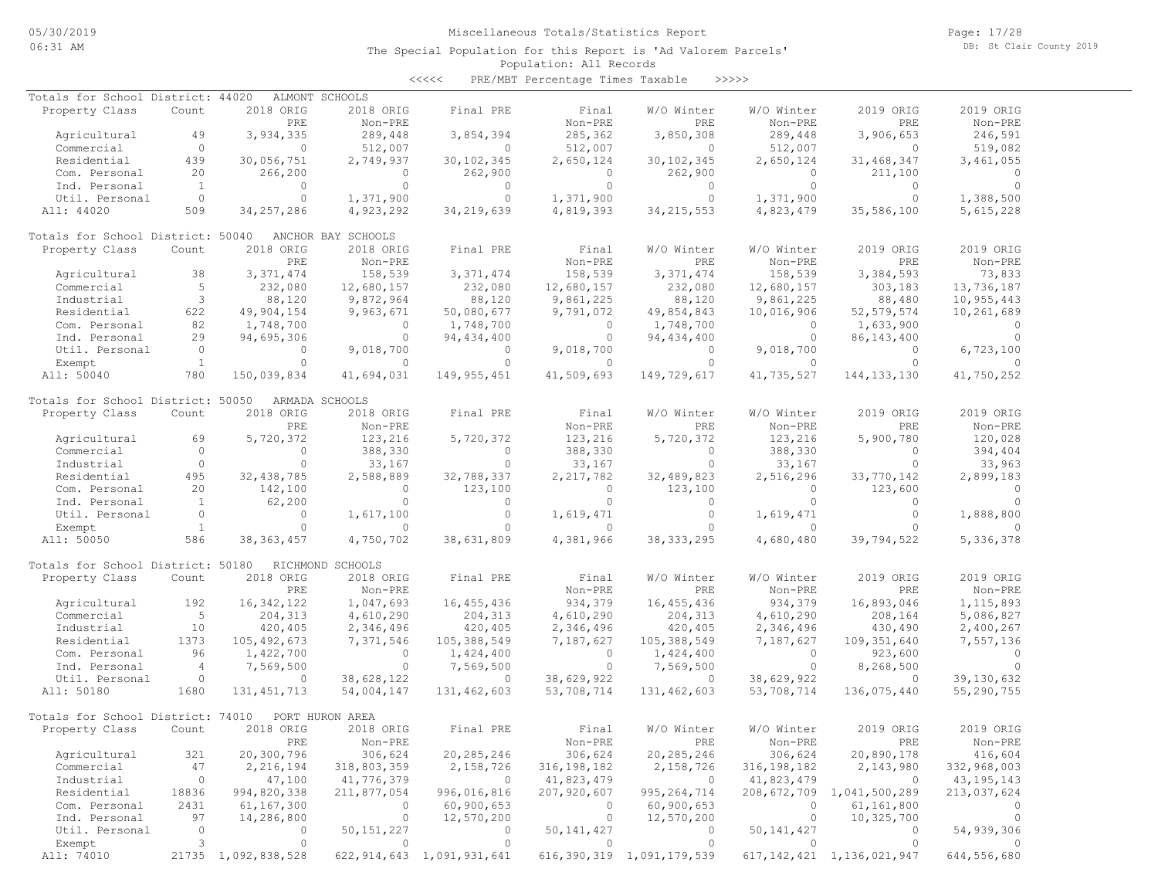Page: 17/28 DB: St Clair County 2019

### Population: All Records The Special Population for this Report is 'Ad Valorem Parcels'

<<<<< PRE/MBT Percentage Times Taxable >>>>>

| Totals for School District: 44020 |                |                     | ALMONT SCHOOLS     |                                |               |                                |              |                                |              |
|-----------------------------------|----------------|---------------------|--------------------|--------------------------------|---------------|--------------------------------|--------------|--------------------------------|--------------|
| Property Class                    | Count          | 2018 ORIG           | 2018 ORIG          | Final PRE                      | Final         | W/O Winter                     | W/O Winter   | 2019 ORIG                      | 2019 ORIG    |
|                                   |                | PRE                 | Non-PRE            |                                | Non-PRE       | PRE                            | Non-PRE      | PRE                            | Non-PRE      |
| Agricultural                      | 49             | 3,934,335           | 289,448            | 3,854,394                      | 285,362       | 3,850,308                      | 289,448      | 3,906,653                      | 246,591      |
| Commercial                        | $\circ$        | $\Omega$            | 512,007            | $\circ$                        | 512,007       | $\Omega$                       | 512,007      | $\Omega$                       | 519,082      |
| Residential                       | 439            | 30,056,751          | 2,749,937          | 30, 102, 345                   | 2,650,124     | 30, 102, 345                   | 2,650,124    | 31, 468, 347                   | 3,461,055    |
| Com. Personal                     | 20             | 266,200             | $\circ$            | 262,900                        | $\Omega$      | 262,900                        | $\circ$      | 211,100                        | $\Omega$     |
|                                   | $\overline{1}$ | $\circ$             | $\circ$            | $\circ$                        | $\circ$       | $\circ$                        | $\circ$      | $\circ$                        | $\bigcirc$   |
| Ind. Personal                     |                |                     |                    |                                |               |                                |              |                                |              |
| Util. Personal                    | $\circ$        | $\circ$             | 1,371,900          | $\circ$                        | 1,371,900     | $\circ$                        | 1,371,900    | $\circ$                        | 1,388,500    |
| All: 44020                        | 509            | 34, 257, 286        | 4,923,292          | 34, 219, 639                   | 4,819,393     | 34, 215, 553                   | 4,823,479    | 35,586,100                     | 5,615,228    |
| Totals for School District: 50040 |                |                     | ANCHOR BAY SCHOOLS |                                |               |                                |              |                                |              |
| Property Class                    | Count          | 2018 ORIG           | 2018 ORIG          | Final PRE                      | Final         | W/O Winter                     | W/O Winter   | 2019 ORIG                      | 2019 ORIG    |
|                                   |                | PRE                 | Non-PRE            |                                | Non-PRE       | PRE                            | Non-PRE      | PRE                            | Non-PRE      |
| Agricultural                      | 38             | 3, 371, 474         | 158,539            | 3, 371, 474                    | 158,539       | 3, 371, 474                    | 158,539      | 3,384,593                      | 73,833       |
| Commercial                        | 5              | 232,080             | 12,680,157         | 232,080                        | 12,680,157    | 232,080                        | 12,680,157   | 303,183                        | 13,736,187   |
|                                   |                |                     |                    |                                |               |                                |              |                                |              |
| Industrial                        | 3              | 88,120              | 9,872,964          | 88,120                         | 9,861,225     | 88,120                         | 9,861,225    | 88,480                         | 10,955,443   |
| Residential                       | 622            | 49,904,154          | 9,963,671          | 50,080,677                     | 9,791,072     | 49,854,843                     | 10,016,906   | 52, 579, 574                   | 10,261,689   |
| Com. Personal                     | 82             | 1,748,700           | $\circ$            | 1,748,700                      | $\circ$       | 1,748,700                      | $\circ$      | 1,633,900                      | $\circ$      |
| Ind. Personal                     | 29             | 94,695,306          | $\circ$            | 94, 434, 400                   | $\circ$       | 94, 434, 400                   | $\circ$      | 86, 143, 400                   | $\Omega$     |
| Util. Personal                    | $\overline{0}$ | $\circ$             | 9,018,700          | $\Omega$                       | 9,018,700     | $\overline{0}$                 | 9,018,700    | $\Omega$                       | 6,723,100    |
| Exempt                            | $\overline{1}$ | $\Omega$            | $\Omega$           | $\Omega$                       | $\Omega$      | $\Omega$                       | $\Omega$     | $\Omega$                       |              |
|                                   |                |                     |                    |                                |               | 149,729,617                    |              |                                |              |
| All: 50040                        | 780            | 150,039,834         | 41,694,031         | 149, 955, 451                  | 41,509,693    |                                | 41,735,527   | 144, 133, 130                  | 41,750,252   |
| Totals for School District: 50050 |                |                     | ARMADA SCHOOLS     |                                |               |                                |              |                                |              |
| Property Class                    | Count          | 2018 ORIG           | 2018 ORIG          | Final PRE                      | Final         | W/O Winter                     | W/O Winter   | 2019 ORIG                      | 2019 ORIG    |
|                                   |                | PRE                 | Non-PRE            |                                | Non-PRE       | PRE                            | Non-PRE      | PRE                            | Non-PRE      |
| Agricultural                      | 69             | 5,720,372           | 123,216            | 5,720,372                      | 123,216       | 5,720,372                      | 123,216      | 5,900,780                      | 120,028      |
| Commercial                        | $\circ$        | $\overline{0}$      | 388,330            | $\sim$ 0                       | 388,330       | $\overline{0}$                 | 388,330      | $\bigcirc$                     | 394,404      |
| Industrial                        | $\circ$        | $\circ$             | 33,167             | $\circ$                        | 33,167        | $\circ$                        | 33,167       | $\overline{0}$                 | 33,963       |
|                                   |                |                     |                    |                                |               |                                |              |                                |              |
| Residential                       | 495            | 32, 438, 785        | 2,588,889          | 32,788,337                     | 2, 217, 782   | 32,489,823                     | 2,516,296    | 33,770,142                     | 2,899,183    |
| Com. Personal                     | 20             | 142,100             | $\circ$            | 123,100                        | $\circ$       | 123,100                        | $\circ$      | 123,600                        | $\Omega$     |
| Ind. Personal                     | $\overline{1}$ | 62,200              | $\circ$            | $\circ$                        | $\circ$       | $\circ$                        | $\circ$      | $\circ$                        | $\Omega$     |
| Util. Personal                    | $\circ$        | $\circ$             | 1,617,100          | $\circ$                        | 1,619,471     | $\circ$                        | 1,619,471    | $\circ$                        | 1,888,800    |
| Exempt                            | $\overline{1}$ | $\circ$             | $\circ$            | $\Omega$                       | $\circ$       | $\Omega$                       | $\circ$      | $\Omega$                       | $\Omega$     |
| All: 50050                        | 586            | 38, 363, 457        | 4,750,702          | 38,631,809                     | 4,381,966     | 38, 333, 295                   | 4,680,480    | 39,794,522                     | 5,336,378    |
| Totals for School District: 50180 |                |                     | RICHMOND SCHOOLS   |                                |               |                                |              |                                |              |
|                                   |                |                     |                    |                                |               |                                |              |                                |              |
| Property Class                    | Count          | 2018 ORIG           | 2018 ORIG          | Final PRE                      | Final         | W/O Winter                     | W/O Winter   | 2019 ORIG                      | 2019 ORIG    |
|                                   |                | PRE                 | Non-PRE            |                                | Non-PRE       | PRE                            | Non-PRE      | PRE                            | $Non-PRE$    |
| Agricultural                      | 192            | 16, 342, 122        | 1,047,693          | 16, 455, 436                   | 934,379       | 16, 455, 436                   | 934,379      | 16,893,046                     | 1, 115, 893  |
| Commercial                        | $5^{\circ}$    | 204,313             | 4,610,290          | 204, 313                       | 4,610,290     | 204,313                        | 4,610,290    | 208,164                        | 5,086,827    |
| Industrial                        | 10             | 420,405             | 2,346,496          | 420,405                        | 2,346,496     | 420,405                        | 2,346,496    | 430,490                        | 2,400,267    |
| Residential                       | 1373           | 105, 492, 673       | 7,371,546          | 105,388,549                    | 7,187,627     | 105,388,549                    | 7,187,627    | 109, 351, 640                  | 7,557,136    |
| Com. Personal                     | 96             | 1,422,700           | $\circ$            | 1,424,400                      | $\circ$       | 1,424,400                      | $\circ$      | 923,600                        | $\circ$      |
|                                   |                |                     |                    |                                |               |                                |              |                                |              |
| Ind. Personal                     | $\overline{4}$ | 7,569,500           | $\circ$            | 7,569,500                      | $\circ$       | 7,569,500                      | $\Omega$     | 8,268,500                      | $\Omega$     |
| Util. Personal                    | $\circ$        | $\Omega$            | 38,628,122         | $\circ$                        | 38,629,922    | $\circ$                        | 38,629,922   | $\overline{0}$                 | 39,130,632   |
| All: 50180                        | 1680           | 131, 451, 713       | 54,004,147         | 131,462,603                    | 53,708,714    | 131,462,603                    | 53,708,714   | 136,075,440                    | 55,290,755   |
| Totals for School District: 74010 |                |                     | PORT HURON AREA    |                                |               |                                |              |                                |              |
| Property Class                    | Count          | 2018 ORIG           | 2018 ORIG          | Final PRE                      | Final         | W/O Winter                     | W/O Winter   | 2019 ORIG                      | 2019 ORIG    |
|                                   |                | ${\tt PRE}$         | Non-PRE            |                                | Non-PRE       | PRE                            | Non-PRE      | PRE                            | Non-PRE      |
|                                   |                |                     |                    |                                |               |                                |              |                                |              |
| Agricultural                      | 321            | 20,300,796          | 306,624            | 20,285,246                     | 306,624       | 20, 285, 246                   | 306,624      | 20,890,178                     | 416,604      |
| Commercial                        | 47             | 2,216,194           | 318,803,359        | 2,158,726                      | 316, 198, 182 | 2,158,726                      | 316,198,182  | 2,143,980                      | 332,968,003  |
| Industrial                        | $\circ$        | 47,100              | 41,776,379         | $\circ$                        | 41,823,479    | $\overline{0}$                 | 41,823,479   | $\overline{0}$                 | 43, 195, 143 |
| Residential                       | 18836          | 994,820,338         | 211,877,054        | 996,016,816                    | 207,920,607   | 995, 264, 714                  |              | 208,672,709 1,041,500,289      | 213,037,624  |
| Com. Personal                     | 2431           | 61,167,300          | $\circ$            | 60,900,653                     | $\circ$       | 60,900,653                     | $\circ$      | 61,161,800                     |              |
| Ind. Personal                     | 97             | 14,286,800          | $\circ$            | 12,570,200                     | $\circ$       | 12,570,200                     | $\circ$      | 10,325,700                     | 0            |
| Util. Personal                    | $\circ$        | 0                   |                    | 0                              |               | $\circ$                        |              | 0                              |              |
|                                   |                |                     | 50, 151, 227       |                                | 50, 141, 427  |                                | 50, 141, 427 |                                | 54,939,306   |
| Exempt                            | 3              | $\circ$             | $\circ$            | $\circ$                        | $\circ$       | $\circ$                        | $\circ$      | $\circ$                        |              |
| All: 74010                        |                | 21735 1,092,838,528 |                    | 622, 914, 643 1, 091, 931, 641 |               | 616, 390, 319 1, 091, 179, 539 |              | 617, 142, 421 1, 136, 021, 947 | 644,556,680  |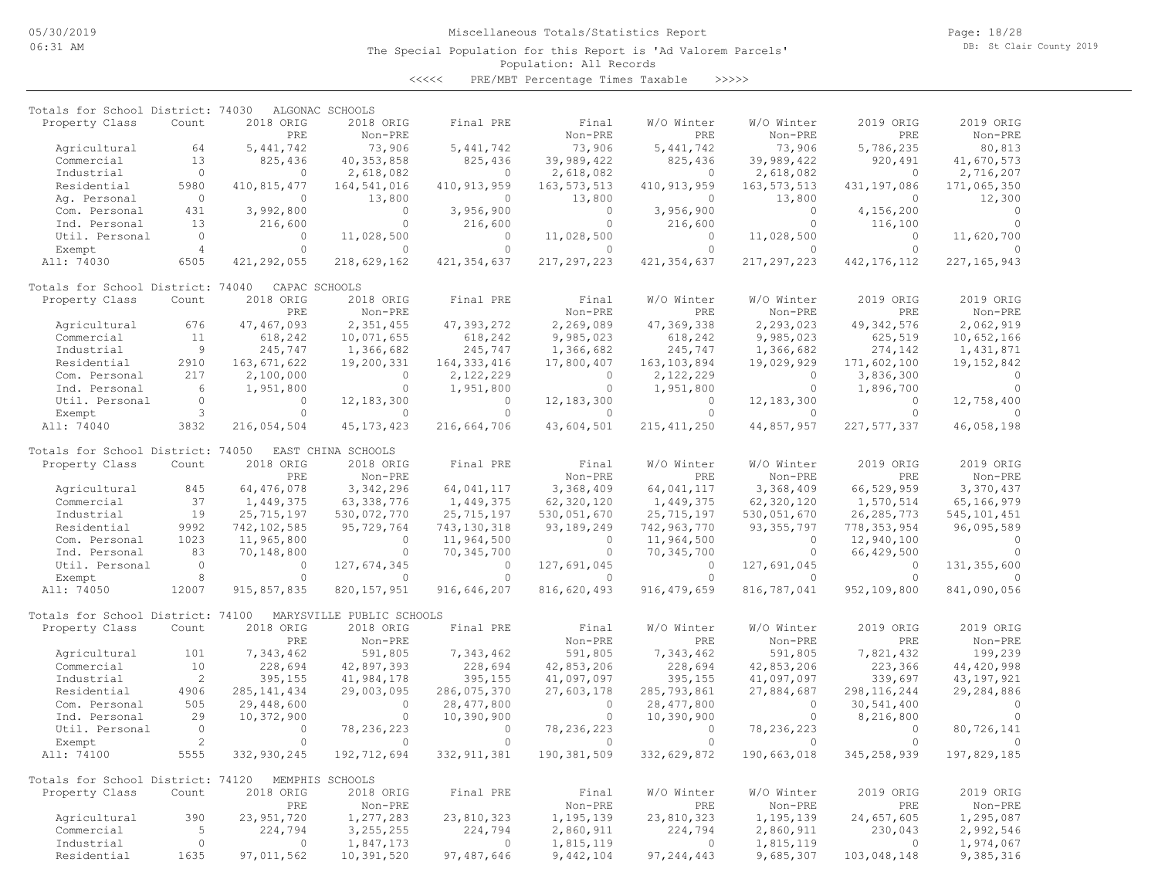Page: 18/28 DB: St Clair County 2019

### Population: All Records The Special Population for this Report is 'Ad Valorem Parcels'

<<<<< PRE/MBT Percentage Times Taxable >>>>>

| Totals for School District: 74030 |                |               | ALGONAC SCHOOLS           |               |               |               |               |               |                |
|-----------------------------------|----------------|---------------|---------------------------|---------------|---------------|---------------|---------------|---------------|----------------|
| Property Class                    | Count          | 2018 ORIG     | 2018 ORIG                 | Final PRE     | Final         | W/O Winter    | W/O Winter    | 2019 ORIG     | 2019 ORIG      |
|                                   |                | PRE           | Non-PRE                   |               | Non-PRE       | PRE           | Non-PRE       | PRE           | Non-PRE        |
| Agricultural                      | 64             | 5, 441, 742   | 73,906                    | 5, 441, 742   | 73,906        | 5,441,742     | 73,906        | 5,786,235     | 80,813         |
| Commercial                        | 13             | 825,436       | 40, 353, 858              | 825,436       | 39,989,422    | 825,436       | 39,989,422    | 920,491       | 41,670,573     |
| Industrial                        | $\circ$        | $\circ$       | 2,618,082                 | $\circ$       | 2,618,082     | $\circ$       | 2,618,082     | $\circ$       | 2,716,207      |
| Residential                       | 5980           | 410,815,477   | 164,541,016               | 410, 913, 959 | 163, 573, 513 | 410, 913, 959 | 163, 573, 513 | 431,197,086   | 171,065,350    |
| Aq. Personal                      | $\circ$        | $\Omega$      | 13,800                    | $\circ$       | 13,800        | $\circ$       | 13,800        | $\circ$       | 12,300         |
|                                   | 431            | 3,992,800     | $\circ$                   | 3,956,900     | $\circ$       | 3,956,900     | $\circ$       | 4,156,200     | $\overline{0}$ |
| Com. Personal                     | 13             |               | $\circ$                   |               | $\circ$       |               | $\circ$       |               | $\Omega$       |
| Ind. Personal                     |                | 216,600       |                           | 216,600       |               | 216,600       |               | 116,100       |                |
| Util. Personal                    | $\circ$        | $\circ$       | 11,028,500                | $\circ$       | 11,028,500    | $\circ$       | 11,028,500    | $\circ$       | 11,620,700     |
| Exempt                            | $\overline{4}$ | $\Omega$      | $\Omega$                  | $\Omega$      | $\Omega$      | $\Omega$      | $\Omega$      | $\Omega$      |                |
| All: 74030                        | 6505           | 421, 292, 055 | 218,629,162               | 421, 354, 637 | 217, 297, 223 | 421, 354, 637 | 217, 297, 223 | 442, 176, 112 | 227, 165, 943  |
| Totals for School District: 74040 |                |               | CAPAC SCHOOLS             |               |               |               |               |               |                |
| Property Class                    | Count          | 2018 ORIG     | 2018 ORIG                 | Final PRE     | Final         | W/O Winter    | W/O Winter    | 2019 ORIG     | 2019 ORIG      |
|                                   |                | PRE           | Non-PRE                   |               | Non-PRE       | PRE           | Non-PRE       | PRE           | Non-PRE        |
| Agricultural                      | 676            | 47, 467, 093  | 2,351,455                 | 47, 393, 272  | 2,269,089     | 47,369,338    | 2,293,023     | 49, 342, 576  | 2,062,919      |
| Commercial                        | 11             | 618,242       | 10,071,655                | 618,242       | 9,985,023     | 618,242       | 9,985,023     | 625,519       | 10,652,166     |
| Industrial                        | 9              | 245,747       | 1,366,682                 | 245,747       | 1,366,682     | 245,747       | 1,366,682     | 274,142       | 1,431,871      |
| Residential                       | 2910           | 163, 671, 622 | 19,200,331                | 164, 333, 416 | 17,800,407    | 163, 103, 894 | 19,029,929    | 171,602,100   | 19, 152, 842   |
|                                   | 217            |               |                           |               |               |               |               |               |                |
| Com. Personal                     |                | 2,100,000     | $\circ$                   | 2,122,229     | $\circ$       | 2,122,229     | 0             | 3,836,300     | $\Omega$       |
| Ind. Personal                     | 6              | 1,951,800     | $\Omega$                  | 1,951,800     | $\circ$       | 1,951,800     | $\circ$       | 1,896,700     | $\Omega$       |
| Util. Personal                    | $\mathbb O$    | $\Omega$      | 12, 183, 300              | $\Omega$      | 12, 183, 300  | $\Omega$      | 12, 183, 300  | $\Omega$      | 12,758,400     |
| Exempt                            | 3              | $\circ$       | $\circ$                   | $\circ$       | $\circ$       | $\circ$       | 0             | $\circ$       |                |
| All: 74040                        | 3832           | 216,054,504   | 45, 173, 423              | 216,664,706   | 43,604,501    | 215, 411, 250 | 44,857,957    | 227, 577, 337 | 46,058,198     |
| Totals for School District: 74050 |                |               | EAST CHINA SCHOOLS        |               |               |               |               |               |                |
| Property Class                    | Count          | 2018 ORIG     | 2018 ORIG                 | Final PRE     | Final         | W/O Winter    | W/O Winter    | 2019 ORIG     | 2019 ORIG      |
|                                   |                | PRE           | Non-PRE                   |               | Non-PRE       | PRE           | Non-PRE       | PRE           | Non-PRE        |
| Agricultural                      | 845            | 64,476,078    | 3,342,296                 | 64,041,117    | 3,368,409     | 64,041,117    | 3,368,409     | 66,529,959    | 3,370,437      |
| Commercial                        | 37             | 1,449,375     | 63, 338, 776              | 1,449,375     | 62,320,120    | 1,449,375     | 62,320,120    | 1,570,514     | 65,166,979     |
| Industrial                        | 19             | 25,715,197    | 530,072,770               | 25, 715, 197  | 530,051,670   | 25,715,197    | 530,051,670   | 26, 285, 773  | 545, 101, 451  |
| Residential                       | 9992           | 742, 102, 585 | 95,729,764                | 743, 130, 318 | 93, 189, 249  | 742,963,770   | 93, 355, 797  | 778, 353, 954 | 96,095,589     |
|                                   |                |               | $\Omega$                  |               |               |               | $\Omega$      |               | $\Omega$       |
| Com. Personal                     | 1023           | 11,965,800    |                           | 11,964,500    | $\circ$       | 11,964,500    |               | 12,940,100    |                |
| Ind. Personal                     | 83             | 70,148,800    | $\circ$                   | 70,345,700    | $\circ$       | 70,345,700    | 0             | 66,429,500    | $\Omega$       |
| Util. Personal                    | $\circ$        | $\mathbf{0}$  | 127,674,345               | $\mathbf{0}$  | 127,691,045   | $\circ$       | 127,691,045   | $\circ$       | 131, 355, 600  |
| Exempt                            | $\,8\,$        | $\circ$       | $\circ$                   | $\circ$       | $\circ$       | $\circ$       |               | $\circ$       |                |
| All: 74050                        | 12007          | 915,857,835   | 820, 157, 951             | 916,646,207   | 816,620,493   | 916, 479, 659 | 816,787,041   | 952,109,800   | 841,090,056    |
| Totals for School District: 74100 |                |               | MARYSVILLE PUBLIC SCHOOLS |               |               |               |               |               |                |
| Property Class                    | Count          | 2018 ORIG     | 2018 ORIG                 | Final PRE     | Final         | W/O Winter    | W/O Winter    | 2019 ORIG     | 2019 ORIG      |
|                                   |                | PRE           | Non-PRE                   |               | Non-PRE       | PRE           | Non-PRE       | PRE           | Non-PRE        |
| Agricultural                      | 101            | 7,343,462     | 591,805                   | 7,343,462     | 591,805       | 7,343,462     | 591,805       | 7,821,432     | 199,239        |
| Commercial                        | 10             | 228,694       | 42,897,393                | 228,694       | 42,853,206    | 228,694       | 42,853,206    | 223,366       | 44, 420, 998   |
| Industrial                        | 2              | 395,155       | 41,984,178                | 395,155       | 41,097,097    | 395,155       | 41,097,097    | 339,697       | 43, 197, 921   |
|                                   | 4906           | 285, 141, 434 |                           | 286,075,370   |               |               |               |               | 29,284,886     |
| Residential                       |                |               | 29,003,095                |               | 27,603,178    | 285,793,861   | 27,884,687    | 298, 116, 244 |                |
| Com. Personal                     | 505            | 29,448,600    | $\circ$                   | 28, 477, 800  | $\circ$       | 28, 477, 800  | $\mathbf{0}$  | 30,541,400    | $\Omega$       |
| Ind. Personal                     | 29             | 10,372,900    | $\circ$                   | 10,390,900    | $\circ$       | 10,390,900    | $\Omega$      | 8,216,800     | $\cap$         |
| Util. Personal                    | $\circ$        | $\circ$       | 78, 236, 223              | $\circ$       | 78, 236, 223  | $\circ$       | 78, 236, 223  | $\circ$       | 80,726,141     |
| Exempt                            | $\overline{c}$ | $\cap$        | $\Omega$                  | $\Omega$      | $\Omega$      | $\Omega$      | $\bigcap$     | $\Omega$      |                |
| All: 74100                        | 5555           | 332,930,245   | 192,712,694               | 332, 911, 381 | 190, 381, 509 | 332,629,872   | 190,663,018   | 345, 258, 939 | 197,829,185    |
| Totals for School District: 74120 |                |               | MEMPHIS SCHOOLS           |               |               |               |               |               |                |
| Property Class                    | Count          | 2018 ORIG     | 2018 ORIG                 | Final PRE     | Final         | W/O Winter    | W/O Winter    | 2019 ORIG     | 2019 ORIG      |
|                                   |                | PRE           | Non-PRE                   |               | Non-PRE       | PRE           | Non-PRE       | PRE           | Non-PRE        |
| Agricultural                      | 390            | 23, 951, 720  | 1,277,283                 | 23,810,323    | 1,195,139     | 23,810,323    | 1,195,139     | 24,657,605    | 1,295,087      |
| Commercial                        | 5              | 224,794       | 3, 255, 255               | 224,794       | 2,860,911     | 224,794       | 2,860,911     | 230,043       | 2,992,546      |
| Industrial                        | $\circ$        | $\circ$       | 1,847,173                 | $\Omega$      | 1,815,119     | $\Omega$      | 1,815,119     | $\circ$       | 1,974,067      |
|                                   |                |               |                           |               |               |               |               |               |                |
| Residential                       | 1635           | 97,011,562    | 10,391,520                | 97, 487, 646  | 9,442,104     | 97, 244, 443  | 9,685,307     | 103,048,148   | 9,385,316      |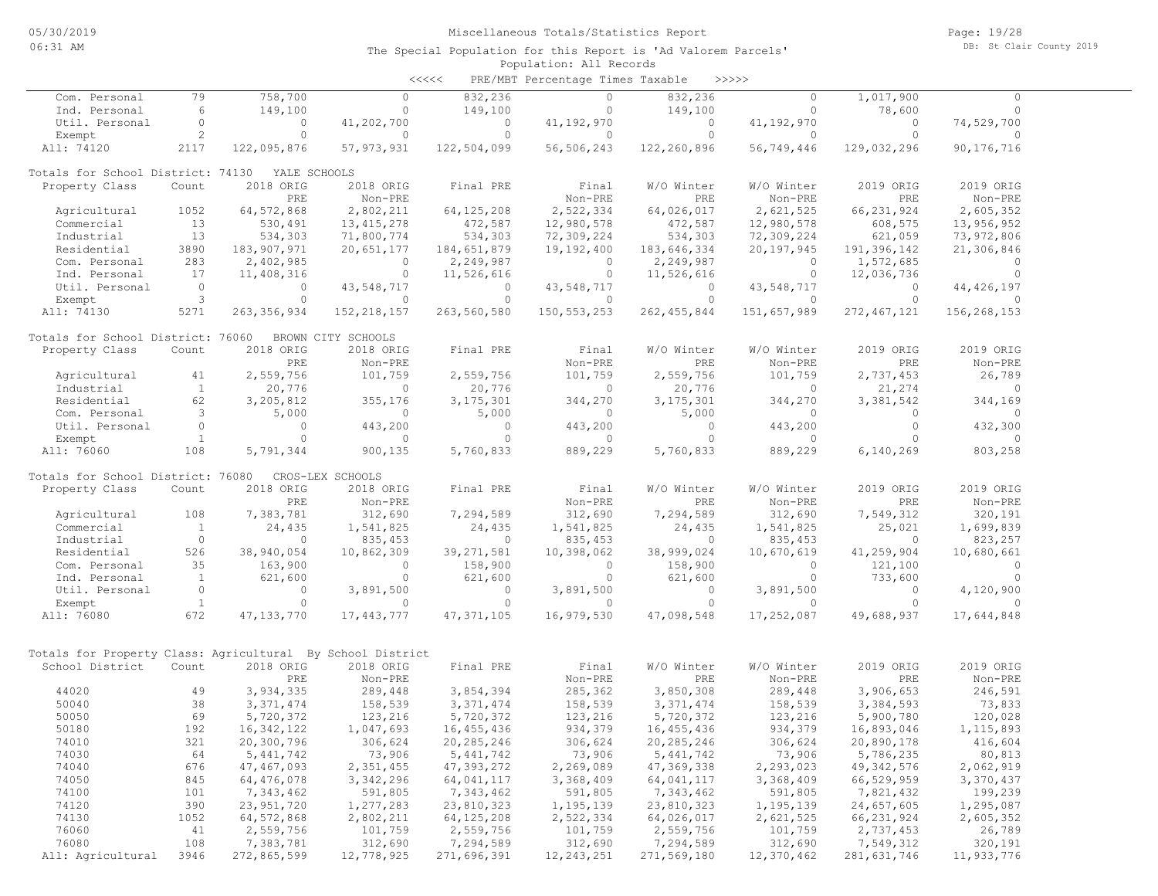| <<<< | PRE/MBT Percentage Times Taxable |  |  | >>>>> |
|------|----------------------------------|--|--|-------|
|------|----------------------------------|--|--|-------|

| Com. Personal                                              | 79           | 758,700       | $\Omega$           | 832,236      | $\circ$       | 832,236       | $\circ$      | 1,017,900     | $\Omega$     |  |
|------------------------------------------------------------|--------------|---------------|--------------------|--------------|---------------|---------------|--------------|---------------|--------------|--|
| Ind. Personal                                              | 6            | 149,100       | $\circ$            | 149,100      | $\circ$       | 149,100       | $\circ$      | 78,600        | $\circ$      |  |
| Util. Personal                                             | $\circ$      | $\circ$       | 41,202,700         | $\circ$      | 41,192,970    | $\circ$       | 41, 192, 970 | $\circ$       | 74,529,700   |  |
| Exempt                                                     | $\mathbf{2}$ | $\circ$       | $\circ$            | $\circ$      | $\circ$       | $\circ$       | $\circ$      | $\circ$       | $\circ$      |  |
| All: 74120                                                 | 2117         | 122,095,876   | 57, 973, 931       | 122,504,099  | 56,506,243    | 122,260,896   | 56,749,446   | 129,032,296   | 90,176,716   |  |
|                                                            |              |               |                    |              |               |               |              |               |              |  |
| Totals for School District: 74130                          |              | YALE SCHOOLS  |                    |              |               |               |              |               |              |  |
| Property Class                                             | Count        | 2018 ORIG     | 2018 ORIG          | Final PRE    | Final         | W/O Winter    | W/O Winter   | 2019 ORIG     | 2019 ORIG    |  |
|                                                            |              | PRE           | Non-PRE            |              | Non-PRE       | PRE           | Non-PRE      | PRE           | Non-PRE      |  |
| Agricultural                                               | 1052         | 64, 572, 868  | 2,802,211          | 64, 125, 208 | 2,522,334     | 64,026,017    | 2,621,525    | 66, 231, 924  | 2,605,352    |  |
| Commercial                                                 | 13           | 530,491       | 13, 415, 278       | 472,587      | 12,980,578    | 472,587       | 12,980,578   | 608,575       | 13,956,952   |  |
| Industrial                                                 | 13           | 534,303       | 71,800,774         | 534,303      | 72,309,224    | 534,303       | 72,309,224   | 621,059       | 73,972,806   |  |
| Residential                                                | 3890         | 183,907,971   | 20,651,177         | 184,651,879  | 19,192,400    | 183,646,334   | 20,197,945   | 191,396,142   | 21,306,846   |  |
| Com. Personal                                              | 283          | 2,402,985     | $\Omega$           | 2,249,987    | $\circ$       | 2,249,987     | 0            | 1,572,685     | 0            |  |
| Ind. Personal                                              | 17           | 11,408,316    | $\circ$            | 11,526,616   | $\circ$       | 11,526,616    | $\mathbf{0}$ | 12,036,736    | $\circ$      |  |
| Util. Personal                                             | $\circ$      | 0             | 43,548,717         | $\circ$      | 43,548,717    | 0             | 43,548,717   | $\mathbf{0}$  | 44, 426, 197 |  |
| Exempt                                                     | 3            | $\circ$       | $\circ$            | $\circ$      | $\circ$       | $\circ$       | $\mathbf{0}$ | $\circ$       | $\mathbf{0}$ |  |
| All: 74130                                                 | 5271         | 263, 356, 934 | 152, 218, 157      | 263,560,580  | 150, 553, 253 | 262, 455, 844 | 151,657,989  | 272, 467, 121 | 156,268,153  |  |
|                                                            |              |               |                    |              |               |               |              |               |              |  |
| Totals for School District: 76060                          |              |               | BROWN CITY SCHOOLS |              |               |               |              |               |              |  |
| Property Class                                             | Count        | 2018 ORIG     | 2018 ORIG          | Final PRE    | Final         | W/O Winter    | W/O Winter   | 2019 ORIG     | 2019 ORIG    |  |
|                                                            |              | PRE           | Non-PRE            |              | Non-PRE       | PRE           | Non-PRE      | PRE           | Non-PRE      |  |
| Agricultural                                               | 41           | 2,559,756     | 101,759            | 2,559,756    | 101,759       | 2,559,756     | 101,759      | 2,737,453     | 26,789       |  |
| Industrial                                                 | $\mathbf{1}$ | 20,776        | $\circ$            | 20,776       | $\circ$       | 20,776        | $\mathbf{0}$ | 21,274        | $\circ$      |  |
| Residential                                                | 62           | 3,205,812     | 355,176            | 3, 175, 301  | 344,270       | 3, 175, 301   | 344,270      | 3,381,542     | 344,169      |  |
| Com. Personal                                              | 3            | 5,000         | 0                  | 5,000        | $\circ$       | 5,000         | $\circ$      | $\Omega$      | $\circ$      |  |
| Util. Personal                                             | $\circ$      | $\circ$       | 443,200            | $\circ$      | 443,200       | $\circ$       | 443,200      | $\circ$       | 432,300      |  |
| Exempt                                                     | $\mathbf{1}$ | $\Omega$      | $\Omega$           | $\Omega$     | $\circ$       | $\circ$       | $\circ$      | $\Omega$      | $\circ$      |  |
| All: 76060                                                 | 108          | 5,791,344     | 900,135            | 5,760,833    | 889,229       | 5,760,833     | 889,229      | 6,140,269     | 803,258      |  |
|                                                            |              |               |                    |              |               |               |              |               |              |  |
| Totals for School District: 76080                          |              |               | CROS-LEX SCHOOLS   |              |               |               |              |               |              |  |
| Property Class                                             | Count        | 2018 ORIG     | 2018 ORIG          | Final PRE    | Final         | W/O Winter    | W/O Winter   | 2019 ORIG     | 2019 ORIG    |  |
|                                                            |              | PRE           | Non-PRE            |              | Non-PRE       | PRE           | Non-PRE      | PRE           | Non-PRE      |  |
| Agricultural                                               | 108          | 7,383,781     | 312,690            | 7,294,589    | 312,690       | 7,294,589     | 312,690      | 7,549,312     | 320,191      |  |
| Commercial                                                 | $\mathbf{1}$ | 24,435        | 1,541,825          | 24,435       | 1,541,825     | 24,435        | 1,541,825    | 25,021        | 1,699,839    |  |
| Industrial                                                 | $\circ$      | $\mathbf{0}$  | 835, 453           | $\circ$      | 835,453       | 0             | 835, 453     | $\circ$       | 823,257      |  |
| Residential                                                | 526          | 38,940,054    | 10,862,309         | 39, 271, 581 | 10,398,062    | 38,999,024    | 10,670,619   | 41,259,904    | 10,680,661   |  |
| Com. Personal                                              | 35           | 163,900       | $\Omega$           | 158,900      | $\circ$       | 158,900       | $\circ$      | 121,100       | $\circ$      |  |
| Ind. Personal                                              | $\mathbf{1}$ | 621,600       | $\Omega$           | 621,600      | $\circ$       | 621,600       | $\Omega$     | 733,600       | $\Omega$     |  |
| Util. Personal                                             | $\circ$      | $\circ$       | 3,891,500          | $\circ$      | 3,891,500     | $\circ$       | 3,891,500    | $\circ$       | 4,120,900    |  |
| Exempt                                                     | $\mathbf{1}$ | $\circ$       | $\circ$            | $\circ$      | $\circ$       | $\circ$       | $\circ$      | 0             | $\Omega$     |  |
| All: 76080                                                 | 672          | 47, 133, 770  | 17, 443, 777       | 47, 371, 105 | 16,979,530    | 47,098,548    | 17,252,087   | 49,688,937    | 17,644,848   |  |
|                                                            |              |               |                    |              |               |               |              |               |              |  |
|                                                            |              |               |                    |              |               |               |              |               |              |  |
| Totals for Property Class: Agricultural By School District |              |               |                    |              |               |               |              |               |              |  |
| School District                                            | Count        | 2018 ORIG     | 2018 ORIG          | Final PRE    | Final         | W/O Winter    | W/O Winter   | 2019 ORIG     | 2019 ORIG    |  |
|                                                            |              | PRE           | Non-PRE            |              | Non-PRE       | PRE           | Non-PRE      | PRE           | Non-PRE      |  |
| 44020                                                      | 49           | 3,934,335     | 289,448            | 3,854,394    | 285,362       | 3,850,308     | 289,448      | 3,906,653     | 246,591      |  |
| 50040                                                      | 38           | 3, 371, 474   | 158,539            | 3, 371, 474  | 158,539       | 3, 371, 474   | 158,539      | 3,384,593     | 73,833       |  |
| 50050                                                      | 69           | 5,720,372     | 123,216            | 5,720,372    | 123,216       | 5,720,372     | 123,216      | 5,900,780     | 120,028      |  |
| 50180                                                      | 192          | 16, 342, 122  | 1,047,693          | 16,455,436   | 934,379       | 16,455,436    | 934,379      | 16,893,046    | 1, 115, 893  |  |
| 74010                                                      | 321          | 20,300,796    | 306,624            | 20,285,246   | 306,624       | 20,285,246    | 306,624      | 20,890,178    | 416,604      |  |
| 74030                                                      | 64           | 5, 441, 742   | 73,906             | 5, 441, 742  | 73,906        | 5, 441, 742   | 73,906       | 5,786,235     | 80,813       |  |
| 74040                                                      | 676          | 47,467,093    | 2,351,455          | 47,393,272   | 2,269,089     | 47,369,338    | 2,293,023    | 49, 342, 576  | 2,062,919    |  |
| 74050                                                      | 845          | 64,476,078    | 3,342,296          | 64,041,117   | 3,368,409     | 64,041,117    | 3,368,409    | 66,529,959    | 3,370,437    |  |
| 74100                                                      | 101          | 7,343,462     | 591,805            | 7,343,462    | 591,805       | 7,343,462     | 591,805      | 7,821,432     | 199,239      |  |
| 74120                                                      | 390          | 23, 951, 720  | 1,277,283          | 23,810,323   | 1,195,139     | 23,810,323    | 1,195,139    | 24,657,605    | 1,295,087    |  |
| 74130                                                      | 1052         | 64, 572, 868  | 2,802,211          | 64, 125, 208 | 2,522,334     | 64,026,017    | 2,621,525    | 66, 231, 924  | 2,605,352    |  |
| 76060                                                      | 41           | 2,559,756     | 101,759            | 2,559,756    | 101,759       | 2,559,756     | 101,759      | 2,737,453     | 26,789       |  |
| 76080                                                      | 108          | 7,383,781     | 312,690            | 7,294,589    | 312,690       | 7,294,589     | 312,690      | 7,549,312     | 320,191      |  |
| All: Agricultural                                          | 3946         | 272,865,599   | 12,778,925         | 271,696,391  | 12, 243, 251  | 271,569,180   | 12,370,462   | 281,631,746   | 11,933,776   |  |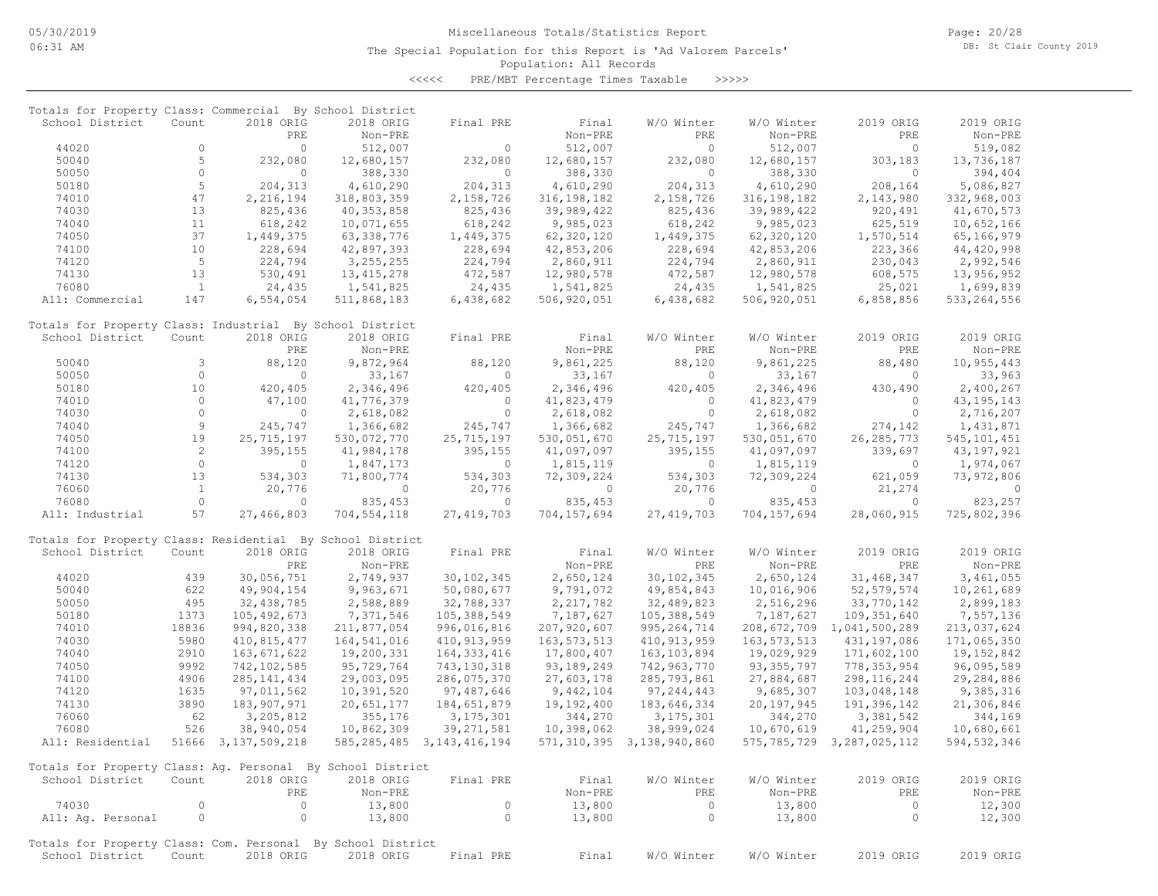Page: 20/28 DB: St Clair County 2019

### Population: All Records The Special Population for this Report is 'Ad Valorem Parcels'

<<<<< PRE/MBT Percentage Times Taxable >>>>>

| Totals for Property Class: Commercial By School District    |                |                        |              |                                |               |                                |               |                                |                |
|-------------------------------------------------------------|----------------|------------------------|--------------|--------------------------------|---------------|--------------------------------|---------------|--------------------------------|----------------|
| School District                                             | Count          | 2018 ORIG              | 2018 ORIG    | Final PRE                      | Final         | W/O Winter                     | W/O Winter    | 2019 ORIG                      | 2019 ORIG      |
|                                                             |                | PRE                    | Non-PRE      |                                | Non-PRE       | PRE                            | Non-PRE       | PRE                            | Non-PRE        |
| 44020                                                       | $\Omega$       | $\Omega$               | 512,007      | $\Omega$                       | 512,007       | $\Omega$                       | 512,007       | $\Omega$                       | 519,082        |
| 50040                                                       | 5              | 232,080                | 12,680,157   | 232,080                        | 12,680,157    | 232,080                        | 12,680,157    | 303,183                        | 13,736,187     |
| 50050                                                       | $\circ$        | $\circ$                | 388,330      | $\circ$                        | 388,330       | $\circ$                        | 388,330       | $\circ$                        | 394,404        |
| 50180                                                       | 5              | 204, 313               | 4,610,290    | 204,313                        | 4,610,290     | 204,313                        | 4,610,290     | 208,164                        | 5,086,827      |
| 74010                                                       | 47             | 2,216,194              | 318,803,359  | 2,158,726                      | 316, 198, 182 | 2,158,726                      | 316, 198, 182 | 2,143,980                      | 332,968,003    |
| 74030                                                       | 13             | 825,436                | 40, 353, 858 | 825,436                        | 39,989,422    | 825,436                        | 39,989,422    | 920,491                        | 41,670,573     |
| 74040                                                       | 11             | 618,242                | 10,071,655   | 618,242                        | 9,985,023     | 618,242                        | 9,985,023     | 625,519                        | 10,652,166     |
| 74050                                                       | 37             | 1,449,375              | 63,338,776   | 1,449,375                      | 62,320,120    | 1,449,375                      | 62,320,120    | 1,570,514                      | 65,166,979     |
| 74100                                                       | 10             | 228,694                | 42,897,393   | 228,694                        | 42,853,206    | 228,694                        | 42,853,206    | 223,366                        | 44,420,998     |
| 74120                                                       | 5              | 224,794                | 3, 255, 255  | 224,794                        | 2,860,911     | 224,794                        | 2,860,911     | 230,043                        | 2,992,546      |
| 74130                                                       | 13             | 530,491                | 13, 415, 278 | 472,587                        | 12,980,578    | 472,587                        | 12,980,578    | 608,575                        | 13,956,952     |
| 76080                                                       | $\mathbf{1}$   | 24,435                 | 1,541,825    | 24,435                         | 1,541,825     | 24,435                         | 1,541,825     | 25,021                         | 1,699,839      |
| All: Commercial                                             | 147            | 6,554,054              | 511,868,183  | 6,438,682                      | 506,920,051   | 6,438,682                      | 506,920,051   | 6,858,856                      | 533, 264, 556  |
| Totals for Property Class: Industrial By School District    |                |                        |              |                                |               |                                |               |                                |                |
| School District                                             | Count          | 2018 ORIG              | 2018 ORIG    | Final PRE                      | Final         | W/O Winter                     | W/O Winter    | 2019 ORIG                      | 2019 ORIG      |
|                                                             |                | PRE                    | Non-PRE      |                                | Non-PRE       | PRE                            | Non-PRE       | PRE                            | Non-PRE        |
| 50040                                                       | 3              | 88,120                 | 9,872,964    | 88,120                         | 9,861,225     | 88,120                         | 9,861,225     | 88,480                         | 10,955,443     |
| 50050                                                       | $\circ$        | $\circ$                | 33,167       | $\circ$                        | 33,167        | $\circ$                        | 33,167        | $\circ$                        | 33,963         |
| 50180                                                       | 10             | 420,405                | 2,346,496    | 420,405                        | 2,346,496     | 420,405                        | 2,346,496     | 430,490                        | 2,400,267      |
| 74010                                                       | $\circ$        | 47,100                 | 41,776,379   | $\circ$                        | 41,823,479    | $\circ$                        | 41,823,479    | $\circ$                        | 43, 195, 143   |
| 74030                                                       | $\circ$        | $\circ$                | 2,618,082    | $\circ$                        | 2,618,082     | $\circ$                        | 2,618,082     | $\circ$                        | 2,716,207      |
| 74040                                                       | $\mathsf 9$    | 245,747                | 1,366,682    | 245,747                        | 1,366,682     | 245,747                        | 1,366,682     | 274,142                        | 1,431,871      |
| 74050                                                       | 19             | 25, 715, 197           | 530,072,770  | 25,715,197                     | 530,051,670   | 25,715,197                     | 530,051,670   | 26, 285, 773                   | 545, 101, 451  |
| 74100                                                       | $\overline{c}$ | 395,155                | 41,984,178   | 395,155                        | 41,097,097    | 395,155                        | 41,097,097    | 339,697                        | 43, 197, 921   |
| 74120                                                       | $\Omega$       | $\Omega$               | 1,847,173    | $\Omega$                       | 1,815,119     | $\Omega$                       | 1,815,119     | $\Omega$                       | 1,974,067      |
| 74130                                                       | 13             | 534,303                | 71,800,774   | 534,303                        | 72,309,224    | 534,303                        | 72,309,224    | 621,059                        | 73,972,806     |
| 76060                                                       | $\mathbf{1}$   | 20,776                 | $\circ$      | 20,776                         | $\circ$       | 20,776                         | $\circ$       | 21,274                         | $\overline{0}$ |
| 76080                                                       | $\circ$        | $\Omega$               | 835,453      | $\Omega$                       | 835, 453      | $\circ$                        | 835, 453      | $\circ$                        | 823,257        |
| All: Industrial                                             | 57             | 27,466,803             | 704,554,118  | 27, 419, 703                   | 704,157,694   | 27, 419, 703                   | 704,157,694   | 28,060,915                     | 725,802,396    |
| Totals for Property Class: Residential By School District   |                |                        |              |                                |               |                                |               |                                |                |
| School District                                             | Count          | 2018 ORIG              | 2018 ORIG    | Final PRE                      | Final         | W/O Winter                     | W/O Winter    | 2019 ORIG                      | 2019 ORIG      |
|                                                             |                | PRE                    | Non-PRE      |                                | Non-PRE       | PRE                            | Non-PRE       | PRE                            | Non-PRE        |
| 44020                                                       | 439            | 30,056,751             | 2,749,937    | 30, 102, 345                   | 2,650,124     | 30, 102, 345                   | 2,650,124     | 31,468,347                     | 3,461,055      |
| 50040                                                       | 622            | 49,904,154             | 9,963,671    | 50,080,677                     | 9,791,072     | 49,854,843                     | 10,016,906    | 52, 579, 574                   | 10,261,689     |
| 50050                                                       | 495            | 32, 438, 785           | 2,588,889    | 32,788,337                     | 2, 217, 782   | 32,489,823                     | 2,516,296     | 33,770,142                     | 2,899,183      |
| 50180                                                       | 1373           | 105, 492, 673          | 7,371,546    | 105,388,549                    | 7,187,627     | 105,388,549                    | 7,187,627     | 109,351,640                    | 7,557,136      |
| 74010                                                       | 18836          | 994,820,338            | 211,877,054  | 996,016,816                    | 207,920,607   | 995, 264, 714                  |               | 208, 672, 709 1, 041, 500, 289 | 213,037,624    |
| 74030                                                       | 5980           | 410,815,477            | 164,541,016  | 410, 913, 959                  | 163, 573, 513 | 410, 913, 959                  | 163, 573, 513 | 431,197,086                    | 171,065,350    |
| 74040                                                       | 2910           | 163,671,622            | 19,200,331   | 164, 333, 416                  | 17,800,407    | 163, 103, 894                  | 19,029,929    | 171,602,100                    | 19,152,842     |
| 74050                                                       | 9992           | 742, 102, 585          | 95,729,764   | 743, 130, 318                  | 93,189,249    | 742,963,770                    | 93, 355, 797  | 778, 353, 954                  | 96,095,589     |
| 74100                                                       | 4906           |                        | 29,003,095   |                                |               |                                |               | 298, 116, 244                  |                |
| 74120                                                       | 1635           | 285, 141, 434          |              | 286,075,370<br>97,487,646      | 27,603,178    | 285,793,861                    | 27,884,687    | 103,048,148                    | 29,284,886     |
|                                                             |                | 97,011,562             | 10,391,520   |                                | 9,442,104     | 97, 244, 443                   | 9,685,307     |                                | 9,385,316      |
| 74130                                                       | 3890           | 183, 907, 971          | 20,651,177   | 184,651,879                    | 19,192,400    | 183,646,334                    | 20,197,945    | 191,396,142                    | 21,306,846     |
| 76060                                                       | 62             | 3,205,812              | 355,176      | 3, 175, 301                    | 344,270       | 3, 175, 301                    | 344,270       | 3,381,542                      | 344,169        |
| 76080                                                       | 526            | 38,940,054             | 10,862,309   | 39, 271, 581                   | 10,398,062    | 38,999,024                     | 10,670,619    | 41,259,904                     | 10,680,661     |
| All: Residential                                            |                | 51666 3, 137, 509, 218 |              | 585, 285, 485 3, 143, 416, 194 |               | 571, 310, 395 3, 138, 940, 860 |               | 575, 785, 729 3, 287, 025, 112 | 594, 532, 346  |
| Totals for Property Class: Ag. Personal By School District  |                |                        |              |                                |               |                                |               |                                |                |
| School District                                             | Count          | 2018 ORIG              | 2018 ORIG    | Final PRE                      | Final         | W/O Winter                     | W/O Winter    | 2019 ORIG                      | 2019 ORIG      |
|                                                             |                | PRE                    | Non-PRE      |                                | Non-PRE       | PRE                            | Non-PRE       | PRE                            | Non-PRE        |
| 74030                                                       | $\circ$        | $\circ$                | 13,800       | $\circ$                        | 13,800        | $\circ$                        | 13,800        | $\circ$                        | 12,300         |
| All: Ag. Personal                                           | $\circ$        | $\circ$                | 13,800       | $\circ$                        | 13,800        | $\circ$                        | 13,800        | $\circ$                        | 12,300         |
| Totals for Property Class: Com. Personal By School District |                |                        |              |                                |               |                                |               |                                |                |
| School District                                             | Count          | 2018 ORIG              | 2018 ORIG    | Final PRE                      | Final         | W/O Winter                     | W/O Winter    | 2019 ORIG                      | 2019 ORIG      |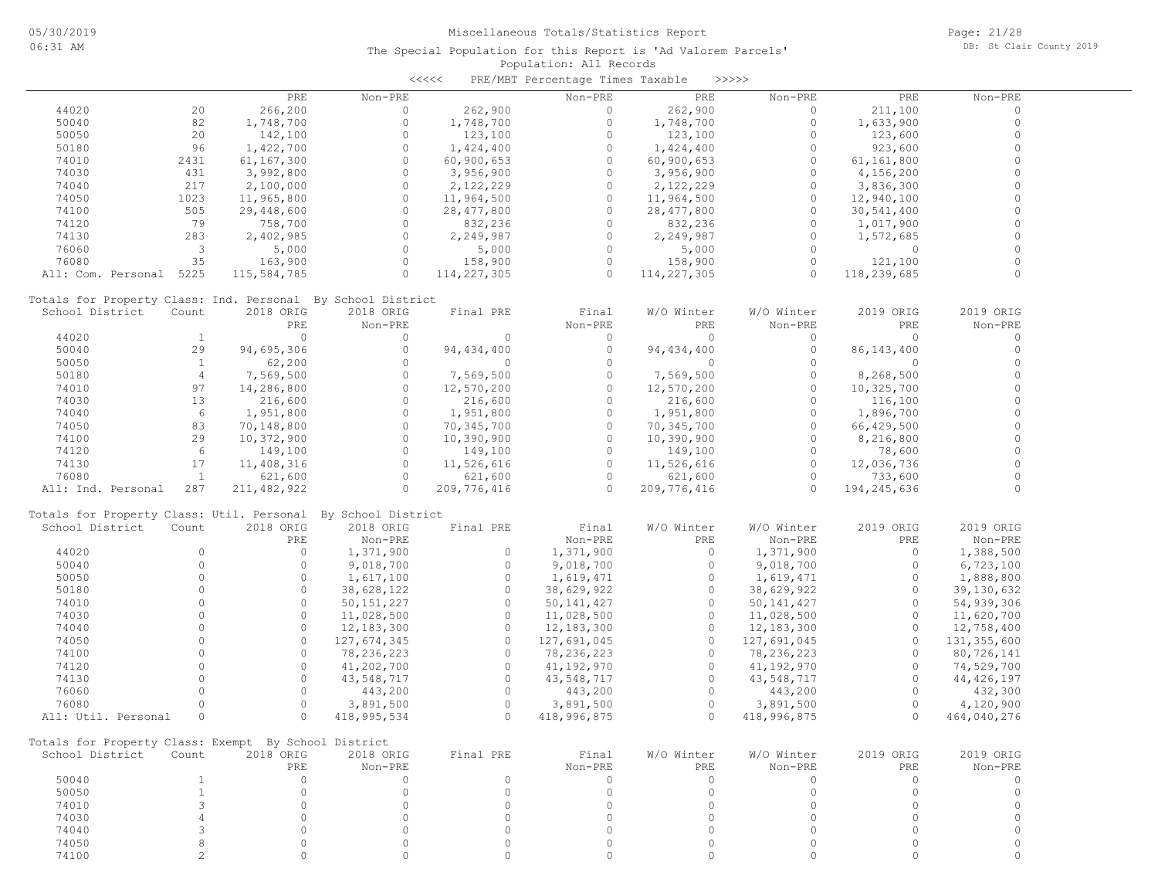|                         |                         |                                                      |                                                              | <<<<                | PRE/MBT Percentage Times Taxable |                     | >>>>>        |                     |              |
|-------------------------|-------------------------|------------------------------------------------------|--------------------------------------------------------------|---------------------|----------------------------------|---------------------|--------------|---------------------|--------------|
|                         |                         | PRE                                                  | Non-PRE                                                      |                     | Non-PRE                          | PRE                 | Non-PRE      | PRE                 | Non-PRE      |
| 44020                   | 20                      | 266,200                                              | $\circ$                                                      | 262,900             | $\circ$                          | 262,900             | 0            | 211,100             | 0            |
| 50040                   | 82                      | 1,748,700                                            | $\circ$                                                      | 1,748,700           | $\circ$                          | 1,748,700           | $\circ$      | 1,633,900           | $\circ$      |
| 50050                   | 20                      | 142,100                                              | $\circ$                                                      | 123,100             | $\circ$                          | 123,100             | $\circ$      | 123,600             | $\circ$      |
| 50180                   | 96                      | 1,422,700                                            | $\circ$                                                      | 1,424,400           | $\circ$                          | 1,424,400           | 0            | 923,600             | $\Omega$     |
| 74010                   | 2431                    | 61,167,300                                           | $\Omega$                                                     | 60,900,653          | $\circ$                          | 60,900,653          | $\circ$      | 61,161,800          | $\Omega$     |
| 74030                   | 431                     | 3,992,800                                            | $\circ$                                                      | 3,956,900           | $\circ$                          | 3,956,900           | $\circ$      | 4,156,200           | $\Omega$     |
| 74040                   | 217                     | 2,100,000                                            | $\circ$                                                      | 2,122,229           | $\circ$                          | 2,122,229           | $\circ$      | 3,836,300           | $\Omega$     |
| 74050                   | 1023                    | 11,965,800                                           | $\circ$                                                      | 11,964,500          | $\circ$                          | 11,964,500          | $\circ$      | 12,940,100          | $\Omega$     |
| 74100                   | 505                     | 29,448,600                                           | $\circ$                                                      | 28, 477, 800        | $\circ$                          | 28, 477, 800        | $\circ$      | 30,541,400          |              |
| 74120                   | 79                      | 758,700                                              | $\circ$                                                      | 832,236             | $\circ$                          | 832,236             | $\circ$      | 1,017,900           |              |
| 74130                   | 283                     | 2,402,985                                            | $\circ$                                                      | 2,249,987           | $\circ$                          | 2,249,987           | $\circ$      | 1,572,685           | 0            |
| 76060                   | $\overline{\mathbf{3}}$ | 5,000                                                | $\circ$                                                      | 5,000               | $\circ$                          | 5,000               | $\circ$      | $\circ$             | $\Omega$     |
| 76080                   | 35                      | 163,900                                              | $\circ$                                                      | 158,900             | $\circ$                          | 158,900             | $\circ$      | 121,100             | $\Omega$     |
| All: Com. Personal 5225 |                         | 115,584,785                                          | $\Omega$                                                     | 114, 227, 305       | $\Omega$                         | 114, 227, 305       | $\Omega$     | 118,239,685         |              |
|                         |                         |                                                      |                                                              |                     |                                  |                     |              |                     |              |
|                         |                         |                                                      | Totals for Property Class: Ind. Personal By School District  |                     |                                  |                     |              |                     |              |
| School District         | Count                   | 2018 ORIG                                            | 2018 ORIG                                                    | Final PRE           | Final                            | W/O Winter          | W/O Winter   | 2019 ORIG           | 2019 ORIG    |
|                         |                         | PRE                                                  | Non-PRE                                                      |                     | Non-PRE                          | PRE                 | Non-PRE      | PRE                 | Non-PRE      |
| 44020                   | <sup>1</sup>            | $\circ$                                              | $\circ$                                                      | 0                   | $\circ$                          | $\overline{0}$      | $\circ$      | $\circ$             | 0            |
| 50040                   | 29                      | 94,695,306                                           | $\circ$                                                      | 94, 434, 400        | $\circ$                          | 94, 434, 400        | $\circ$      | 86, 143, 400        | $\circ$      |
| 50050                   | $\mathbf{1}$            | 62,200                                               | $\Omega$                                                     | 0                   | $\Omega$                         | $\circ$             | $\circ$      | $\circ$             | $\Omega$     |
| 50180                   | $\overline{4}$          | 7,569,500                                            | $\circ$                                                      | 7,569,500           | $\circ$                          | 7,569,500           | $\circ$      | 8,268,500           | $\Omega$     |
| 74010                   | 97                      | 14,286,800                                           | $\circ$                                                      | 12,570,200          | $\circ$                          | 12,570,200          | $\circ$      | 10,325,700          | $\Omega$     |
| 74030                   | 13                      | 216,600                                              | $\circ$                                                      | 216,600             | $\circ$                          | 216,600             | $\circ$      | 116,100             | $\Omega$     |
| 74040                   | 6                       | 1,951,800                                            | $\circ$                                                      | 1,951,800           | $\circ$                          | 1,951,800           | $\circ$      | 1,896,700           | $\Omega$     |
| 74050                   | 83                      | 70,148,800                                           | $\circ$                                                      | 70,345,700          | $\circ$                          | 70,345,700          | $\circ$      | 66,429,500          |              |
| 74100                   | 29                      | 10,372,900                                           | $\circ$                                                      | 10,390,900          | $\circ$                          | 10,390,900          | $\circ$      | 8,216,800           | $\Omega$     |
| 74120                   | 6                       | 149,100                                              | $\circ$                                                      | 149,100             | $\circ$                          | 149,100             | $\circ$      | 78,600              | $\Omega$     |
| 74130                   | 17                      | 11,408,316                                           | $\circ$                                                      | 11,526,616          | $\circ$                          | 11,526,616          | $\circ$      | 12,036,736          | $\Omega$     |
| 76080                   | $\mathbf{1}$            | 621,600                                              | $\Omega$                                                     | 621,600             | $\Omega$                         | 621,600             | $\Omega$     | 733,600             |              |
| All: Ind. Personal      | 287                     | 211,482,922                                          | $\circ$                                                      | 209,776,416         | $\Omega$                         | 209,776,416         | $\Omega$     | 194,245,636         | $\Omega$     |
|                         |                         |                                                      | Totals for Property Class: Util. Personal By School District |                     |                                  |                     |              |                     |              |
| School District         | Count                   | 2018 ORIG                                            | 2018 ORIG                                                    | Final PRE           | Final                            | W/O Winter          | W/O Winter   | 2019 ORIG           | 2019 ORIG    |
|                         |                         | PRE                                                  | Non-PRE                                                      |                     | Non-PRE                          | PRE                 | Non-PRE      | PRE                 | Non-PRE      |
| 44020                   | $\circ$                 | $\circ$                                              |                                                              | $\circ$             | 1,371,900                        | $\circ$             |              | $\circ$             |              |
|                         | $\circ$                 | $\circ$                                              | 1,371,900                                                    | $\circ$             |                                  | $\circ$             | 1,371,900    | $\circ$             | 1,388,500    |
| 50040                   | $\Omega$                | $\circ$                                              | 9,018,700                                                    |                     | 9,018,700                        |                     | 9,018,700    |                     | 6,723,100    |
| 50050                   | $\Omega$                | $\Omega$                                             | 1,617,100                                                    | $\circ$<br>$\Omega$ | 1,619,471                        | $\circ$<br>$\Omega$ | 1,619,471    | $\circ$<br>$\Omega$ | 1,888,800    |
| 50180                   |                         |                                                      | 38,628,122                                                   |                     | 38,629,922                       |                     | 38,629,922   |                     | 39,130,632   |
| 74010                   | $\Omega$                | $\circ$                                              | 50, 151, 227                                                 | $\circ$             | 50, 141, 427                     | $\circ$             | 50, 141, 427 | $\circ$             | 54,939,306   |
| 74030                   | $\Omega$                | $\circ$                                              | 11,028,500                                                   | $\circ$             | 11,028,500                       | $\circ$             | 11,028,500   | $\circ$             | 11,620,700   |
| 74040                   | $\Omega$                | $\circ$                                              | 12,183,300                                                   | $\circ$             | 12,183,300                       | $\circ$             | 12,183,300   | $\circ$             | 12,758,400   |
| 74050                   | $\Omega$                | $\circ$                                              | 127,674,345                                                  | $\circ$             | 127,691,045                      | $\circ$             | 127,691,045  | $\circ$             | 131,355,600  |
| 74100                   | $\Omega$                | $\circ$                                              | 78,236,223                                                   | $\circ$             | 78,236,223                       | $\circ$             | 78,236,223   | $\circ$             | 80,726,141   |
| 74120                   | $\circ$                 | $\circ$                                              | 41,202,700                                                   | $\circ$             | 41,192,970                       | $\circ$             | 41,192,970   | $\circ$             | 74,529,700   |
| 74130                   | $\Omega$                | $\Omega$                                             | 43,548,717                                                   | $\Omega$            | 43,548,717                       | $\Omega$            | 43,548,717   | $\Omega$            | 44, 426, 197 |
| 76060                   | $\Omega$                | $\Omega$                                             | 443,200                                                      | $\circ$             | 443,200                          | $\circ$             | 443,200      | $\Omega$            | 432,300      |
| 76080                   | $\Omega$                | $\circ$                                              | 3,891,500                                                    | $\circ$             | 3,891,500                        | $\circ$             | 3,891,500    | $\circ$             | 4,120,900    |
| All: Util. Personal     | $\circ$                 | $\circ$                                              | 418, 995, 534                                                | $\circ$             | 418,996,875                      | $\circ$             | 418,996,875  | $\circ$             | 464,040,276  |
|                         |                         | Totals for Property Class: Exempt By School District |                                                              |                     |                                  |                     |              |                     |              |
| School District         | Count                   | 2018 ORIG                                            | 2018 ORIG                                                    | Final PRE           | Final                            | W/O Winter          | W/O Winter   | 2019 ORIG           | 2019 ORIG    |
|                         |                         | PRE                                                  | Non-PRE                                                      |                     | Non-PRE                          | PRE                 | Non-PRE      | PRE                 | Non-PRE      |
| 50040                   | $\mathbf{1}$            | $\circ$                                              | $\Omega$                                                     | $\circ$             | $\Omega$                         | $\circ$             | $\Omega$     | $\circ$             | 0            |
| 50050                   | $\mathbf{1}$            | $\Omega$                                             | $\Omega$                                                     | $\Omega$            | $\circ$                          | $\Omega$            | $\Omega$     | $\circ$             | $\circ$      |
| 74010                   | 3                       | $\circ$                                              | $\circ$                                                      | $\circ$             | $\circ$                          | $\Omega$            | $\circ$      | $\circ$             | $\circ$      |
| 74030                   | $\overline{4}$          | $\Omega$                                             | $\Omega$                                                     | $\Omega$            | $\circ$                          | $\Omega$            | $\Omega$     | $\circ$             | $\circ$      |
| 74040                   | 3                       | $\circ$                                              | $\Omega$                                                     | $\Omega$            | $\circ$                          | $\Omega$            | $\circ$      | $\circ$             | $\mathbf 0$  |
| 74050                   | 8                       | $\circ$                                              | $\circ$                                                      | $\circ$             | $\circ$                          | $\circ$             | $\circ$      | $\circ$             | 0            |
| 74100                   | $\mathfrak{D}$          | $\circ$                                              | $\Omega$                                                     | $\Omega$            | 0                                | $\Omega$            | $\Omega$     | 0                   | $\Omega$     |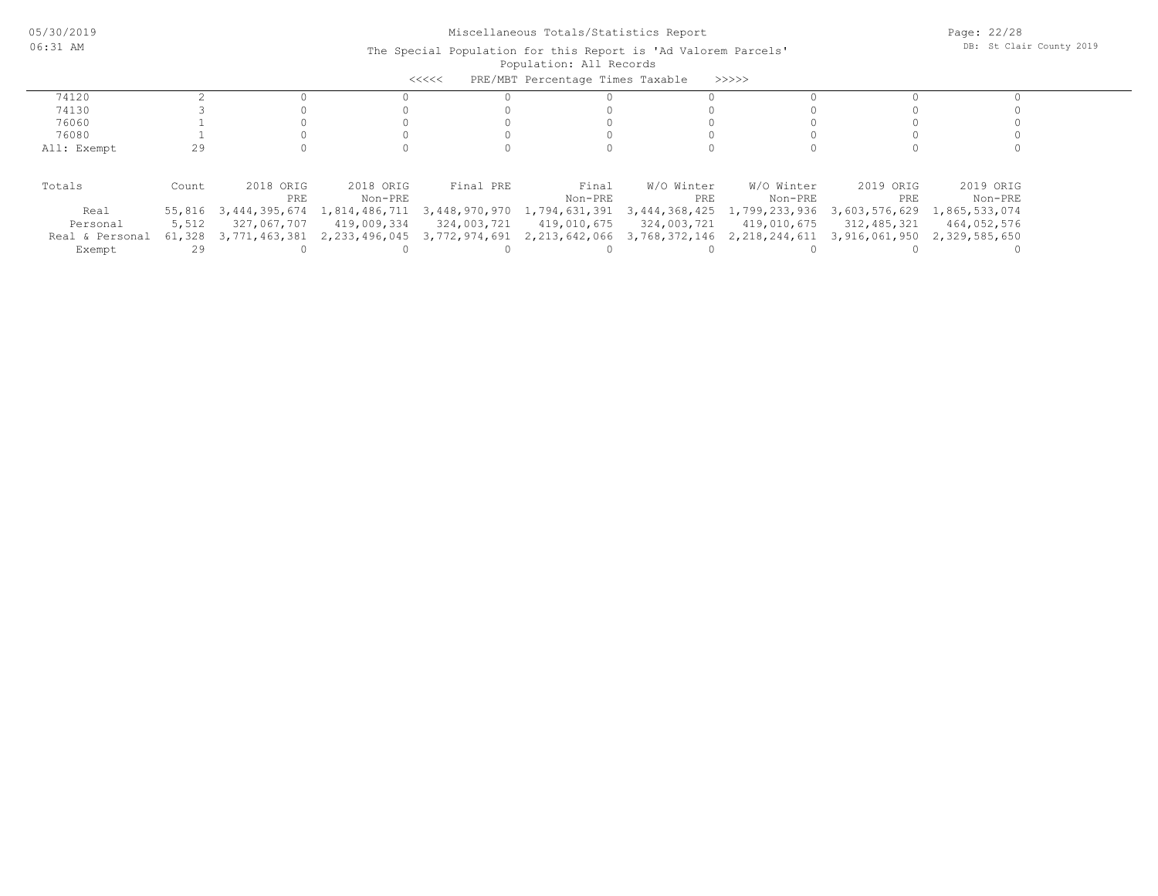|                 |        |               |               | <<<<          | PRE/MBT Percentage Times Taxable |               | >>>>>>           |               |               |
|-----------------|--------|---------------|---------------|---------------|----------------------------------|---------------|------------------|---------------|---------------|
| 74120           |        |               |               |               |                                  |               |                  |               |               |
| 74130           |        |               |               |               |                                  |               |                  |               |               |
| 76060           |        |               |               |               |                                  |               |                  |               |               |
| 76080           |        |               |               |               |                                  |               |                  |               |               |
| All: Exempt     | 29     |               |               |               |                                  |               |                  |               |               |
|                 |        |               |               |               |                                  |               |                  |               |               |
| Totals          | Count  | 2018 ORIG     | 2018 ORIG     | Final PRE     | Final                            | W/O Winter    | W/O Winter       | 2019 ORIG     | 2019 ORIG     |
|                 |        | PRE           | Non-PRE       |               | Non-PRE                          | PRE           | Non-PRE          | PRE           | Non-PRE       |
| Real            | 55,816 | 3,444,395,674 | 1,814,486,711 | 3,448,970,970 | 1,794,631,391                    | 3,444,368,425 | 1,799,233,936    | 3,603,576,629 | 1,865,533,074 |
| Personal        | 5,512  | 327,067,707   | 419,009,334   | 324,003,721   | 419,010,675                      | 324,003,721   | 419,010,675      | 312,485,321   | 464,052,576   |
| Real & Personal | 61,328 | 3,771,463,381 | 2,233,496,045 | 3,772,974,691 | 2,213,642,066                    | 3,768,372,146 | 2, 218, 244, 611 | 3,916,061,950 | 2,329,585,650 |
| Exempt          | 29     |               |               |               |                                  |               |                  |               |               |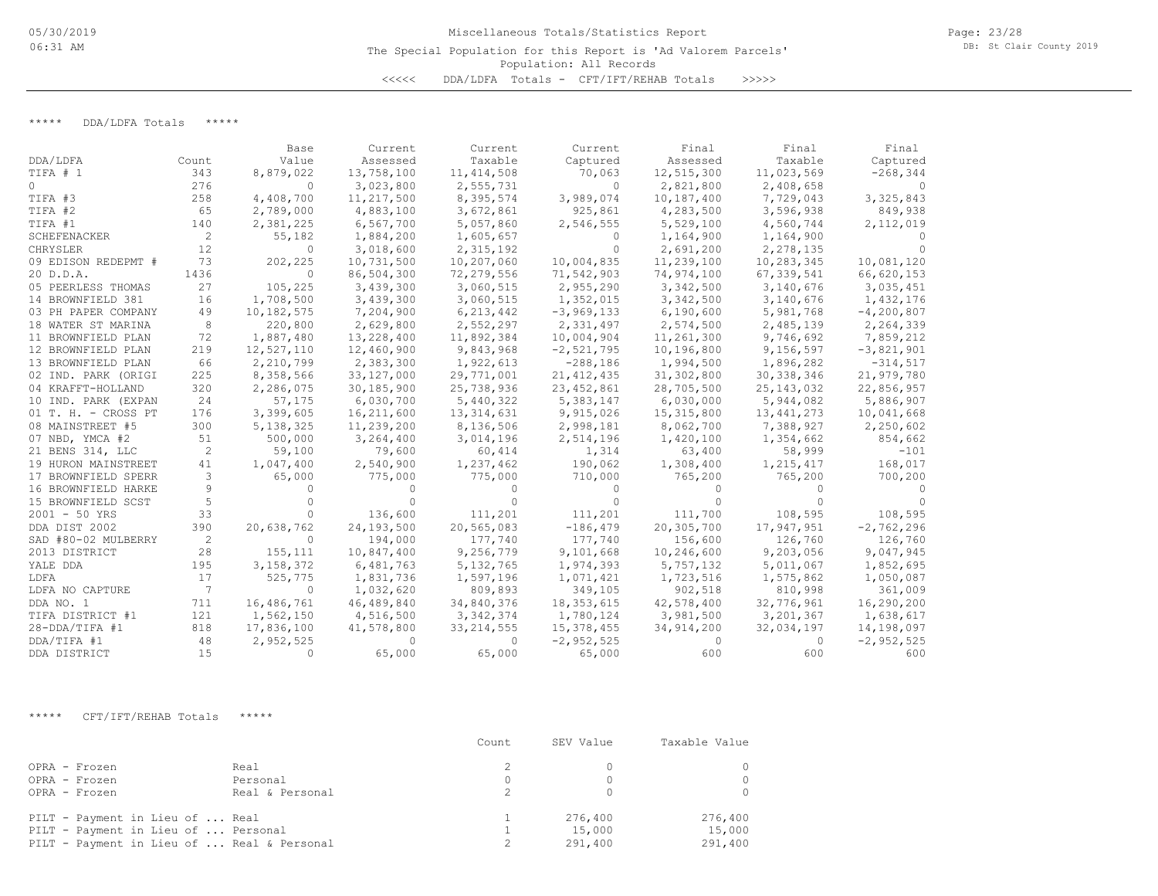# Population: All Records Miscellaneous Totals/Statistics Report The Special Population for this Report is 'Ad Valorem Parcels' <<<<< DDA/LDFA Totals - CFT/IFT/REHAB Totals >>>>>

Page: 23/28 DB: St Clair County 2019

\*\*\*\*\* DDA/LDFA Totals \*\*\*\*\*

|                     |       | Base        | Current      | Current      | Current      | Final        | Final        | Final          |
|---------------------|-------|-------------|--------------|--------------|--------------|--------------|--------------|----------------|
| DDA/LDFA            | Count | Value       | Assessed     | Taxable      | Captured     | Assessed     | Taxable      | Captured       |
| TIFA # 1            | 343   | 8,879,022   | 13,758,100   | 11, 414, 508 | 70,063       | 12,515,300   | 11,023,569   | $-268, 344$    |
| $\Omega$            | 276   | $\bigcap$   | 3,023,800    | 2,555,731    | $\Omega$     | 2,821,800    | 2,408,658    |                |
| TIFA #3             | 258   | 4,408,700   | 11,217,500   | 8,395,574    | 3,989,074    | 10,187,400   | 7,729,043    | 3,325,843      |
| TIFA #2             | 65    | 2,789,000   | 4,883,100    | 3,672,861    | 925,861      | 4,283,500    | 3,596,938    | 849,938        |
| TIFA #1             | 140   | 2,381,225   | 6,567,700    | 5,057,860    | 2,546,555    | 5,529,100    | 4,560,744    | 2,112,019      |
| SCHEFENACKER        | 2     | 55,182      | 1,884,200    | 1,605,657    | $\Omega$     | 1,164,900    | 1,164,900    |                |
| CHRYSLER            | 12    | $\Omega$    | 3,018,600    | 2,315,192    | $\Omega$     | 2,691,200    | 2,278,135    |                |
| 09 EDISON REDEPMT # | 73    | 202,225     | 10,731,500   | 10,207,060   | 10,004,835   | 11,239,100   | 10,283,345   | 10,081,120     |
| 20 D.D.A.           | 1436  | $\Omega$    | 86,504,300   | 72,279,556   | 71,542,903   | 74,974,100   | 67, 339, 541 | 66,620,153     |
| 05 PEERLESS THOMAS  | 27    | 105,225     | 3,439,300    | 3,060,515    | 2,955,290    | 3,342,500    | 3,140,676    | 3,035,451      |
| 14 BROWNFIELD 381   | 16    | 1,708,500   | 3,439,300    | 3,060,515    | 1,352,015    | 3,342,500    | 3,140,676    | 1,432,176      |
| 03 PH PAPER COMPANY | 49    | 10,182,575  | 7,204,900    | 6, 213, 442  | $-3,969,133$ | 6,190,600    | 5,981,768    | $-4, 200, 807$ |
| 18 WATER ST MARINA  | 8     | 220,800     | 2,629,800    | 2,552,297    | 2,331,497    | 2,574,500    | 2,485,139    | 2,264,339      |
| 11 BROWNFIELD PLAN  | 72    | 1,887,480   | 13,228,400   | 11,892,384   | 10,004,904   | 11,261,300   | 9,746,692    | 7,859,212      |
| 12 BROWNFIELD PLAN  | 219   | 12,527,110  | 12,460,900   | 9,843,968    | $-2,521,795$ | 10,196,800   | 9,156,597    | $-3,821,901$   |
| 13 BROWNFIELD PLAN  | 66    | 2,210,799   | 2,383,300    | 1,922,613    | $-288,186$   | 1,994,500    | 1,896,282    | $-314,517$     |
| 02 IND. PARK (ORIGI | 225   | 8,358,566   | 33,127,000   | 29,771,001   | 21, 412, 435 | 31,302,800   | 30, 338, 346 | 21,979,780     |
| 04 KRAFFT-HOLLAND   | 320   | 2,286,075   | 30,185,900   | 25,738,936   | 23, 452, 861 | 28,705,500   | 25, 143, 032 | 22,856,957     |
| 10 IND. PARK (EXPAN | 24    | 57,175      | 6,030,700    | 5,440,322    | 5,383,147    | 6,030,000    | 5,944,082    | 5,886,907      |
| 01 T. H. - CROSS PT | 176   | 3,399,605   | 16,211,600   | 13, 314, 631 | 9,915,026    | 15, 315, 800 | 13, 441, 273 | 10,041,668     |
| 08 MAINSTREET #5    | 300   | 5, 138, 325 | 11,239,200   | 8,136,506    | 2,998,181    | 8,062,700    | 7,388,927    | 2,250,602      |
| 07 NBD, YMCA #2     | 51    | 500,000     | 3,264,400    | 3,014,196    | 2,514,196    | 1,420,100    | 1,354,662    | 854,662        |
| 21 BENS 314, LLC    | 2     | 59,100      | 79,600       | 60,414       | 1,314        | 63,400       | 58,999       | $-101$         |
| 19 HURON MAINSTREET | 41    | 1,047,400   | 2,540,900    | 1,237,462    | 190,062      | 1,308,400    | 1,215,417    | 168,017        |
| 17 BROWNFIELD SPERR | 3     | 65,000      | 775,000      | 775,000      | 710,000      | 765,200      | 765,200      | 700,200        |
| 16 BROWNFIELD HARKE | 9     |             |              |              | $\Omega$     | $\Omega$     |              |                |
| 15 BROWNFIELD SCST  | 5     |             |              | $\Omega$     | $\Omega$     | $\Omega$     |              |                |
| $2001 - 50$ YRS     | 33    |             | 136,600      | 111,201      | 111,201      | 111,700      | 108,595      | 108,595        |
| DDA DIST 2002       | 390   | 20,638,762  | 24, 193, 500 | 20,565,083   | $-186, 479$  | 20,305,700   | 17,947,951   | $-2,762,296$   |
| SAD #80-02 MULBERRY | 2     | $\Omega$    | 194,000      | 177,740      | 177,740      | 156,600      | 126,760      | 126,760        |
| 2013 DISTRICT       | 28    | 155,111     | 10,847,400   | 9,256,779    | 9,101,668    | 10,246,600   | 9,203,056    | 9,047,945      |
| YALE DDA            | 195   | 3, 158, 372 | 6,481,763    | 5, 132, 765  | 1,974,393    | 5,757,132    | 5,011,067    | 1,852,695      |
| LDFA                | 17    | 525,775     | 1,831,736    | 1,597,196    | 1,071,421    | 1,723,516    | 1,575,862    | 1,050,087      |
| LDFA NO CAPTURE     | 7     | $\Omega$    | 1,032,620    | 809,893      | 349,105      | 902,518      | 810,998      | 361,009        |
| DDA NO. 1           | 711   | 16,486,761  | 46,489,840   | 34,840,376   | 18, 353, 615 | 42,578,400   | 32,776,961   | 16,290,200     |
| TIFA DISTRICT #1    | 121   | 1,562,150   | 4,516,500    | 3,342,374    | 1,780,124    | 3,981,500    | 3,201,367    | 1,638,617      |
| 28-DDA/TIFA #1      | 818   | 17,836,100  | 41,578,800   | 33, 214, 555 | 15,378,455   | 34, 914, 200 | 32,034,197   | 14,198,097     |
| DDA/TIFA #1         | 48    | 2,952,525   | $\cap$       | $\bigcap$    | $-2,952,525$ | $\Omega$     | $\Omega$     | $-2,952,525$   |
| DDA DISTRICT        | 15    | $\Omega$    | 65,000       | 65,000       | 65,000       | 600          | 600          | 600            |

\*\*\*\*\* CFT/IFT/REHAB Totals \*\*\*\*\*

|                                                                                                                      |                                     | Count | SEV Value                    | Taxable Value                |
|----------------------------------------------------------------------------------------------------------------------|-------------------------------------|-------|------------------------------|------------------------------|
| OPRA - Frozen<br>OPRA - Frozen<br>OPRA - Frozen                                                                      | Real<br>Personal<br>Real & Personal |       |                              |                              |
| PILT - Payment in Lieu of  Real<br>PILT - Payment in Lieu of  Personal<br>PILT - Payment in Lieu of  Real & Personal |                                     |       | 276,400<br>15,000<br>291,400 | 276,400<br>15,000<br>291,400 |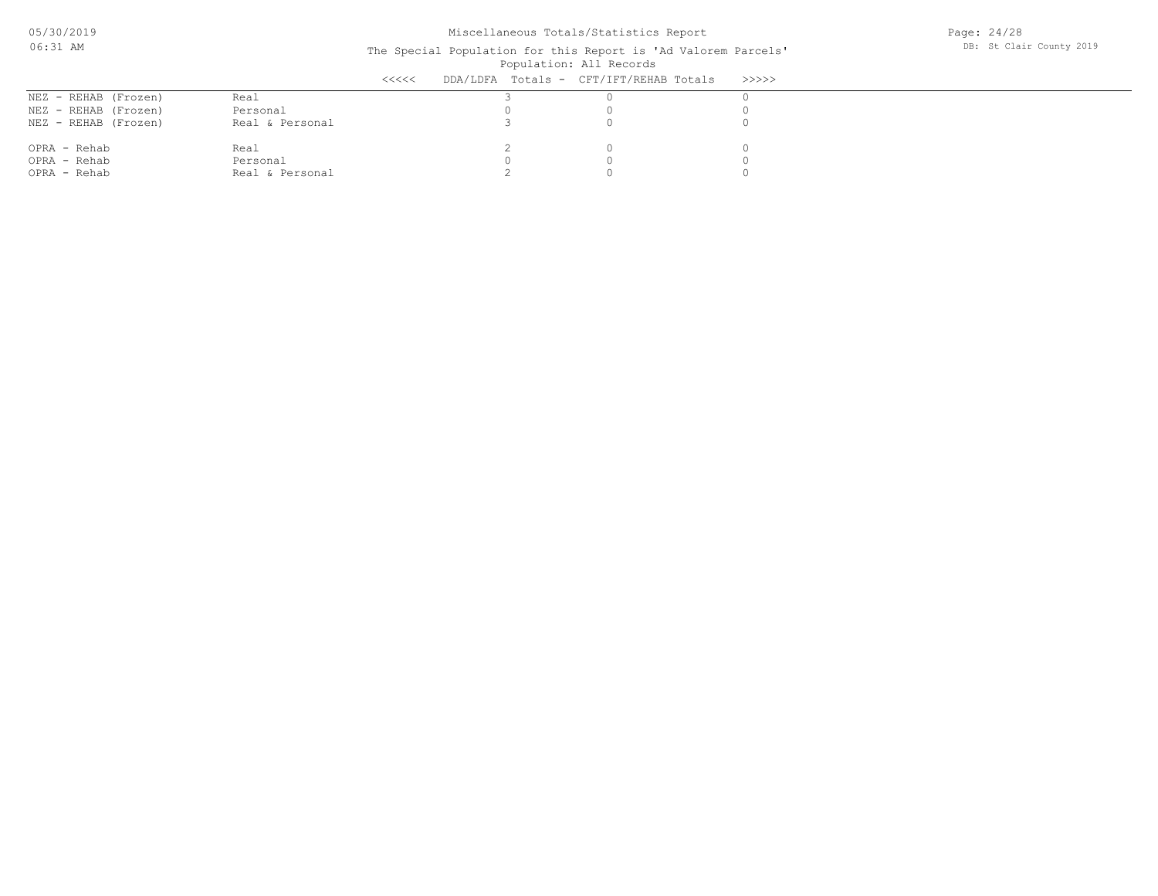Page: 24/28 DB: St Clair County 2019

|                      |                 | $\prec$ <<<< | DDA/LDFA Totals - CFT/IFT/REHAB Totals | >>>>>> |
|----------------------|-----------------|--------------|----------------------------------------|--------|
| NEZ - REHAB (Frozen) | Real            |              |                                        |        |
| NEZ - REHAB (Frozen) | Personal        |              |                                        |        |
| NEZ - REHAB (Frozen) | Real & Personal |              |                                        |        |
| OPRA - Rehab         | Real            |              |                                        |        |
| OPRA - Rehab         | Personal        |              |                                        |        |
| OPRA - Rehab         | Real & Personal |              |                                        |        |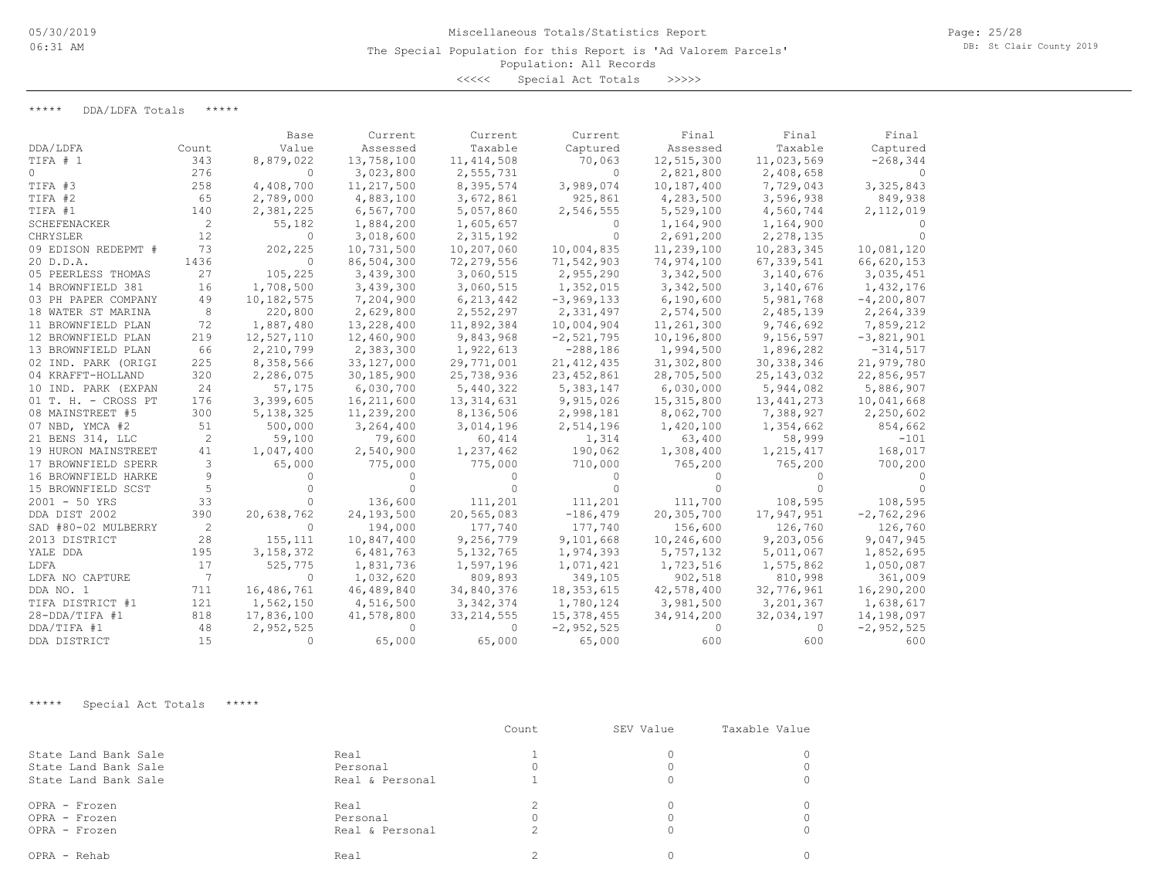The Special Population for this Report is 'Ad Valorem Parcels'

## Population: All Records

<<<<< Special Act Totals >>>>>

\*\*\*\*\* DDA/LDFA Totals \*\*\*\*\*

|                     |       | Base         | Current    | Current      | Current      | Final      | Final        | Final        |
|---------------------|-------|--------------|------------|--------------|--------------|------------|--------------|--------------|
| DDA/LDFA            | Count | Value        | Assessed   | Taxable      | Captured     | Assessed   | Taxable      | Captured     |
| TIFA # 1            | 343   | 8,879,022    | 13,758,100 | 11, 414, 508 | 70,063       | 12,515,300 | 11,023,569   | $-268, 344$  |
| $\Omega$            | 276   | $\Omega$     | 3,023,800  | 2,555,731    | $\Omega$     | 2,821,800  | 2,408,658    |              |
| TIFA #3             | 258   | 4,408,700    | 11,217,500 | 8,395,574    | 3,989,074    | 10,187,400 | 7,729,043    | 3,325,843    |
| TIFA #2             | 65    | 2,789,000    | 4,883,100  | 3,672,861    | 925,861      | 4,283,500  | 3,596,938    | 849,938      |
| TIFA #1             | 140   | 2,381,225    | 6,567,700  | 5,057,860    | 2,546,555    | 5,529,100  | 4,560,744    | 2,112,019    |
| SCHEFENACKER        | 2     | 55,182       | 1,884,200  | 1,605,657    | $\Omega$     | 1,164,900  | 1,164,900    |              |
| CHRYSLER            | 12    | $\Omega$     | 3,018,600  | 2,315,192    | $\Omega$     | 2,691,200  | 2,278,135    |              |
| 09 EDISON REDEPMT # | 73    | 202,225      | 10,731,500 | 10,207,060   | 10,004,835   | 11,239,100 | 10,283,345   | 10,081,120   |
| 20 D.D.A.           | 1436  | $\Omega$     | 86,504,300 | 72,279,556   | 71,542,903   | 74,974,100 | 67, 339, 541 | 66,620,153   |
| 05 PEERLESS THOMAS  | 27    | 105,225      | 3,439,300  | 3,060,515    | 2,955,290    | 3,342,500  | 3,140,676    | 3,035,451    |
| 14 BROWNFIELD 381   | 16    | 1,708,500    | 3,439,300  | 3,060,515    | 1,352,015    | 3,342,500  | 3,140,676    | 1,432,176    |
| 03 PH PAPER COMPANY | 49    | 10, 182, 575 | 7,204,900  | 6,213,442    | $-3,969,133$ | 6,190,600  | 5,981,768    | $-4,200,807$ |
| 18 WATER ST MARINA  | 8     | 220,800      | 2,629,800  | 2,552,297    | 2,331,497    | 2,574,500  | 2,485,139    | 2,264,339    |
| 11 BROWNFIELD PLAN  | 72    | 1,887,480    | 13,228,400 | 11,892,384   | 10,004,904   | 11,261,300 | 9,746,692    | 7,859,212    |
| 12 BROWNFIELD PLAN  | 219   | 12,527,110   | 12,460,900 | 9,843,968    | $-2,521,795$ | 10,196,800 | 9,156,597    | $-3,821,901$ |
| 13 BROWNFIELD PLAN  | 66    | 2,210,799    | 2,383,300  | 1,922,613    | $-288,186$   | 1,994,500  | 1,896,282    | $-314,517$   |
| 02 IND. PARK (ORIGI | 225   | 8,358,566    | 33,127,000 | 29,771,001   | 21, 412, 435 | 31,302,800 | 30, 338, 346 | 21,979,780   |
| 04 KRAFFT-HOLLAND   | 320   | 2,286,075    | 30,185,900 | 25,738,936   | 23, 452, 861 | 28,705,500 | 25, 143, 032 | 22,856,957   |
| 10 IND. PARK (EXPAN | 24    | 57,175       | 6,030,700  | 5,440,322    | 5,383,147    | 6,030,000  | 5,944,082    | 5,886,907    |
| 01 T. H. - CROSS PT | 176   | 3,399,605    | 16,211,600 | 13, 314, 631 | 9,915,026    | 15,315,800 | 13, 441, 273 | 10,041,668   |
| 08 MAINSTREET #5    | 300   | 5, 138, 325  | 11,239,200 | 8,136,506    | 2,998,181    | 8,062,700  | 7,388,927    | 2,250,602    |
| 07 NBD, YMCA #2     | 51    | 500,000      | 3,264,400  | 3,014,196    | 2,514,196    | 1,420,100  | 1,354,662    | 854,662      |
| 21 BENS 314, LLC    | 2     | 59,100       | 79,600     | 60,414       | 1,314        | 63,400     | 58,999       | $-101$       |
| 19 HURON MAINSTREET | 41    | 1,047,400    | 2,540,900  | 1,237,462    | 190,062      | 1,308,400  | 1,215,417    | 168,017      |
| 17 BROWNFIELD SPERR | 3     | 65,000       | 775,000    | 775,000      | 710,000      | 765,200    | 765,200      | 700,200      |
| 16 BROWNFIELD HARKE | 9     | 0            |            |              | $\Omega$     | 0          |              |              |
| 15 BROWNFIELD SCST  | 5     |              |            | 0            | $\Omega$     | $\Omega$   |              |              |
| $2001 - 50$ YRS     | 33    |              | 136,600    | 111,201      | 111,201      | 111,700    | 108,595      | 108,595      |
| DDA DIST 2002       | 390   | 20,638,762   | 24,193,500 | 20,565,083   | $-186, 479$  | 20,305,700 | 17,947,951   | $-2,762,296$ |
| SAD #80-02 MULBERRY | 2     | $\Omega$     | 194,000    | 177,740      | 177,740      | 156,600    | 126,760      | 126,760      |
| 2013 DISTRICT       | 28    | 155,111      | 10,847,400 | 9,256,779    | 9,101,668    | 10,246,600 | 9,203,056    | 9,047,945    |
| YALE DDA            | 195   | 3, 158, 372  | 6,481,763  | 5, 132, 765  | 1,974,393    | 5,757,132  | 5,011,067    | 1,852,695    |
| LDFA                | 17    | 525,775      | 1,831,736  | 1,597,196    | 1,071,421    | 1,723,516  | 1,575,862    | 1,050,087    |
| LDFA NO CAPTURE     | 7     | $\Omega$     | 1,032,620  | 809,893      | 349,105      | 902,518    | 810,998      | 361,009      |
| DDA NO. 1           | 711   | 16,486,761   | 46,489,840 | 34,840,376   | 18, 353, 615 | 42,578,400 | 32,776,961   | 16,290,200   |
| TIFA DISTRICT #1    | 121   | 1,562,150    | 4,516,500  | 3, 342, 374  | 1,780,124    | 3,981,500  | 3, 201, 367  | 1,638,617    |
| $28 - DDA/TIFA$ #1  | 818   | 17,836,100   | 41,578,800 | 33, 214, 555 | 15,378,455   | 34,914,200 | 32,034,197   | 14,198,097   |
| DDA/TIFA #1         | 48    | 2,952,525    |            | 0            | $-2,952,525$ | $\Omega$   | 0            | $-2,952,525$ |
| DDA DISTRICT        | 15    | $\bigcap$    | 65,000     | 65,000       | 65,000       | 600        | 600          | 600          |

\*\*\*\*\* Special Act Totals \*\*\*\*\*

|                      |                 | Count    | SEV Value | Taxable Value |
|----------------------|-----------------|----------|-----------|---------------|
| State Land Bank Sale | Real            |          |           |               |
| State Land Bank Sale | Personal        |          |           |               |
| State Land Bank Sale | Real & Personal |          |           |               |
| OPRA - Frozen        | Real            |          |           |               |
| OPRA - Frozen        | Personal        | $\Omega$ |           |               |
| OPRA - Frozen        | Real & Personal | 2        |           |               |
| OPRA - Rehab         | Real            |          |           |               |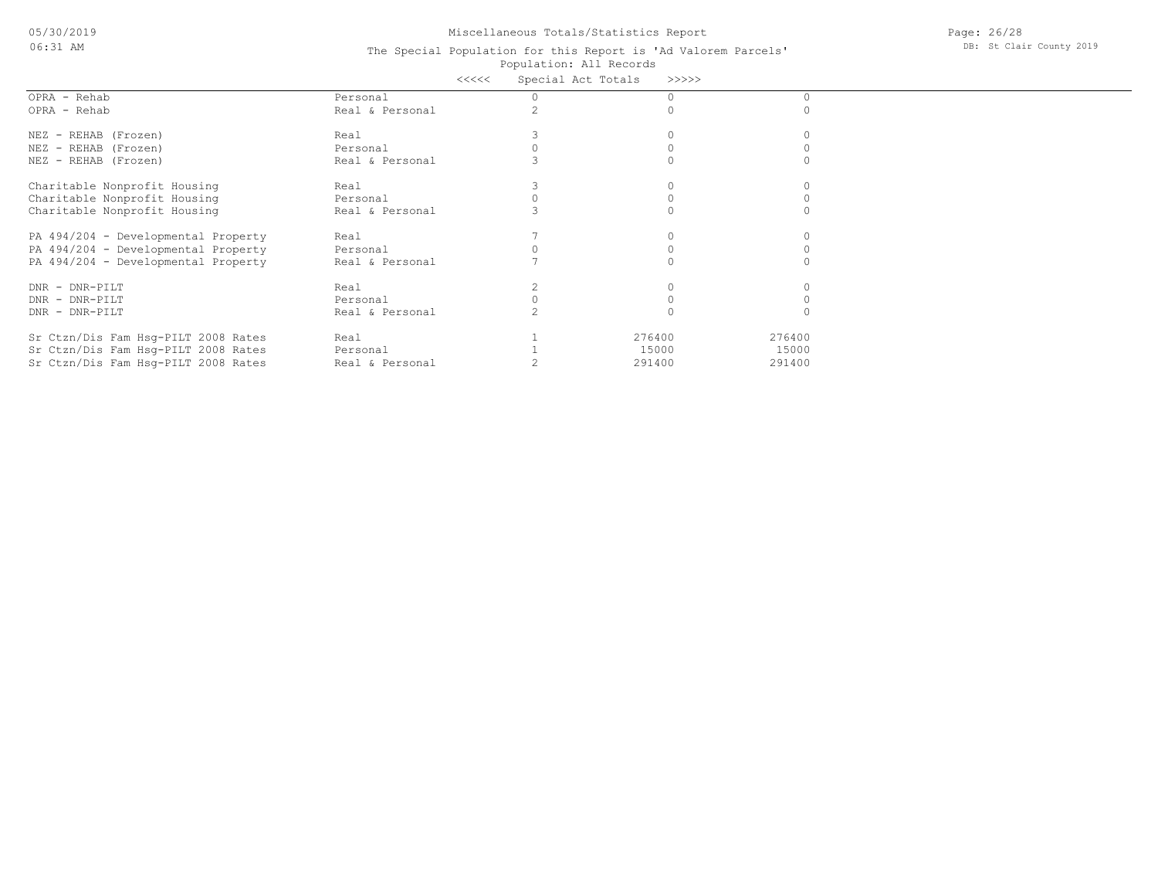05/30/2019 06:31 AM

# Miscellaneous Totals/Statistics Report

Page: 26/28 DB: St Clair County 2019

|                                     |                 | <<<< | Special Act Totals | >>>>>  |        |  |
|-------------------------------------|-----------------|------|--------------------|--------|--------|--|
| OPRA - Rehab                        | Personal        |      |                    |        |        |  |
| OPRA - Rehab                        | Real & Personal |      |                    |        |        |  |
| NEZ - REHAB (Frozen)                | Real            |      |                    |        |        |  |
| NEZ - REHAB (Frozen)                | Personal        |      |                    |        |        |  |
| NEZ - REHAB (Frozen)                | Real & Personal |      |                    |        |        |  |
| Charitable Nonprofit Housing        | Real            |      |                    |        |        |  |
| Charitable Nonprofit Housing        | Personal        |      |                    |        |        |  |
| Charitable Nonprofit Housing        | Real & Personal |      |                    |        |        |  |
| PA 494/204 - Developmental Property | Real            |      |                    |        |        |  |
| PA 494/204 - Developmental Property | Personal        |      |                    |        |        |  |
| PA 494/204 - Developmental Property | Real & Personal |      |                    |        |        |  |
| DNR - DNR-PILT                      | Real            |      |                    |        |        |  |
| DNR - DNR-PILT                      | Personal        |      |                    |        |        |  |
| DNR - DNR-PILT                      | Real & Personal |      |                    |        |        |  |
| Sr Ctzn/Dis Fam Hsq-PILT 2008 Rates | Real            |      |                    | 276400 | 276400 |  |
| Sr Ctzn/Dis Fam Hsq-PILT 2008 Rates | Personal        |      |                    | 15000  | 15000  |  |
| Sr Ctzn/Dis Fam Hsg-PILT 2008 Rates | Real & Personal |      |                    | 291400 | 291400 |  |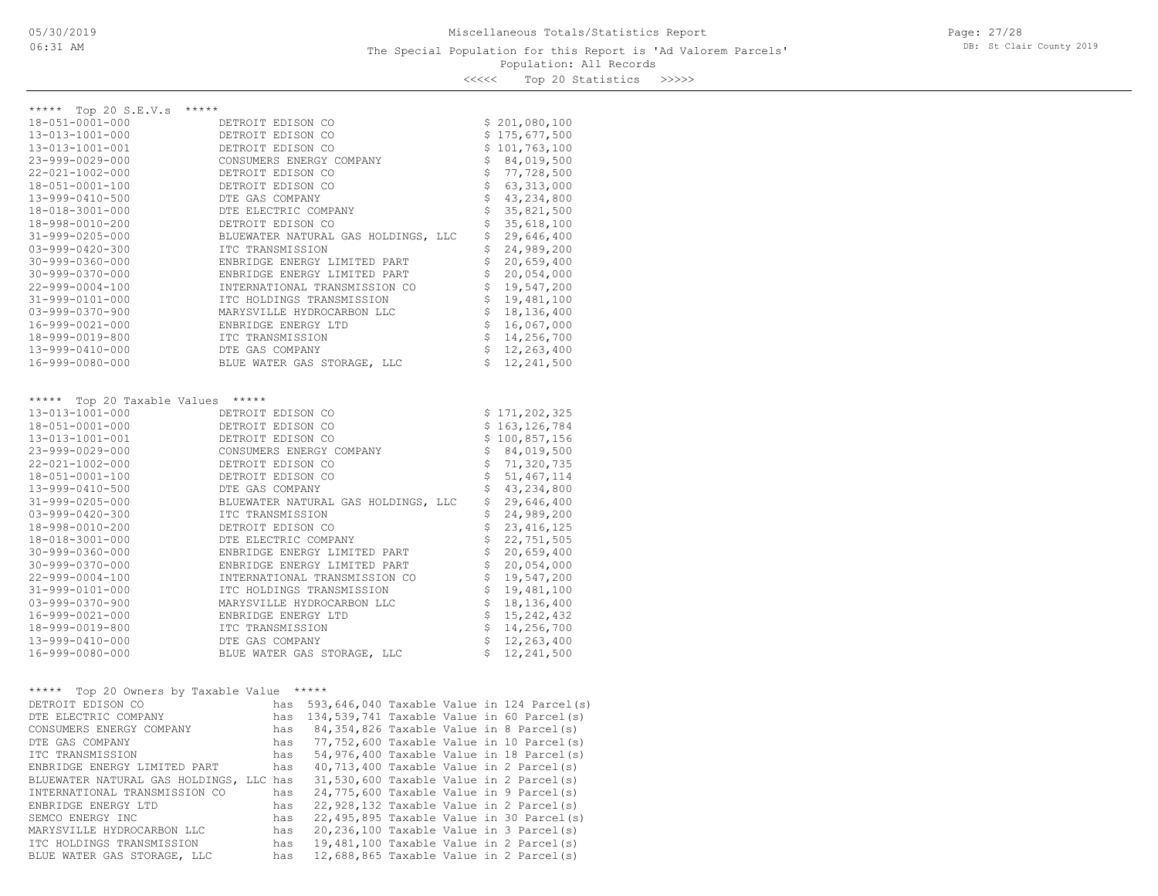<<<<< Top 20 Statistics >>>>>

| ***** Top 20 S.E.V.s *****                 |                                                                              |                                   |
|--------------------------------------------|------------------------------------------------------------------------------|-----------------------------------|
| 18-051-0001-000                            | DETROIT EDISON CO                                                            | \$201,080,100                     |
| 13-013-1001-000                            | DETROIT EDISON CO                                                            | \$175,677,500                     |
| 13-013-1001-001                            | DETROIT EDISON CO                                                            | \$101,763,100                     |
| 23-999-0029-000                            | CONSUMERS ENERGY COMPANY                                                     | \$84,019,500                      |
| 22-021-1002-000                            | DETROIT EDISON CO                                                            | \$77,728,500                      |
| 18-051-0001-100                            | DETROIT EDISON CO                                                            | $\boldsymbol{\xi}$<br>63,313,000  |
| 13-999-0410-500                            | DTE GAS COMPANY                                                              | \$<br>43,234,800                  |
| 18-018-3001-000                            | DTE ELECTRIC COMPANY                                                         | \$<br>35,821,500                  |
| 18-998-0010-200                            |                                                                              | \$<br>35,618,100                  |
| 31-999-0205-000                            |                                                                              | \$<br>29,646,400                  |
| $03 - 999 - 0420 - 300$                    | DETROIT EDISON CO<br>BLUEWATER NATURAL GAS HOLDINGS, LLC<br>ITC TRANSMISSION | \$<br>24,989,200                  |
| $30 - 999 - 0360 - 000$                    | ENBRIDGE ENERGY LIMITED PART                                                 | \$<br>20,659,400                  |
| 30-999-0370-000                            | ENBRIDGE ENERGY LIMITED PART                                                 | \$<br>20,054,000                  |
| 22-999-0004-100                            | INTERNATIONAL TRANSMISSION CO                                                | \$<br>19,547,200                  |
| 31-999-0101-000                            | ITC HOLDINGS TRANSMISSION                                                    | \$<br>19,481,100                  |
| $03 - 999 - 0370 - 900$                    | MARYSVILLE HYDROCARBON LLC                                                   | \$<br>18, 136, 400                |
| 16-999-0021-000                            | ENBRIDGE ENERGY LTD                                                          | \$<br>16,067,000                  |
| 18-999-0019-800                            | ITC TRANSMISSION                                                             | $\mathsf{S}$<br>14,256,700        |
| 13-999-0410-000                            | DTE GAS COMPANY                                                              | $\ddot{\mathsf{S}}$<br>12,263,400 |
| 16-999-0080-000                            | BLUE WATER GAS STORAGE, LLC                                                  | \$12, 241, 500                    |
|                                            |                                                                              |                                   |
|                                            |                                                                              |                                   |
| ***** Top 20 Taxable Values *****          |                                                                              |                                   |
| 13-013-1001-000                            | DETROIT EDISON CO                                                            | \$171, 202, 325                   |
| 18-051-0001-000                            | DETROIT EDISON CO                                                            | \$163, 126, 784                   |
| 13-013-1001-001                            | DETROIT EDISON CO                                                            | \$100,857,156                     |
| 23-999-0029-000                            | CONSUMERS ENERGY COMPANY                                                     | \$84,019,500                      |
| 22-021-1002-000                            | DETROIT EDISON CO                                                            | \$71,320,735                      |
| 18-051-0001-100                            | DETROIT EDISON CO                                                            | \$<br>51, 467, 114                |
| 13-999-0410-500                            | DTE GAS COMPANY<br>BLUEWATER NATURAL GAS HOLDINGS, LLC<br>ITC TRANSMISSION   | \$<br>43,234,800                  |
| 31-999-0205-000                            |                                                                              | \$<br>29,646,400                  |
| 03-999-0420-300                            |                                                                              | \$<br>24,989,200                  |
| 18-998-0010-200                            | DETROIT EDISON CO                                                            | \$<br>23, 416, 125                |
| 18-018-3001-000                            | DTE ELECTRIC COMPANY                                                         | \$<br>22,751,505                  |
| 30-999-0360-000                            | ENBRIDGE ENERGY LIMITED PART                                                 | \$<br>20,659,400                  |
| 30-999-0370-000                            | ENBRIDGE ENERGY LIMITED PART                                                 | $\frac{1}{2}$<br>20,054,000       |
| 22-999-0004-100                            | INTERNATIONAL TRANSMISSION CO                                                | $\mathsf{S}$<br>19,547,200        |
| 31-999-0101-000                            | ITC HOLDINGS TRANSMISSION                                                    | \$<br>19,481,100                  |
| 03-999-0370-900                            | MARYSVILLE HYDROCARBON LLC                                                   | \$<br>18, 136, 400                |
| 16-999-0021-000                            | ENBRIDGE ENERGY LTD                                                          | \$<br>15, 242, 432                |
| 18-999-0019-800                            | ITC TRANSMISSION                                                             | $\frac{1}{2}$<br>14,256,700       |
| 13-999-0410-000                            | DTE GAS COMPANY                                                              | \$12, 263, 400                    |
| 16-999-0080-000                            | BLUE WATER GAS STORAGE, LLC                                                  | $\mathsf{S}$<br>12, 241, 500      |
|                                            |                                                                              |                                   |
|                                            |                                                                              |                                   |
| ***** Top 20 Owners by Taxable Value ***** |                                                                              |                                   |
| DETROIT EDISON CO                          | has 593,646,040 Taxable Value in 124 Parcel(s)                               |                                   |
| DTE ELECTRIC COMPANY                       | has 134,539,741 Taxable Value in 60 Parcel(s)                                |                                   |
| CONSUMERS ENERGY COMPANY                   | has 84,354,826 Taxable Value in 8 Parcel(s)                                  |                                   |
| DTE GAS COMPANY                            | 77,752,600 Taxable Value in 10 Parcel(s)<br>has                              |                                   |
| ITC TRANSMISSION                           | 54,976,400 Taxable Value in 18 Parcel(s)<br>has                              |                                   |
| ENBRIDGE ENERGY LIMITED PART               | has<br>$40,713,400$ Taxable Value in 2 Parcel(s)                             |                                   |
| BLUEWATER NATURAL GAS HOLDINGS, LLC has    | 31,530,600 Taxable Value in 2 Parcel(s)                                      |                                   |
| INTERNATIONAL TRANSMISSION CO              | 24,775,600 Taxable Value in 9 Parcel(s)<br>has                               |                                   |
| ENBRIDGE ENERGY LTD                        | 22,928,132 Taxable Value in 2 Parcel(s)<br>has                               |                                   |

BLUE WATER GAS STORAGE, LLC has 12,688,865 Taxable Value in 2 Parcel(s) ITC HOLDINGS TRANSMISSION has 19,481,100 Taxable Value in 2 Parcel(s) MARYSVILLE HYDROCARBON LLC has 20,236,100 Taxable Value in 3 Parcel(s) SEMCO ENERGY INC has 22,495,895 Taxable Value in 30 Parcel(s)